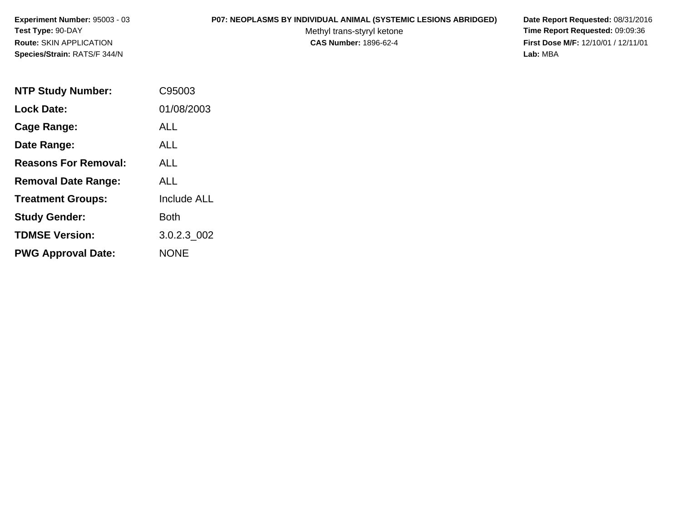# **P07: NEOPLASMS BY INDIVIDUAL ANIMAL (SYSTEMIC LESIONS ABRIDGED) Date Report Requested:** 08/31/2016

Methyl trans-styryl ketone<br>CAS Number: 1896-62-4

| <b>NTP Study Number:</b>    | C95003             |
|-----------------------------|--------------------|
| <b>Lock Date:</b>           | 01/08/2003         |
| Cage Range:                 | <b>ALL</b>         |
| Date Range:                 | AI I               |
| <b>Reasons For Removal:</b> | ALL                |
| <b>Removal Date Range:</b>  | ALL                |
| <b>Treatment Groups:</b>    | <b>Include ALL</b> |
| <b>Study Gender:</b>        | <b>Both</b>        |
| <b>TDMSE Version:</b>       | 3.0.2.3_002        |
| <b>PWG Approval Date:</b>   | <b>NONE</b>        |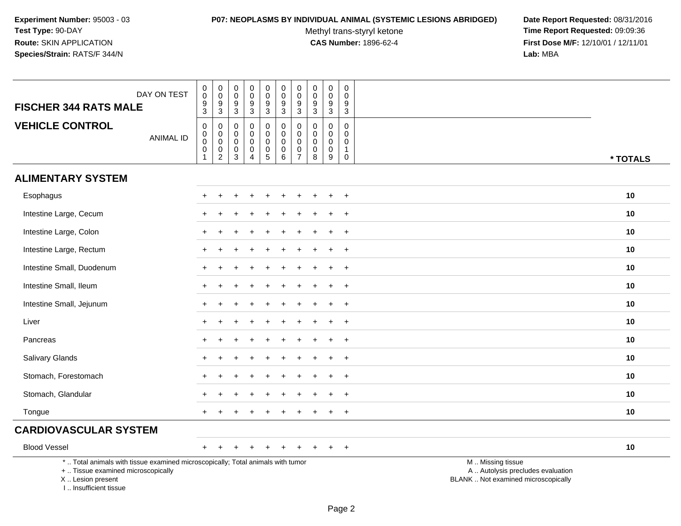#### **P07: NEOPLASMS BY INDIVIDUAL ANIMAL (SYSTEMIC LESIONS ABRIDGED) Date Report Requested:** 08/31/2016

Methyl trans-styryl ketone<br>CAS Number: 1896-62-4

| DAY ON TEST<br><b>FISCHER 344 RATS MALE</b>                                                                                                                        | $\pmb{0}$<br>$\mathsf{O}\xspace$<br>$\boldsymbol{9}$<br>$\mathfrak{S}$ | $\pmb{0}$<br>$\mathsf 0$<br>$\boldsymbol{9}$<br>$\mathbf{3}$                              | $\pmb{0}$<br>$\mathbf 0$<br>9<br>3                        | $\mathsf 0$<br>$\mathsf{O}\xspace$<br>$\boldsymbol{9}$<br>$\mathbf{3}$ | $\pmb{0}$<br>$\pmb{0}$<br>$\boldsymbol{9}$<br>$\overline{3}$                   | $\mathbf 0$<br>$\overline{0}$<br>9<br>$\overline{3}$                               | $\pmb{0}$<br>$\mathbf 0$<br>9<br>$\mathbf{3}$                     | $\pmb{0}$<br>$\mathbf 0$<br>9<br>$\sqrt{3}$           | $\pmb{0}$<br>$\mathbf 0$<br>$\boldsymbol{9}$<br>$\mathbf{3}$ | $\pmb{0}$<br>$\mathsf{O}\xspace$<br>9<br>3                     |                                                                                               |
|--------------------------------------------------------------------------------------------------------------------------------------------------------------------|------------------------------------------------------------------------|-------------------------------------------------------------------------------------------|-----------------------------------------------------------|------------------------------------------------------------------------|--------------------------------------------------------------------------------|------------------------------------------------------------------------------------|-------------------------------------------------------------------|-------------------------------------------------------|--------------------------------------------------------------|----------------------------------------------------------------|-----------------------------------------------------------------------------------------------|
| <b>VEHICLE CONTROL</b><br><b>ANIMAL ID</b>                                                                                                                         | $\mathbf 0$<br>$\pmb{0}$<br>$\mathbf 0$<br>$\pmb{0}$<br>$\mathbf{1}$   | $\mathbf 0$<br>$\mathbf 0$<br>$\mathsf 0$<br>$\begin{smallmatrix} 0\\2 \end{smallmatrix}$ | $\mathbf 0$<br>0<br>$\mathsf{O}\xspace$<br>$\pmb{0}$<br>3 | $\mathbf 0$<br>$\mathbf 0$<br>$\mathbf 0$<br>0<br>$\overline{A}$       | $\mathbf 0$<br>$\pmb{0}$<br>$\pmb{0}$<br>$\begin{array}{c} 0 \\ 5 \end{array}$ | $\mathbf 0$<br>$\mathbf 0$<br>$\mathbf 0$<br>$\begin{array}{c} 0 \\ 6 \end{array}$ | $\mathbf 0$<br>$\mathbf 0$<br>$\mathbf{0}$<br>0<br>$\overline{7}$ | $\mathbf 0$<br>$\pmb{0}$<br>$\pmb{0}$<br>0<br>$\,8\,$ | 0<br>$\pmb{0}$<br>$\mathbf 0$<br>$\pmb{0}$<br>9              | $\mathbf 0$<br>$\mathbf 0$<br>0<br>$\mathbf{1}$<br>$\mathbf 0$ | * TOTALS                                                                                      |
| <b>ALIMENTARY SYSTEM</b>                                                                                                                                           |                                                                        |                                                                                           |                                                           |                                                                        |                                                                                |                                                                                    |                                                                   |                                                       |                                                              |                                                                |                                                                                               |
| Esophagus                                                                                                                                                          |                                                                        |                                                                                           |                                                           |                                                                        |                                                                                |                                                                                    |                                                                   |                                                       |                                                              |                                                                | 10                                                                                            |
| Intestine Large, Cecum                                                                                                                                             |                                                                        |                                                                                           |                                                           |                                                                        |                                                                                |                                                                                    |                                                                   |                                                       |                                                              | $\ddot{}$                                                      | 10                                                                                            |
| Intestine Large, Colon                                                                                                                                             |                                                                        |                                                                                           |                                                           |                                                                        |                                                                                |                                                                                    |                                                                   |                                                       |                                                              | $\ddot{}$                                                      | 10                                                                                            |
| Intestine Large, Rectum                                                                                                                                            | $\ddot{}$                                                              |                                                                                           |                                                           |                                                                        |                                                                                |                                                                                    |                                                                   |                                                       |                                                              | $\ddot{}$                                                      | 10                                                                                            |
| Intestine Small, Duodenum                                                                                                                                          |                                                                        |                                                                                           |                                                           |                                                                        |                                                                                |                                                                                    |                                                                   |                                                       |                                                              | $\ddot{}$                                                      | 10                                                                                            |
| Intestine Small, Ileum                                                                                                                                             | +                                                                      |                                                                                           |                                                           |                                                                        |                                                                                |                                                                                    |                                                                   |                                                       |                                                              | $\ddot{}$                                                      | 10                                                                                            |
| Intestine Small, Jejunum                                                                                                                                           | $\ddot{}$                                                              |                                                                                           |                                                           |                                                                        |                                                                                |                                                                                    |                                                                   |                                                       |                                                              | $\ddot{}$                                                      | 10                                                                                            |
| Liver                                                                                                                                                              | ÷.                                                                     |                                                                                           |                                                           |                                                                        |                                                                                |                                                                                    |                                                                   |                                                       |                                                              | $\ddot{}$                                                      | 10                                                                                            |
| Pancreas                                                                                                                                                           |                                                                        |                                                                                           |                                                           |                                                                        |                                                                                |                                                                                    |                                                                   |                                                       |                                                              | $\ddot{}$                                                      | 10                                                                                            |
| Salivary Glands                                                                                                                                                    | $\ddot{}$                                                              |                                                                                           |                                                           |                                                                        |                                                                                |                                                                                    |                                                                   |                                                       |                                                              | $\ddot{}$                                                      | 10                                                                                            |
| Stomach, Forestomach                                                                                                                                               |                                                                        |                                                                                           |                                                           |                                                                        |                                                                                |                                                                                    |                                                                   |                                                       |                                                              | $\ddot{}$                                                      | 10                                                                                            |
| Stomach, Glandular                                                                                                                                                 |                                                                        |                                                                                           |                                                           |                                                                        |                                                                                |                                                                                    |                                                                   |                                                       |                                                              | $\overline{ }$                                                 | 10                                                                                            |
| Tongue                                                                                                                                                             |                                                                        |                                                                                           |                                                           |                                                                        |                                                                                |                                                                                    |                                                                   |                                                       |                                                              | $\pm$                                                          | 10                                                                                            |
| <b>CARDIOVASCULAR SYSTEM</b>                                                                                                                                       |                                                                        |                                                                                           |                                                           |                                                                        |                                                                                |                                                                                    |                                                                   |                                                       |                                                              |                                                                |                                                                                               |
| <b>Blood Vessel</b>                                                                                                                                                | $^+$                                                                   |                                                                                           |                                                           |                                                                        |                                                                                |                                                                                    |                                                                   |                                                       |                                                              | $\ddot{}$                                                      | 10                                                                                            |
| *  Total animals with tissue examined microscopically; Total animals with tumor<br>+  Tissue examined microscopically<br>X Lesion present<br>I Insufficient tissue |                                                                        |                                                                                           |                                                           |                                                                        |                                                                                |                                                                                    |                                                                   |                                                       |                                                              |                                                                | M  Missing tissue<br>A  Autolysis precludes evaluation<br>BLANK  Not examined microscopically |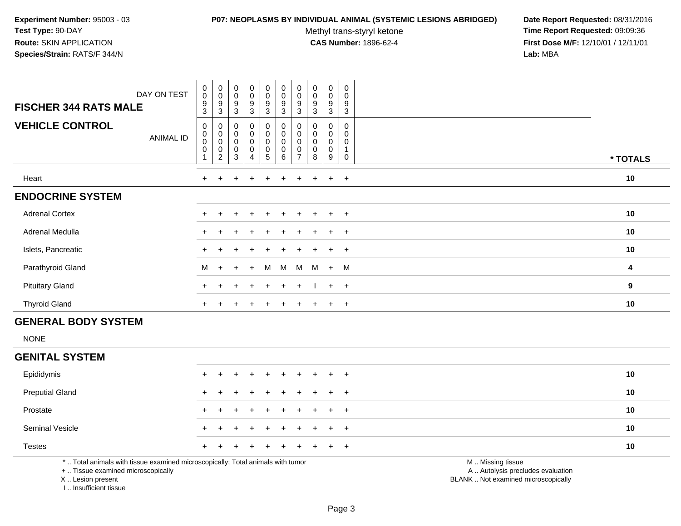#### **P07: NEOPLASMS BY INDIVIDUAL ANIMAL (SYSTEMIC LESIONS ABRIDGED) Date Report Requested:** 08/31/2016

Methyl trans-styryl ketone<br>CAS Number: 1896-62-4

 **Time Report Requested:** 09:09:36 **First Dose M/F:** 12/10/01 / 12/11/01<br>**Lab:** MBA **Lab:** MBA

| DAY ON TEST<br><b>FISCHER 344 RATS MALE</b> | $_{\rm 0}^{\rm 0}$<br>$\boldsymbol{9}$<br>$\mathbf{3}$ | $_{\rm 0}^{\rm 0}$<br>9<br>3                                           | $_{0}^{0}$<br>9<br>3                              | $\begin{smallmatrix}0\0\0\end{smallmatrix}$<br>9<br>3 | $_{\rm 0}^{\rm 0}$<br>9<br>$\mathbf{3}$                     | $\begin{smallmatrix} 0\\0 \end{smallmatrix}$<br>$\boldsymbol{9}$<br>3 | $_{\rm 0}^{\rm 0}$<br>9<br>3  | $\pmb{0}$<br>$\mathbf 0$<br>9<br>3   | $\mathbf 0$<br>0<br>9<br>3 | $\boldsymbol{0}$<br>0<br>$\boldsymbol{9}$<br>3 |                  |
|---------------------------------------------|--------------------------------------------------------|------------------------------------------------------------------------|---------------------------------------------------|-------------------------------------------------------|-------------------------------------------------------------|-----------------------------------------------------------------------|-------------------------------|--------------------------------------|----------------------------|------------------------------------------------|------------------|
| <b>VEHICLE CONTROL</b><br><b>ANIMAL ID</b>  | 0<br>$\pmb{0}$<br>$\mathbf 0$<br>$\pmb{0}$             | 0<br>$\begin{smallmatrix}0\\0\end{smallmatrix}$<br>0<br>$\overline{c}$ | $\mathbf 0$<br>$\pmb{0}$<br>$\mathbf 0$<br>0<br>3 | 0<br>0<br>0<br>0<br>4                                 | $\mathbf 0$<br>$\mathsf 0$<br>$\mathsf 0$<br>$\pmb{0}$<br>5 | $\pmb{0}$<br>$\pmb{0}$<br>$\pmb{0}$<br>$\pmb{0}$<br>$\,6\,$           | 0<br>0<br>0<br>$\overline{ }$ | 0<br>$\mathbf 0$<br>$\mathbf 0$<br>8 | 0<br>0<br>0<br>0<br>9      | 0<br>0<br>0<br>0                               | * TOTALS         |
| Heart                                       |                                                        |                                                                        |                                                   |                                                       |                                                             |                                                                       |                               |                                      | $\ddot{}$                  | $+$                                            | 10               |
| <b>ENDOCRINE SYSTEM</b>                     |                                                        |                                                                        |                                                   |                                                       |                                                             |                                                                       |                               |                                      |                            |                                                |                  |
| <b>Adrenal Cortex</b>                       |                                                        |                                                                        | $\pm$                                             | $\ddot{}$                                             | $+$                                                         | $+$                                                                   | $+$                           | $+$                                  | $+$                        | $+$                                            | 10               |
| Adrenal Medulla                             |                                                        |                                                                        |                                                   |                                                       | $+$                                                         |                                                                       |                               |                                      | $+$                        | $+$                                            | 10               |
| Islets, Pancreatic                          |                                                        |                                                                        |                                                   |                                                       | $+$                                                         |                                                                       |                               | $\pm$                                | $+$                        | $+$                                            | 10               |
| Parathyroid Gland                           | M                                                      | $+$                                                                    | $+$                                               | $\ddot{+}$                                            | M                                                           | M                                                                     | M                             | M                                    | $+$                        | M                                              | 4                |
| <b>Pituitary Gland</b>                      | $+$                                                    | $\pm$                                                                  | $\pm$                                             | $\div$                                                | $+$                                                         | $+$                                                                   | $\pm$                         |                                      | $+$                        | $+$                                            | $\boldsymbol{9}$ |
| <b>Thyroid Gland</b>                        | $\ddot{}$                                              |                                                                        |                                                   |                                                       |                                                             |                                                                       |                               |                                      | $\pm$                      | $+$                                            | 10               |

# **GENERAL BODY SYSTEM**

NONE

 $\sim$ 

# **GENITAL SYSTEM**

| Epididymis             | + + + + + + + + + + |  |  |  |  | 10 |
|------------------------|---------------------|--|--|--|--|----|
| <b>Preputial Gland</b> | + + + + + + + + + + |  |  |  |  | 10 |
| Prostate               | + + + + + + + + + + |  |  |  |  | 10 |
| <b>Seminal Vesicle</b> | + + + + + + + + + + |  |  |  |  | 10 |
| Testes                 | + + + + + + + + + + |  |  |  |  | 10 |

\* .. Total animals with tissue examined microscopically; Total animals with tumor

+ .. Tissue examined microscopically

X .. Lesion present

I .. Insufficient tissue

M .. Missing tissue

y the contract of the contract of the contract of the contract of the contract of the contract of the contract of  $A$ . Autolysis precludes evaluation

Lesion present BLANK .. Not examined microscopically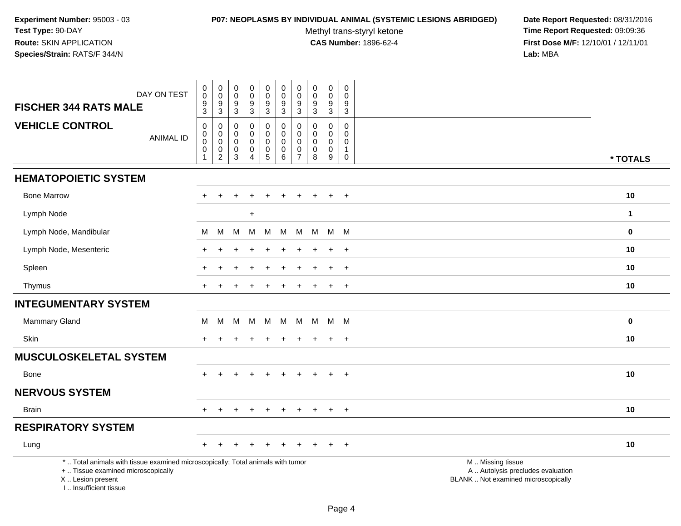#### **P07: NEOPLASMS BY INDIVIDUAL ANIMAL (SYSTEMIC LESIONS ABRIDGED) Date Report Requested:** 08/31/2016

Methyl trans-styryl ketone<br>CAS Number: 1896-62-4

| DAY ON TEST                                                                                                                                                        | $\pmb{0}$<br>$\mathbf 0$<br>9                  | $\pmb{0}$<br>$\pmb{0}$             | $\pmb{0}$<br>$\mathbf 0$                                      | $\mathbf 0$<br>$\pmb{0}$                               | $\pmb{0}$<br>$\pmb{0}$<br>9                | $\pmb{0}$<br>$\mathbf 0$<br>9                            | $\pmb{0}$<br>$\pmb{0}$<br>9          | $\pmb{0}$<br>$\pmb{0}$<br>9       | $\pmb{0}$<br>$\pmb{0}$<br>9                                              | $\mathbf 0$<br>$\mathbf 0$<br>9                        |                                                                                               |  |
|--------------------------------------------------------------------------------------------------------------------------------------------------------------------|------------------------------------------------|------------------------------------|---------------------------------------------------------------|--------------------------------------------------------|--------------------------------------------|----------------------------------------------------------|--------------------------------------|-----------------------------------|--------------------------------------------------------------------------|--------------------------------------------------------|-----------------------------------------------------------------------------------------------|--|
| <b>FISCHER 344 RATS MALE</b>                                                                                                                                       | 3                                              | $\frac{9}{3}$                      | $\frac{9}{3}$                                                 | $^9_3$                                                 | $\overline{3}$                             | $\mathbf{3}$                                             | 3                                    | $\mathsf 3$                       | $\mathfrak{Z}$                                                           | $\overline{3}$                                         |                                                                                               |  |
| <b>VEHICLE CONTROL</b><br><b>ANIMAL ID</b>                                                                                                                         | $\mathbf 0$<br>0<br>$\mathbf 0$<br>$\mathbf 0$ | 0<br>0<br>$\ddot{\mathbf{0}}$<br>0 | $\mathbf 0$<br>$\mathbf 0$<br>$\mathbf 0$<br>$\boldsymbol{0}$ | $\mathbf 0$<br>$\mathbf 0$<br>$\pmb{0}$<br>$\mathbf 0$ | 0<br>$\pmb{0}$<br>$\pmb{0}$<br>$\mathbf 0$ | $\mathbf 0$<br>$\mathbf 0$<br>$\mathbf 0$<br>$\mathbf 0$ | 0<br>$\mathbf 0$<br>0<br>$\mathbf 0$ | $\mathbf 0$<br>$\Omega$<br>0<br>0 | $\mathbf 0$<br>$\mathbf 0$<br>$\mathsf{O}\xspace$<br>$\mathsf{O}\xspace$ | $\mathbf 0$<br>$\Omega$<br>$\mathbf 0$<br>$\mathbf{1}$ |                                                                                               |  |
|                                                                                                                                                                    | 1                                              | $\overline{c}$                     | $\sqrt{3}$                                                    | $\boldsymbol{\Lambda}$                                 | $\overline{5}$                             | 6                                                        | $\overline{7}$                       | 8                                 | $9\,$                                                                    | $\mathbf 0$                                            | * TOTALS                                                                                      |  |
| <b>HEMATOPOIETIC SYSTEM</b>                                                                                                                                        |                                                |                                    |                                                               |                                                        |                                            |                                                          |                                      |                                   |                                                                          |                                                        |                                                                                               |  |
| <b>Bone Marrow</b>                                                                                                                                                 |                                                | $\div$                             |                                                               |                                                        | $\div$                                     |                                                          |                                      |                                   | $\ddot{}$                                                                | $+$                                                    | 10                                                                                            |  |
| Lymph Node                                                                                                                                                         |                                                |                                    |                                                               | $\ddot{}$                                              |                                            |                                                          |                                      |                                   |                                                                          |                                                        | $\mathbf{1}$                                                                                  |  |
| Lymph Node, Mandibular                                                                                                                                             | M                                              | M                                  | M                                                             | M                                                      | M                                          | M                                                        | M                                    | M                                 | M M                                                                      |                                                        | $\bf{0}$                                                                                      |  |
| Lymph Node, Mesenteric                                                                                                                                             |                                                |                                    |                                                               |                                                        | $\div$                                     |                                                          | ٠                                    |                                   | $\ddot{}$                                                                | $+$                                                    | 10                                                                                            |  |
| Spleen                                                                                                                                                             |                                                |                                    |                                                               |                                                        |                                            |                                                          |                                      |                                   | ÷                                                                        | $+$                                                    | 10                                                                                            |  |
| Thymus                                                                                                                                                             |                                                |                                    |                                                               |                                                        |                                            |                                                          |                                      |                                   | $\ddot{}$                                                                | $+$                                                    | 10                                                                                            |  |
| <b>INTEGUMENTARY SYSTEM</b>                                                                                                                                        |                                                |                                    |                                                               |                                                        |                                            |                                                          |                                      |                                   |                                                                          |                                                        |                                                                                               |  |
| <b>Mammary Gland</b>                                                                                                                                               | М                                              | М                                  | M                                                             | M                                                      | М                                          | M                                                        | M                                    | M                                 | M M                                                                      |                                                        | $\bf{0}$                                                                                      |  |
| Skin                                                                                                                                                               |                                                |                                    |                                                               |                                                        |                                            |                                                          |                                      |                                   | $\pm$                                                                    | $+$                                                    | 10                                                                                            |  |
| <b>MUSCULOSKELETAL SYSTEM</b>                                                                                                                                      |                                                |                                    |                                                               |                                                        |                                            |                                                          |                                      |                                   |                                                                          |                                                        |                                                                                               |  |
| Bone                                                                                                                                                               | $+$                                            | $\pm$                              | $\pm$                                                         | $\div$                                                 | $+$                                        | $+$                                                      | $+$                                  | $+$                               | $+$                                                                      | $+$                                                    | 10                                                                                            |  |
| <b>NERVOUS SYSTEM</b>                                                                                                                                              |                                                |                                    |                                                               |                                                        |                                            |                                                          |                                      |                                   |                                                                          |                                                        |                                                                                               |  |
| <b>Brain</b>                                                                                                                                                       |                                                |                                    |                                                               | $\div$                                                 | $\ddot{}$                                  | $\ddot{}$                                                | $\ddot{}$                            | $\pm$                             | $\ddot{}$                                                                | $+$                                                    | 10                                                                                            |  |
| <b>RESPIRATORY SYSTEM</b>                                                                                                                                          |                                                |                                    |                                                               |                                                        |                                            |                                                          |                                      |                                   |                                                                          |                                                        |                                                                                               |  |
| Lung                                                                                                                                                               |                                                |                                    |                                                               |                                                        |                                            |                                                          |                                      |                                   |                                                                          | $\overline{+}$                                         | 10                                                                                            |  |
| *  Total animals with tissue examined microscopically; Total animals with tumor<br>+  Tissue examined microscopically<br>X Lesion present<br>I Insufficient tissue |                                                |                                    |                                                               |                                                        |                                            |                                                          |                                      |                                   |                                                                          |                                                        | M  Missing tissue<br>A  Autolysis precludes evaluation<br>BLANK  Not examined microscopically |  |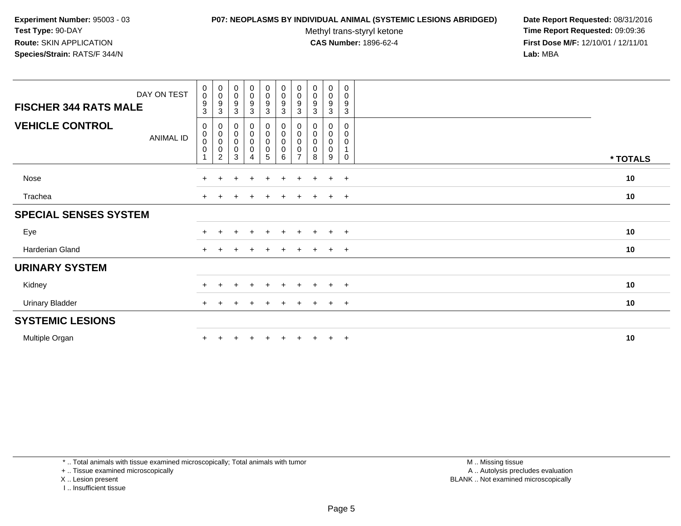#### **P07: NEOPLASMS BY INDIVIDUAL ANIMAL (SYSTEMIC LESIONS ABRIDGED) Date Report Requested:** 08/31/2016

Methyl trans-styryl ketone<br>CAS Number: 1896-62-4

 **Time Report Requested:** 09:09:36 **First Dose M/F:** 12/10/01 / 12/11/01<br>**Lab:** MBA **Lab:** MBA

| DAY ON TEST<br><b>FISCHER 344 RATS MALE</b> | $\pmb{0}$<br>$\pmb{0}$<br>$\boldsymbol{9}$<br>$\overline{3}$ | $\begin{matrix} 0 \\ 0 \\ 9 \\ 3 \end{matrix}$                             | $_{\rm 0}^{\rm 0}$<br>$\frac{9}{3}$                                         | $\begin{smallmatrix}0\0\0\end{smallmatrix}$<br>9<br>3 | $\begin{smallmatrix} 0\\0 \end{smallmatrix}$<br>$\boldsymbol{9}$<br>3 | $_{\rm 0}^{\rm 0}$<br>$\frac{9}{3}$           | $\begin{smallmatrix} 0\\0 \end{smallmatrix}$<br>$^9_3$ | $\begin{smallmatrix}0\\0\end{smallmatrix}$<br>$\boldsymbol{9}$<br>$\mathbf{3}$ | $_0^0$<br>9<br>3                          | 0<br>$\mathbf 0$<br>$\boldsymbol{9}$<br>$\mathbf{3}$ |          |
|---------------------------------------------|--------------------------------------------------------------|----------------------------------------------------------------------------|-----------------------------------------------------------------------------|-------------------------------------------------------|-----------------------------------------------------------------------|-----------------------------------------------|--------------------------------------------------------|--------------------------------------------------------------------------------|-------------------------------------------|------------------------------------------------------|----------|
| <b>VEHICLE CONTROL</b><br>ANIMAL ID         | 0<br>0<br>$\pmb{0}$<br>$\mathbf 0$                           | $\mathbf 0$<br>$\begin{matrix} 0 \\ 0 \\ 0 \end{matrix}$<br>$\overline{2}$ | $\pmb{0}$<br>$\begin{smallmatrix}0\\0\end{smallmatrix}$<br>$\mathbf 0$<br>3 | 0<br>0<br>0<br>$\mathbf 0$<br>$\overline{4}$          | 0<br>$\mathbf 0$<br>0<br>$\pmb{0}$<br>5                               | 0<br>$\pmb{0}$<br>$\pmb{0}$<br>$\pmb{0}$<br>6 | 0<br>0<br>$\pmb{0}$<br>0<br>$\overline{ }$             | 0<br>0<br>0<br>0<br>8                                                          | 0<br>0<br>$\mathbf 0$<br>$\mathbf 0$<br>9 | 0<br>0<br>0<br>$\mathbf 0$                           | * TOTALS |
| Nose                                        | $+$                                                          | $\pm$                                                                      | $\div$                                                                      | $\div$                                                | $\pm$                                                                 | $\pm$                                         | $\pm$                                                  | $\pm$                                                                          | $\ddot{}$                                 | $+$                                                  | 10       |
| Trachea                                     |                                                              |                                                                            |                                                                             |                                                       |                                                                       |                                               |                                                        |                                                                                | $\div$                                    | $+$                                                  | 10       |
| <b>SPECIAL SENSES SYSTEM</b>                |                                                              |                                                                            |                                                                             |                                                       |                                                                       |                                               |                                                        |                                                                                |                                           |                                                      |          |
| Eye                                         | $+$                                                          |                                                                            |                                                                             | $\ddot{}$                                             | $+$                                                                   | $+$                                           | $+$                                                    | $\overline{+}$                                                                 | $+$                                       | $+$                                                  | 10       |
| Harderian Gland                             | $\pm$                                                        |                                                                            |                                                                             |                                                       |                                                                       |                                               |                                                        |                                                                                | $\pm$                                     | $+$                                                  | 10       |
| <b>URINARY SYSTEM</b>                       |                                                              |                                                                            |                                                                             |                                                       |                                                                       |                                               |                                                        |                                                                                |                                           |                                                      |          |
| Kidney                                      | $+$                                                          |                                                                            |                                                                             | $\div$                                                | $\div$                                                                | $\div$                                        |                                                        |                                                                                | $\div$                                    | $+$                                                  | 10       |
| <b>Urinary Bladder</b>                      | $\pm$                                                        |                                                                            |                                                                             |                                                       |                                                                       |                                               |                                                        |                                                                                | $\div$                                    | $+$                                                  | 10       |
| <b>SYSTEMIC LESIONS</b>                     |                                                              |                                                                            |                                                                             |                                                       |                                                                       |                                               |                                                        |                                                                                |                                           |                                                      |          |
| Multiple Organ                              | $\pm$                                                        |                                                                            |                                                                             |                                                       |                                                                       |                                               |                                                        |                                                                                | $\ddot{}$                                 | $+$                                                  | 10       |

\* .. Total animals with tissue examined microscopically; Total animals with tumor

+ .. Tissue examined microscopically

X .. Lesion present

I .. Insufficient tissue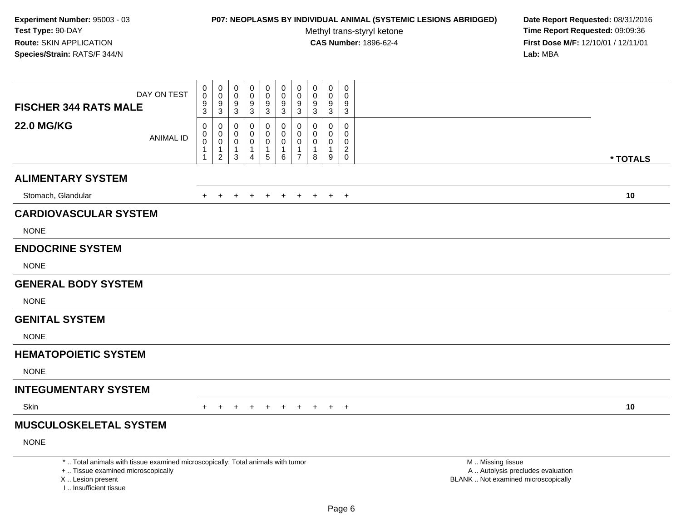# **P07: NEOPLASMS BY INDIVIDUAL ANIMAL (SYSTEMIC LESIONS ABRIDGED) Date Report Requested:** 08/31/2016

Methyl trans-styryl ketone<br>CAS Number: 1896-62-4

| <b>FISCHER 344 RATS MALE</b>                                                                                                                                       | DAY ON TEST      | $\mathbf 0$<br>0<br>$\boldsymbol{9}$     | $\mathsf{O}\xspace$<br>$\mathbf 0$<br>9          | $\mathbf 0$<br>$\mathbf 0$<br>9                    | $\mathbf 0$<br>$\mathbf 0$<br>9            | $\pmb{0}$<br>$\mathbf 0$<br>$\boldsymbol{9}$         | $\mathbf 0$<br>$\mathbf 0$<br>$\boldsymbol{9}$     | $\pmb{0}$<br>$\mathbf 0$<br>9             | 0<br>0<br>9                               | $\pmb{0}$<br>0<br>$\boldsymbol{9}$                 | $\mathbf 0$<br>$\Omega$<br>9                                    |                                                                                               |          |
|--------------------------------------------------------------------------------------------------------------------------------------------------------------------|------------------|------------------------------------------|--------------------------------------------------|----------------------------------------------------|--------------------------------------------|------------------------------------------------------|----------------------------------------------------|-------------------------------------------|-------------------------------------------|----------------------------------------------------|-----------------------------------------------------------------|-----------------------------------------------------------------------------------------------|----------|
| <b>22.0 MG/KG</b>                                                                                                                                                  | <b>ANIMAL ID</b> | 3<br>0<br>$\pmb{0}$<br>$\mathbf 0$<br>-1 | 3<br>0<br>$\pmb{0}$<br>$\pmb{0}$<br>$\mathbf{1}$ | $\mathbf{3}$<br>$\Omega$<br>0<br>0<br>$\mathbf{1}$ | 3<br>0<br>0<br>$\mathbf 0$<br>$\mathbf{1}$ | 3<br>0<br>$\mathbf 0$<br>$\mathbf 0$<br>$\mathbf{1}$ | 3<br>0<br>$\pmb{0}$<br>$\mathbf 0$<br>$\mathbf{1}$ | 3<br>0<br>$\mathbf 0$<br>$\mathbf 0$<br>1 | 3<br>$\Omega$<br>0<br>0<br>$\overline{1}$ | $\mathbf{3}$<br>$\Omega$<br>0<br>0<br>$\mathbf{1}$ | 3<br>$\Omega$<br>$\mathbf{0}$<br>$\mathbf{0}$<br>$\overline{2}$ |                                                                                               |          |
|                                                                                                                                                                    |                  | -1                                       | 2                                                | 3                                                  | $\overline{4}$                             | 5                                                    | 6                                                  | $\overline{7}$                            | 8                                         | 9                                                  | $\mathbf 0$                                                     |                                                                                               | * TOTALS |
| <b>ALIMENTARY SYSTEM</b>                                                                                                                                           |                  |                                          |                                                  |                                                    |                                            |                                                      |                                                    |                                           |                                           |                                                    |                                                                 |                                                                                               |          |
| Stomach, Glandular                                                                                                                                                 |                  | $+$                                      | $+$                                              | $\ddot{}$                                          | $+$                                        | $+$                                                  | $\ddot{}$                                          | $+$                                       | $+$                                       | $+$                                                | $+$                                                             |                                                                                               | 10       |
| <b>CARDIOVASCULAR SYSTEM</b>                                                                                                                                       |                  |                                          |                                                  |                                                    |                                            |                                                      |                                                    |                                           |                                           |                                                    |                                                                 |                                                                                               |          |
| <b>NONE</b>                                                                                                                                                        |                  |                                          |                                                  |                                                    |                                            |                                                      |                                                    |                                           |                                           |                                                    |                                                                 |                                                                                               |          |
| <b>ENDOCRINE SYSTEM</b>                                                                                                                                            |                  |                                          |                                                  |                                                    |                                            |                                                      |                                                    |                                           |                                           |                                                    |                                                                 |                                                                                               |          |
| <b>NONE</b>                                                                                                                                                        |                  |                                          |                                                  |                                                    |                                            |                                                      |                                                    |                                           |                                           |                                                    |                                                                 |                                                                                               |          |
| <b>GENERAL BODY SYSTEM</b>                                                                                                                                         |                  |                                          |                                                  |                                                    |                                            |                                                      |                                                    |                                           |                                           |                                                    |                                                                 |                                                                                               |          |
| <b>NONE</b>                                                                                                                                                        |                  |                                          |                                                  |                                                    |                                            |                                                      |                                                    |                                           |                                           |                                                    |                                                                 |                                                                                               |          |
| <b>GENITAL SYSTEM</b>                                                                                                                                              |                  |                                          |                                                  |                                                    |                                            |                                                      |                                                    |                                           |                                           |                                                    |                                                                 |                                                                                               |          |
| <b>NONE</b>                                                                                                                                                        |                  |                                          |                                                  |                                                    |                                            |                                                      |                                                    |                                           |                                           |                                                    |                                                                 |                                                                                               |          |
| <b>HEMATOPOIETIC SYSTEM</b>                                                                                                                                        |                  |                                          |                                                  |                                                    |                                            |                                                      |                                                    |                                           |                                           |                                                    |                                                                 |                                                                                               |          |
| <b>NONE</b>                                                                                                                                                        |                  |                                          |                                                  |                                                    |                                            |                                                      |                                                    |                                           |                                           |                                                    |                                                                 |                                                                                               |          |
| <b>INTEGUMENTARY SYSTEM</b>                                                                                                                                        |                  |                                          |                                                  |                                                    |                                            |                                                      |                                                    |                                           |                                           |                                                    |                                                                 |                                                                                               |          |
| Skin                                                                                                                                                               |                  |                                          |                                                  |                                                    |                                            |                                                      |                                                    |                                           |                                           | $\pm$                                              | $+$                                                             |                                                                                               | 10       |
| <b>MUSCULOSKELETAL SYSTEM</b>                                                                                                                                      |                  |                                          |                                                  |                                                    |                                            |                                                      |                                                    |                                           |                                           |                                                    |                                                                 |                                                                                               |          |
| <b>NONE</b>                                                                                                                                                        |                  |                                          |                                                  |                                                    |                                            |                                                      |                                                    |                                           |                                           |                                                    |                                                                 |                                                                                               |          |
| *  Total animals with tissue examined microscopically; Total animals with tumor<br>+  Tissue examined microscopically<br>X Lesion present<br>I Insufficient tissue |                  |                                          |                                                  |                                                    |                                            |                                                      |                                                    |                                           |                                           |                                                    |                                                                 | M  Missing tissue<br>A  Autolysis precludes evaluation<br>BLANK  Not examined microscopically |          |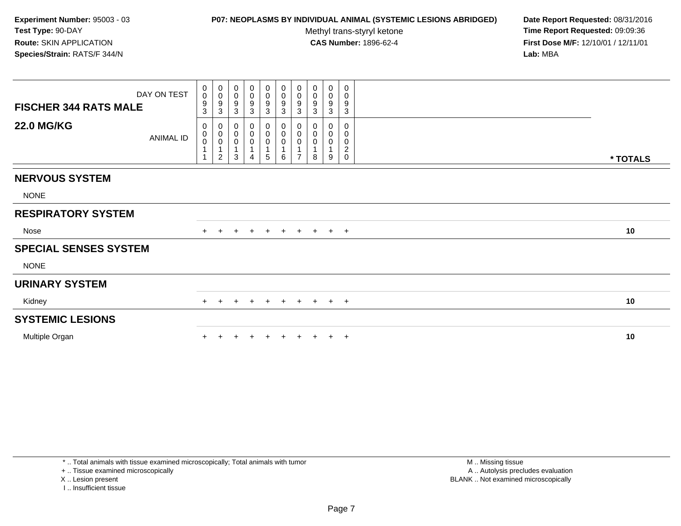### **P07: NEOPLASMS BY INDIVIDUAL ANIMAL (SYSTEMIC LESIONS ABRIDGED) Date Report Requested:** 08/31/2016

Methyl trans-styryl ketone<br>CAS Number: 1896-62-4

 **Time Report Requested:** 09:09:36 **First Dose M/F:** 12/10/01 / 12/11/01<br>**Lab:** MBA **Lab:** MBA

| DAY ON TEST<br><b>FISCHER 344 RATS MALE</b><br><b>22.0 MG/KG</b> | $\begin{smallmatrix}0\0\0\end{smallmatrix}$<br>9<br>3<br>0 | $\begin{smallmatrix}0\\0\end{smallmatrix}$<br>$\overline{9}$<br>$\mathbf{3}$         | $\pmb{0}$<br>$\pmb{0}$<br>9<br>$\mathbf{3}$<br>0       | $_{\rm 0}^{\rm 0}$<br>$\boldsymbol{9}$<br>$\mathbf{3}$<br>0 | $\begin{array}{c} 0 \\ 0 \\ 9 \\ 3 \end{array}$<br>0 | 0<br>$\frac{0}{9}$<br>0 | $\begin{array}{c} 0 \\ 0 \\ 9 \\ 3 \end{array}$                 | 0<br>$\pmb{0}$<br>9<br>$\mathfrak{S}$<br>0 | $\boldsymbol{0}$<br>$\pmb{0}$<br>$\boldsymbol{9}$<br>3<br>0 | 0<br>$\mathbf 0$<br>9<br>$\mathbf{3}$<br>0       |          |  |
|------------------------------------------------------------------|------------------------------------------------------------|--------------------------------------------------------------------------------------|--------------------------------------------------------|-------------------------------------------------------------|------------------------------------------------------|-------------------------|-----------------------------------------------------------------|--------------------------------------------|-------------------------------------------------------------|--------------------------------------------------|----------|--|
| <b>ANIMAL ID</b>                                                 | $\begin{smallmatrix}0\\0\end{smallmatrix}$                 | $\begin{smallmatrix}0\\0\\0\\0\end{smallmatrix}$<br>$\mathbf{1}$<br>$\boldsymbol{2}$ | $\pmb{0}$<br>$\pmb{0}$<br>$\overline{\mathbf{A}}$<br>3 | 0<br>$\boldsymbol{0}$<br>4                                  | $\pmb{0}$<br>$\pmb{0}$<br>1<br>$5\phantom{.0}$       | 0<br>0<br>6             | $\begin{smallmatrix}0\\0\\0\end{smallmatrix}$<br>$\overline{ }$ | 0<br>0<br>1<br>8                           | 0<br>$\mathbf 0$<br>9                                       | 0<br>0<br>$\overline{\mathbf{c}}$<br>$\mathbf 0$ | * TOTALS |  |
| <b>NERVOUS SYSTEM</b>                                            |                                                            |                                                                                      |                                                        |                                                             |                                                      |                         |                                                                 |                                            |                                                             |                                                  |          |  |
| <b>NONE</b>                                                      |                                                            |                                                                                      |                                                        |                                                             |                                                      |                         |                                                                 |                                            |                                                             |                                                  |          |  |
| <b>RESPIRATORY SYSTEM</b>                                        |                                                            |                                                                                      |                                                        |                                                             |                                                      |                         |                                                                 |                                            |                                                             |                                                  |          |  |
| Nose                                                             | $+$                                                        | $+$                                                                                  | $\ddot{}$                                              | $+$                                                         | $+$                                                  | $+$                     |                                                                 | $+ + + +$                                  |                                                             |                                                  | 10       |  |
| <b>SPECIAL SENSES SYSTEM</b>                                     |                                                            |                                                                                      |                                                        |                                                             |                                                      |                         |                                                                 |                                            |                                                             |                                                  |          |  |
| <b>NONE</b>                                                      |                                                            |                                                                                      |                                                        |                                                             |                                                      |                         |                                                                 |                                            |                                                             |                                                  |          |  |
| <b>URINARY SYSTEM</b>                                            |                                                            |                                                                                      |                                                        |                                                             |                                                      |                         |                                                                 |                                            |                                                             |                                                  |          |  |
| Kidney                                                           | $+$                                                        | $+$                                                                                  | $+$                                                    | $+$                                                         | $+$                                                  | + + + + +               |                                                                 |                                            |                                                             |                                                  | 10       |  |
| <b>SYSTEMIC LESIONS</b>                                          |                                                            |                                                                                      |                                                        |                                                             |                                                      |                         |                                                                 |                                            |                                                             |                                                  |          |  |
| Multiple Organ                                                   |                                                            |                                                                                      |                                                        |                                                             |                                                      |                         |                                                                 |                                            |                                                             | $\pm$                                            | 10       |  |

\* .. Total animals with tissue examined microscopically; Total animals with tumor

+ .. Tissue examined microscopically

X .. Lesion present

I .. Insufficient tissue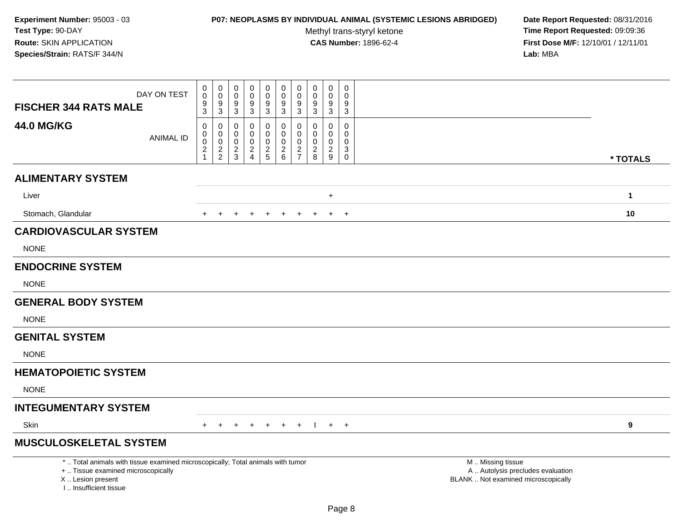### **P07: NEOPLASMS BY INDIVIDUAL ANIMAL (SYSTEMIC LESIONS ABRIDGED) Date Report Requested:** 08/31/2016

Methyl trans-styryl ketone<br>CAS Number: 1896-62-4

| <b>FISCHER 344 RATS MALE</b>                                                                                                                                        | DAY ON TEST      | 0<br>0<br>$\frac{9}{3}$             | $\boldsymbol{0}$<br>$\mathbf 0$<br>9<br>$\overline{3}$ | 0<br>$\mathbf 0$<br>9<br>3             | 0<br>$\mathbf 0$<br>$\boldsymbol{9}$<br>3            | $\pmb{0}$<br>$\mathbf 0$<br>$\boldsymbol{9}$<br>$\overline{3}$ | $\pmb{0}$<br>$\mathbf 0$<br>$\boldsymbol{9}$<br>3                               | 0<br>$\mathbf 0$<br>9<br>3          | $\mathbf 0$<br>$\mathbf 0$<br>9<br>$\mathbf{3}$ | $\mathbf 0$<br>$\mathbf 0$<br>9<br>3              | $\mathbf 0$<br>$\Omega$<br>9<br>$\overline{3}$ |                                                                                               |              |
|---------------------------------------------------------------------------------------------------------------------------------------------------------------------|------------------|-------------------------------------|--------------------------------------------------------|----------------------------------------|------------------------------------------------------|----------------------------------------------------------------|---------------------------------------------------------------------------------|-------------------------------------|-------------------------------------------------|---------------------------------------------------|------------------------------------------------|-----------------------------------------------------------------------------------------------|--------------|
| <b>44.0 MG/KG</b>                                                                                                                                                   | <b>ANIMAL ID</b> | 0<br>$\mathbf 0$<br>0<br>$\sqrt{2}$ | 0<br>$\mathbf 0$<br>$\pmb{0}$<br>$\frac{2}{2}$         | 0<br>0<br>$\mathbf 0$<br>$\frac{2}{3}$ | $\Omega$<br>$\Omega$<br>$\mathbf 0$<br>$\frac{2}{4}$ | 0<br>$\mathbf 0$<br>$\mathbf 0$<br>$\frac{2}{5}$               | $\Omega$<br>$\mathbf 0$<br>$\mathbf 0$<br>$\begin{array}{c} 2 \\ 6 \end{array}$ | $\Omega$<br>0<br>0<br>$\frac{2}{7}$ | $\Omega$<br>$\mathbf 0$<br>0<br>$\frac{2}{8}$   | $\mathbf{0}$<br>0<br>$\mathbf 0$<br>$\frac{2}{9}$ | $\Omega$<br>0<br>$\mathbf 0$<br>$_{\rm 0}^3$   |                                                                                               | * TOTALS     |
| <b>ALIMENTARY SYSTEM</b>                                                                                                                                            |                  |                                     |                                                        |                                        |                                                      |                                                                |                                                                                 |                                     |                                                 |                                                   |                                                |                                                                                               |              |
| Liver                                                                                                                                                               |                  |                                     |                                                        |                                        |                                                      |                                                                |                                                                                 |                                     |                                                 | $\ddot{}$                                         |                                                |                                                                                               | $\mathbf{1}$ |
| Stomach, Glandular                                                                                                                                                  |                  |                                     |                                                        |                                        |                                                      | $^{+}$                                                         | $\div$                                                                          | $\ddot{}$                           | $\pm$                                           | $+$                                               | $+$                                            |                                                                                               | 10           |
| <b>CARDIOVASCULAR SYSTEM</b>                                                                                                                                        |                  |                                     |                                                        |                                        |                                                      |                                                                |                                                                                 |                                     |                                                 |                                                   |                                                |                                                                                               |              |
| <b>NONE</b>                                                                                                                                                         |                  |                                     |                                                        |                                        |                                                      |                                                                |                                                                                 |                                     |                                                 |                                                   |                                                |                                                                                               |              |
| <b>ENDOCRINE SYSTEM</b>                                                                                                                                             |                  |                                     |                                                        |                                        |                                                      |                                                                |                                                                                 |                                     |                                                 |                                                   |                                                |                                                                                               |              |
| <b>NONE</b>                                                                                                                                                         |                  |                                     |                                                        |                                        |                                                      |                                                                |                                                                                 |                                     |                                                 |                                                   |                                                |                                                                                               |              |
| <b>GENERAL BODY SYSTEM</b>                                                                                                                                          |                  |                                     |                                                        |                                        |                                                      |                                                                |                                                                                 |                                     |                                                 |                                                   |                                                |                                                                                               |              |
| <b>NONE</b>                                                                                                                                                         |                  |                                     |                                                        |                                        |                                                      |                                                                |                                                                                 |                                     |                                                 |                                                   |                                                |                                                                                               |              |
| <b>GENITAL SYSTEM</b>                                                                                                                                               |                  |                                     |                                                        |                                        |                                                      |                                                                |                                                                                 |                                     |                                                 |                                                   |                                                |                                                                                               |              |
| <b>NONE</b>                                                                                                                                                         |                  |                                     |                                                        |                                        |                                                      |                                                                |                                                                                 |                                     |                                                 |                                                   |                                                |                                                                                               |              |
| <b>HEMATOPOIETIC SYSTEM</b>                                                                                                                                         |                  |                                     |                                                        |                                        |                                                      |                                                                |                                                                                 |                                     |                                                 |                                                   |                                                |                                                                                               |              |
| <b>NONE</b>                                                                                                                                                         |                  |                                     |                                                        |                                        |                                                      |                                                                |                                                                                 |                                     |                                                 |                                                   |                                                |                                                                                               |              |
| <b>INTEGUMENTARY SYSTEM</b>                                                                                                                                         |                  |                                     |                                                        |                                        |                                                      |                                                                |                                                                                 |                                     |                                                 |                                                   |                                                |                                                                                               |              |
| Skin                                                                                                                                                                |                  | $+$                                 | $+$                                                    |                                        | $+$ $+$                                              | $+$                                                            | $+$ $+$                                                                         |                                     | $\perp$                                         | $+$ $+$                                           |                                                |                                                                                               | 9            |
| <b>MUSCULOSKELETAL SYSTEM</b>                                                                                                                                       |                  |                                     |                                                        |                                        |                                                      |                                                                |                                                                                 |                                     |                                                 |                                                   |                                                |                                                                                               |              |
| *  Total animals with tissue examined microscopically; Total animals with tumor<br>+  Tissue examined microscopically<br>X  Lesion present<br>I Insufficient tissue |                  |                                     |                                                        |                                        |                                                      |                                                                |                                                                                 |                                     |                                                 | $\sim$                                            | $\sim$                                         | M  Missing tissue<br>A  Autolysis precludes evaluation<br>BLANK  Not examined microscopically |              |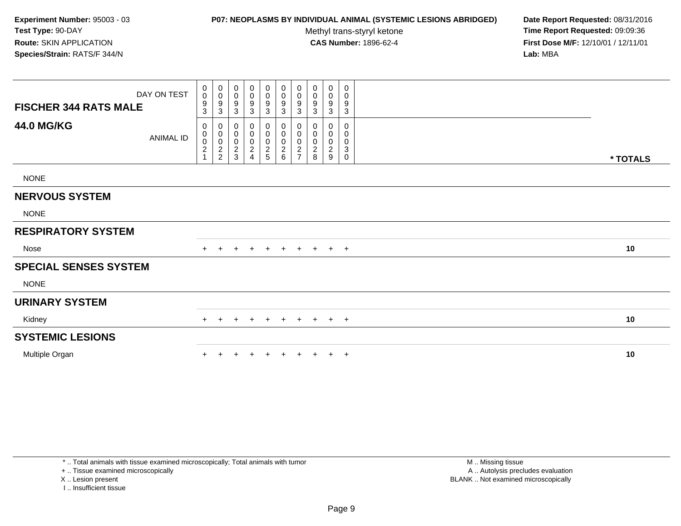# **P07: NEOPLASMS BY INDIVIDUAL ANIMAL (SYSTEMIC LESIONS ABRIDGED) Date Report Requested:** 08/31/2016

Methyl trans-styryl ketone<br>CAS Number: 1896-62-4

 **Time Report Requested:** 09:09:36 **First Dose M/F:** 12/10/01 / 12/11/01<br>**Lab:** MBA **Lab:** MBA

| <b>FISCHER 344 RATS MALE</b> | DAY ON TEST | 0<br>0<br>$\frac{9}{3}$ | $\begin{smallmatrix}0\0\0\9\end{smallmatrix}$<br>$\mathbf{3}$ | 0<br>$\mathsf 0$<br>9<br>3           | 0<br>$\pmb{0}$<br>9<br>3                                                | $\begin{smallmatrix}0\0\0\end{smallmatrix}$<br>9<br>3 | $\mathbf 0$<br>$\mathsf{O}\xspace$<br>$\boldsymbol{9}$<br>$\mathbf{3}$ | $\begin{smallmatrix} 0\\0 \end{smallmatrix}$<br>$\boldsymbol{9}$<br>$\sqrt{3}$ | $\begin{smallmatrix} 0\\0 \end{smallmatrix}$<br>9<br>$\mathbf{3}$ | 0<br>$\pmb{0}$<br>9<br>3                         | 0<br>0<br>9<br>$\ensuremath{\mathsf{3}}$                |          |  |
|------------------------------|-------------|-------------------------|---------------------------------------------------------------|--------------------------------------|-------------------------------------------------------------------------|-------------------------------------------------------|------------------------------------------------------------------------|--------------------------------------------------------------------------------|-------------------------------------------------------------------|--------------------------------------------------|---------------------------------------------------------|----------|--|
| <b>44.0 MG/KG</b>            | ANIMAL ID   | 0<br>0002               | 000002                                                        | 0<br>0<br>$\pmb{0}$<br>$\frac{2}{3}$ | 0<br>$\pmb{0}$<br>$\pmb{0}$<br>$\overline{c}$<br>$\boldsymbol{\Lambda}$ | 0<br>0<br>$\pmb{0}$<br>$\frac{2}{5}$                  | 0<br>$\pmb{0}$<br>$\pmb{0}$<br>$\frac{2}{6}$                           | 0<br>$\pmb{0}$<br>$\pmb{0}$<br>$\sqrt{2}$<br>$\overline{ }$                    | 0<br>$\boldsymbol{0}$<br>$\pmb{0}$<br>$^2_{\bf 8}$                | 0<br>$_{\rm 0}^{\rm 0}$<br>$\boldsymbol{2}$<br>9 | 0<br>0<br>0<br>$\ensuremath{\mathsf{3}}$<br>$\mathbf 0$ | * TOTALS |  |
| <b>NONE</b>                  |             |                         |                                                               |                                      |                                                                         |                                                       |                                                                        |                                                                                |                                                                   |                                                  |                                                         |          |  |
| <b>NERVOUS SYSTEM</b>        |             |                         |                                                               |                                      |                                                                         |                                                       |                                                                        |                                                                                |                                                                   |                                                  |                                                         |          |  |
| <b>NONE</b>                  |             |                         |                                                               |                                      |                                                                         |                                                       |                                                                        |                                                                                |                                                                   |                                                  |                                                         |          |  |
| <b>RESPIRATORY SYSTEM</b>    |             |                         |                                                               |                                      |                                                                         |                                                       |                                                                        |                                                                                |                                                                   |                                                  |                                                         |          |  |
| Nose                         |             | $+$                     |                                                               | $\div$                               | $+$                                                                     | $+$                                                   | $+$                                                                    | $+$                                                                            | $+$                                                               | $+$ $+$                                          |                                                         | 10       |  |
| <b>SPECIAL SENSES SYSTEM</b> |             |                         |                                                               |                                      |                                                                         |                                                       |                                                                        |                                                                                |                                                                   |                                                  |                                                         |          |  |
| <b>NONE</b>                  |             |                         |                                                               |                                      |                                                                         |                                                       |                                                                        |                                                                                |                                                                   |                                                  |                                                         |          |  |
| <b>URINARY SYSTEM</b>        |             |                         |                                                               |                                      |                                                                         |                                                       |                                                                        |                                                                                |                                                                   |                                                  |                                                         |          |  |
| Kidney                       |             | $+$                     | $\ddot{}$                                                     | $\ddot{}$                            | $+$                                                                     | $+$                                                   | $+$                                                                    | $+$                                                                            |                                                                   | $+$ $+$ $+$                                      |                                                         | 10       |  |
| <b>SYSTEMIC LESIONS</b>      |             |                         |                                                               |                                      |                                                                         |                                                       |                                                                        |                                                                                |                                                                   |                                                  |                                                         |          |  |
| Multiple Organ               |             |                         |                                                               |                                      |                                                                         | $\pm$                                                 | $+$                                                                    | $\ddot{}$                                                                      | $\ddot{}$                                                         |                                                  | $+$ $+$                                                 | 10       |  |

\* .. Total animals with tissue examined microscopically; Total animals with tumor

+ .. Tissue examined microscopically

X .. Lesion present

I .. Insufficient tissue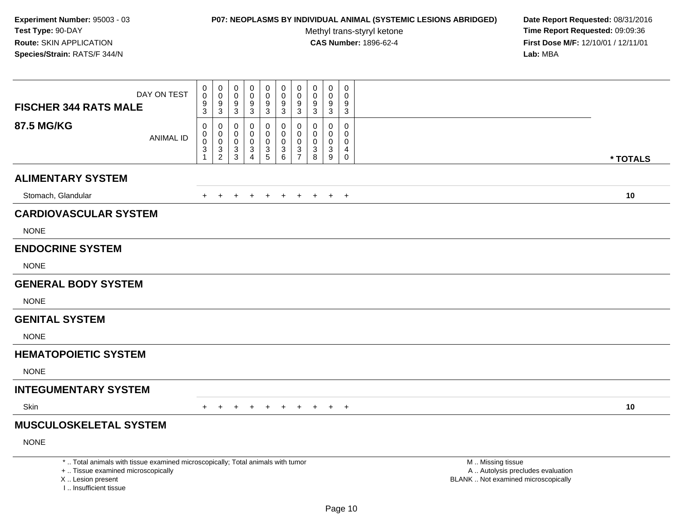# **P07: NEOPLASMS BY INDIVIDUAL ANIMAL (SYSTEMIC LESIONS ABRIDGED) Date Report Requested:** 08/31/2016

Methyl trans-styryl ketone<br>CAS Number: 1896-62-4

|                                                                                                                                                                     | DAY ON TEST      | $\pmb{0}$<br>$\ddot{\mathbf{0}}$                                              | $\mathbf 0$<br>$\mathbf 0$<br>9                      | $\pmb{0}$<br>$\mathbf 0$<br>9                                | $\mathsf 0$<br>$\mathbf 0$<br>$\boldsymbol{9}$            | $\mathbf 0$<br>$\mathbf 0$<br>$\boldsymbol{9}$ | $\mathbf 0$<br>$\mathbf 0$<br>$9\,$       | $\mathbf 0$<br>$\mathbf 0$<br>9                     | $\mathbf 0$<br>0<br>$9\,$                        | $\mathbf 0$<br>$\mathbf 0$<br>$\boldsymbol{9}$ | $\pmb{0}$<br>$\Omega$<br>9                                     |                                                                                               |          |
|---------------------------------------------------------------------------------------------------------------------------------------------------------------------|------------------|-------------------------------------------------------------------------------|------------------------------------------------------|--------------------------------------------------------------|-----------------------------------------------------------|------------------------------------------------|-------------------------------------------|-----------------------------------------------------|--------------------------------------------------|------------------------------------------------|----------------------------------------------------------------|-----------------------------------------------------------------------------------------------|----------|
| <b>FISCHER 344 RATS MALE</b>                                                                                                                                        |                  | $\frac{9}{3}$                                                                 | 3                                                    | $\mathbf{3}$                                                 | 3                                                         | $\mathbf{3}$                                   | 3                                         | 3                                                   | 3                                                | 3                                              | 3                                                              |                                                                                               |          |
| <b>87.5 MG/KG</b>                                                                                                                                                   | <b>ANIMAL ID</b> | 0<br>$\mathbf 0$<br>$\ddot{\mathbf{0}}$<br>$\sqrt{3}$<br>$\blacktriangleleft$ | 0<br>0<br>$\mathsf{O}\xspace$<br>3<br>$\overline{2}$ | $\Omega$<br>0<br>$\mathbf 0$<br>$\mathbf{3}$<br>$\mathbf{3}$ | $\mathbf 0$<br>0<br>$\pmb{0}$<br>$\mathbf{3}$<br>$\Delta$ | 0<br>$\mathbf 0$<br>$\pmb{0}$<br>$\frac{3}{5}$ | $\mathbf 0$<br>0<br>$\mathbf 0$<br>3<br>6 | $\Omega$<br>0<br>$\mathbf 0$<br>3<br>$\overline{7}$ | $\mathbf 0$<br>$\Omega$<br>$\mathbf 0$<br>3<br>8 | 0<br>0<br>$\mathbf 0$<br>3<br>9                | $\mathbf 0$<br>$\mathbf 0$<br>$\mathbf{0}$<br>4<br>$\mathbf 0$ |                                                                                               | * TOTALS |
| <b>ALIMENTARY SYSTEM</b>                                                                                                                                            |                  |                                                                               |                                                      |                                                              |                                                           |                                                |                                           |                                                     |                                                  |                                                |                                                                |                                                                                               |          |
| Stomach, Glandular                                                                                                                                                  |                  | $+$                                                                           | $+$                                                  |                                                              | + + + + + + +                                             |                                                |                                           |                                                     |                                                  |                                                | $+$                                                            |                                                                                               | 10       |
| <b>CARDIOVASCULAR SYSTEM</b>                                                                                                                                        |                  |                                                                               |                                                      |                                                              |                                                           |                                                |                                           |                                                     |                                                  |                                                |                                                                |                                                                                               |          |
| <b>NONE</b>                                                                                                                                                         |                  |                                                                               |                                                      |                                                              |                                                           |                                                |                                           |                                                     |                                                  |                                                |                                                                |                                                                                               |          |
| <b>ENDOCRINE SYSTEM</b>                                                                                                                                             |                  |                                                                               |                                                      |                                                              |                                                           |                                                |                                           |                                                     |                                                  |                                                |                                                                |                                                                                               |          |
| <b>NONE</b>                                                                                                                                                         |                  |                                                                               |                                                      |                                                              |                                                           |                                                |                                           |                                                     |                                                  |                                                |                                                                |                                                                                               |          |
| <b>GENERAL BODY SYSTEM</b>                                                                                                                                          |                  |                                                                               |                                                      |                                                              |                                                           |                                                |                                           |                                                     |                                                  |                                                |                                                                |                                                                                               |          |
| <b>NONE</b>                                                                                                                                                         |                  |                                                                               |                                                      |                                                              |                                                           |                                                |                                           |                                                     |                                                  |                                                |                                                                |                                                                                               |          |
| <b>GENITAL SYSTEM</b>                                                                                                                                               |                  |                                                                               |                                                      |                                                              |                                                           |                                                |                                           |                                                     |                                                  |                                                |                                                                |                                                                                               |          |
| <b>NONE</b>                                                                                                                                                         |                  |                                                                               |                                                      |                                                              |                                                           |                                                |                                           |                                                     |                                                  |                                                |                                                                |                                                                                               |          |
| <b>HEMATOPOIETIC SYSTEM</b>                                                                                                                                         |                  |                                                                               |                                                      |                                                              |                                                           |                                                |                                           |                                                     |                                                  |                                                |                                                                |                                                                                               |          |
| <b>NONE</b>                                                                                                                                                         |                  |                                                                               |                                                      |                                                              |                                                           |                                                |                                           |                                                     |                                                  |                                                |                                                                |                                                                                               |          |
| <b>INTEGUMENTARY SYSTEM</b>                                                                                                                                         |                  |                                                                               |                                                      |                                                              |                                                           |                                                |                                           |                                                     |                                                  |                                                |                                                                |                                                                                               |          |
| Skin                                                                                                                                                                |                  |                                                                               | $+$                                                  | $\pm$                                                        | $+$                                                       | $\pm$                                          | $\pm$                                     | $+$                                                 | $\pm$                                            | $+$                                            | $+$                                                            |                                                                                               | 10       |
| <b>MUSCULOSKELETAL SYSTEM</b>                                                                                                                                       |                  |                                                                               |                                                      |                                                              |                                                           |                                                |                                           |                                                     |                                                  |                                                |                                                                |                                                                                               |          |
| <b>NONE</b>                                                                                                                                                         |                  |                                                                               |                                                      |                                                              |                                                           |                                                |                                           |                                                     |                                                  |                                                |                                                                |                                                                                               |          |
| *  Total animals with tissue examined microscopically; Total animals with tumor<br>+  Tissue examined microscopically<br>X  Lesion present<br>I Insufficient tissue |                  |                                                                               |                                                      |                                                              |                                                           |                                                |                                           |                                                     |                                                  |                                                |                                                                | M  Missing tissue<br>A  Autolysis precludes evaluation<br>BLANK  Not examined microscopically |          |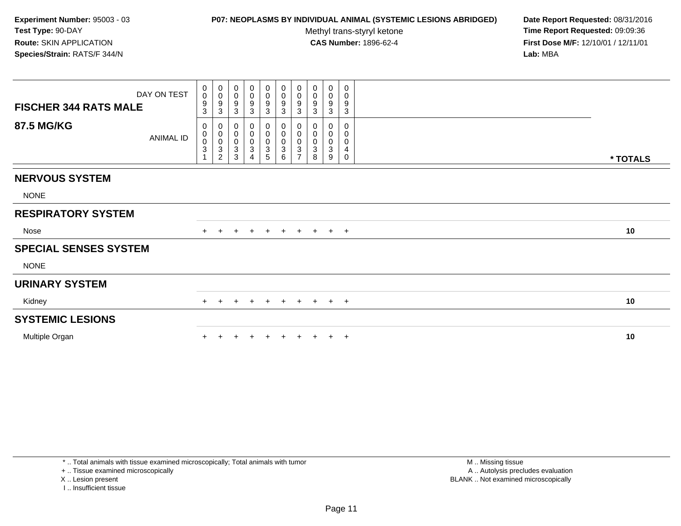### **P07: NEOPLASMS BY INDIVIDUAL ANIMAL (SYSTEMIC LESIONS ABRIDGED) Date Report Requested:** 08/31/2016

Methyl trans-styryl ketone<br>CAS Number: 1896-62-4

 **Time Report Requested:** 09:09:36 **First Dose M/F:** 12/10/01 / 12/11/01<br>**Lab:** MBA **Lab:** MBA

| <b>FISCHER 344 RATS MALE</b><br><b>87.5 MG/KG</b> | DAY ON TEST<br><b>ANIMAL ID</b> | $\begin{smallmatrix}0\0\0\end{smallmatrix}$<br>$\frac{9}{3}$<br>0<br>$\begin{smallmatrix}0\0\0\3\end{smallmatrix}$ | $_{\rm 0}^{\rm 0}$<br>$\boldsymbol{9}$<br>$\sqrt{3}$<br>0<br>$\begin{smallmatrix}0\\0\\3\end{smallmatrix}$ | $\begin{smallmatrix}0\0\0\end{smallmatrix}$<br>$\boldsymbol{9}$<br>3<br>0<br>$\boldsymbol{0}$<br>$\pmb{0}$ | $_{\rm 0}^{\rm 0}$<br>9<br>$\ensuremath{\mathsf{3}}$<br>0<br>$\pmb{0}$<br>$\pmb{0}$ | $_0^0$<br>9<br>3<br>0<br>$\pmb{0}$<br>$\mathsf{O}\xspace$ | $_{\rm 0}^{\rm 0}$<br>$\frac{9}{3}$<br>$_{\rm 0}^{\rm 0}$<br>$\frac{0}{3}$ | $_{\rm 0}^{\rm 0}$<br>$\boldsymbol{9}$<br>$\sqrt{3}$<br>0<br>$\pmb{0}$<br>$\pmb{0}$ | $\begin{smallmatrix} 0\\0 \end{smallmatrix}$<br>$\boldsymbol{9}$<br>$\sqrt{3}$<br>0<br>$\pmb{0}$<br>$\mathsf{O}\xspace$ | $_{\rm 0}^{\rm 0}$<br>$\boldsymbol{9}$<br>$\mathbf{3}$<br>0<br>$\pmb{0}$<br>$\mathsf 0$ | 0<br>0<br>9<br>3<br>0<br>0<br>0 |          |
|---------------------------------------------------|---------------------------------|--------------------------------------------------------------------------------------------------------------------|------------------------------------------------------------------------------------------------------------|------------------------------------------------------------------------------------------------------------|-------------------------------------------------------------------------------------|-----------------------------------------------------------|----------------------------------------------------------------------------|-------------------------------------------------------------------------------------|-------------------------------------------------------------------------------------------------------------------------|-----------------------------------------------------------------------------------------|---------------------------------|----------|
|                                                   |                                 |                                                                                                                    | $\overline{c}$                                                                                             | $\ensuremath{\mathsf{3}}$<br>3                                                                             | $\ensuremath{\mathsf{3}}$<br>4                                                      | 3<br>5                                                    | 6                                                                          | $\sqrt{3}$<br>$\overline{ }$                                                        | 3<br>8                                                                                                                  | $\sqrt{3}$<br>9                                                                         | 4<br>0                          | * TOTALS |
| <b>NERVOUS SYSTEM</b>                             |                                 |                                                                                                                    |                                                                                                            |                                                                                                            |                                                                                     |                                                           |                                                                            |                                                                                     |                                                                                                                         |                                                                                         |                                 |          |
| <b>NONE</b>                                       |                                 |                                                                                                                    |                                                                                                            |                                                                                                            |                                                                                     |                                                           |                                                                            |                                                                                     |                                                                                                                         |                                                                                         |                                 |          |
| <b>RESPIRATORY SYSTEM</b>                         |                                 |                                                                                                                    |                                                                                                            |                                                                                                            |                                                                                     |                                                           |                                                                            |                                                                                     |                                                                                                                         |                                                                                         |                                 |          |
| Nose                                              |                                 | $+$                                                                                                                | $\pm$                                                                                                      | $\ddot{}$                                                                                                  | $+$                                                                                 | $+$                                                       | $+$                                                                        | $+$                                                                                 |                                                                                                                         | $+$ $+$ $+$                                                                             |                                 | 10       |
| <b>SPECIAL SENSES SYSTEM</b>                      |                                 |                                                                                                                    |                                                                                                            |                                                                                                            |                                                                                     |                                                           |                                                                            |                                                                                     |                                                                                                                         |                                                                                         |                                 |          |
| <b>NONE</b>                                       |                                 |                                                                                                                    |                                                                                                            |                                                                                                            |                                                                                     |                                                           |                                                                            |                                                                                     |                                                                                                                         |                                                                                         |                                 |          |
| <b>URINARY SYSTEM</b>                             |                                 |                                                                                                                    |                                                                                                            |                                                                                                            |                                                                                     |                                                           |                                                                            |                                                                                     |                                                                                                                         |                                                                                         |                                 |          |
| Kidney                                            |                                 |                                                                                                                    | $\pm$                                                                                                      | $\pm$                                                                                                      |                                                                                     | $+$                                                       | $+$                                                                        | $+$                                                                                 | $+$                                                                                                                     | $+$ $+$                                                                                 |                                 | 10       |
| <b>SYSTEMIC LESIONS</b>                           |                                 |                                                                                                                    |                                                                                                            |                                                                                                            |                                                                                     |                                                           |                                                                            |                                                                                     |                                                                                                                         |                                                                                         |                                 |          |
| Multiple Organ                                    |                                 |                                                                                                                    |                                                                                                            |                                                                                                            |                                                                                     |                                                           | ÷                                                                          |                                                                                     |                                                                                                                         | $\pm$                                                                                   | $+$                             | 10       |

\* .. Total animals with tissue examined microscopically; Total animals with tumor

+ .. Tissue examined microscopically

X .. Lesion present

I .. Insufficient tissue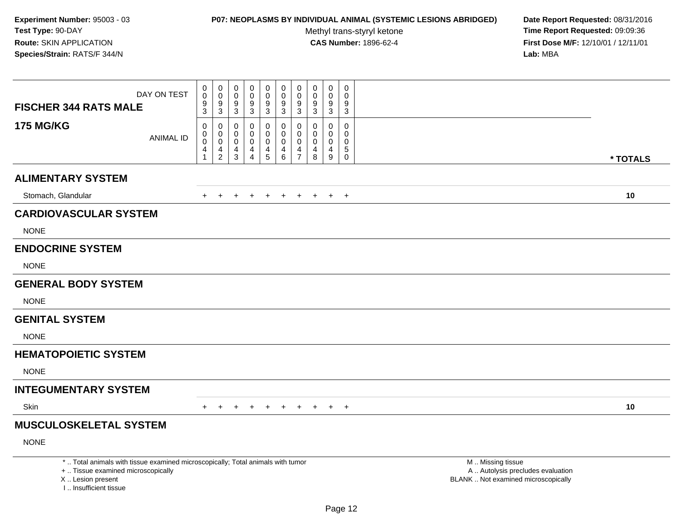# **P07: NEOPLASMS BY INDIVIDUAL ANIMAL (SYSTEMIC LESIONS ABRIDGED) Date Report Requested:** 08/31/2016

Methyl trans-styryl ketone<br>CAS Number: 1896-62-4

| <b>FISCHER 344 RATS MALE</b>                                                                                                                                        | DAY ON TEST      | $\mathbf 0$<br>0<br>$\boldsymbol{9}$ | $\mathsf{O}\xspace$<br>$\mathbf 0$<br>9 | $\mathbf 0$<br>$\mathbf 0$<br>9 | $\mathbf 0$<br>$\mathbf 0$<br>9 | $\pmb{0}$<br>$\mathsf{O}\xspace$<br>$\boldsymbol{9}$ | $\mathbf 0$<br>$\mathbf 0$<br>9 | $\pmb{0}$<br>$\mathbf 0$<br>9 | $\mathbf 0$<br>0<br>9 | $\pmb{0}$<br>0<br>9         | $\mathbf 0$<br>$\Omega$<br>9   |                                                                                               |          |
|---------------------------------------------------------------------------------------------------------------------------------------------------------------------|------------------|--------------------------------------|-----------------------------------------|---------------------------------|---------------------------------|------------------------------------------------------|---------------------------------|-------------------------------|-----------------------|-----------------------------|--------------------------------|-----------------------------------------------------------------------------------------------|----------|
|                                                                                                                                                                     |                  | 3                                    | $\sqrt{3}$                              | 3                               | 3                               | 3                                                    | $\mathbf{3}$                    | 3                             | 3                     | $\sqrt{3}$                  | $\mathbf{3}$                   |                                                                                               |          |
| <b>175 MG/KG</b>                                                                                                                                                    | <b>ANIMAL ID</b> | 0<br>$\mathbf 0$                     | $\mathbf 0$<br>$\mathbf 0$              | $\Omega$<br>0                   | 0<br>$\mathbf 0$                | 0<br>$\mathbf 0$                                     | $\mathbf 0$<br>$\mathbf 0$      | $\Omega$<br>0                 | $\Omega$<br>0         | $\Omega$<br>$\mathbf 0$     | $\Omega$<br>$\Omega$           |                                                                                               |          |
|                                                                                                                                                                     |                  | $\mathsf{O}\xspace$<br>4             | $\ddot{\mathbf{0}}$<br>$\overline{4}$   | $\mathbf 0$<br>$\overline{4}$   | $\mathbf 0$<br>$\overline{4}$   | $\pmb{0}$<br>$\frac{4}{5}$                           | $\mathbf 0$<br>4                | $\mathbf 0$<br>4              | 0<br>4                | $\pmb{0}$<br>$\overline{4}$ | $\mathbf 0$<br>$5\phantom{.0}$ |                                                                                               |          |
|                                                                                                                                                                     |                  | $\mathbf{1}$                         | $\overline{2}$                          | $\mathbf{3}$                    | $\overline{4}$                  |                                                      | 6                               | $\overline{7}$                | 8                     | 9                           | $\mathbf{0}$                   |                                                                                               | * TOTALS |
| <b>ALIMENTARY SYSTEM</b>                                                                                                                                            |                  |                                      |                                         |                                 |                                 |                                                      |                                 |                               |                       |                             |                                |                                                                                               |          |
| Stomach, Glandular                                                                                                                                                  |                  | $+$                                  | $\ddot{}$                               | $\ddot{}$                       | $+$                             | $+$                                                  | $\ddot{}$                       | $+$                           | $+$                   | $+$                         | $+$                            |                                                                                               | 10       |
| <b>CARDIOVASCULAR SYSTEM</b>                                                                                                                                        |                  |                                      |                                         |                                 |                                 |                                                      |                                 |                               |                       |                             |                                |                                                                                               |          |
| <b>NONE</b>                                                                                                                                                         |                  |                                      |                                         |                                 |                                 |                                                      |                                 |                               |                       |                             |                                |                                                                                               |          |
| <b>ENDOCRINE SYSTEM</b>                                                                                                                                             |                  |                                      |                                         |                                 |                                 |                                                      |                                 |                               |                       |                             |                                |                                                                                               |          |
| <b>NONE</b>                                                                                                                                                         |                  |                                      |                                         |                                 |                                 |                                                      |                                 |                               |                       |                             |                                |                                                                                               |          |
| <b>GENERAL BODY SYSTEM</b>                                                                                                                                          |                  |                                      |                                         |                                 |                                 |                                                      |                                 |                               |                       |                             |                                |                                                                                               |          |
| <b>NONE</b>                                                                                                                                                         |                  |                                      |                                         |                                 |                                 |                                                      |                                 |                               |                       |                             |                                |                                                                                               |          |
| <b>GENITAL SYSTEM</b>                                                                                                                                               |                  |                                      |                                         |                                 |                                 |                                                      |                                 |                               |                       |                             |                                |                                                                                               |          |
| <b>NONE</b>                                                                                                                                                         |                  |                                      |                                         |                                 |                                 |                                                      |                                 |                               |                       |                             |                                |                                                                                               |          |
| <b>HEMATOPOIETIC SYSTEM</b>                                                                                                                                         |                  |                                      |                                         |                                 |                                 |                                                      |                                 |                               |                       |                             |                                |                                                                                               |          |
| <b>NONE</b>                                                                                                                                                         |                  |                                      |                                         |                                 |                                 |                                                      |                                 |                               |                       |                             |                                |                                                                                               |          |
| <b>INTEGUMENTARY SYSTEM</b>                                                                                                                                         |                  |                                      |                                         |                                 |                                 |                                                      |                                 |                               |                       |                             |                                |                                                                                               |          |
| Skin                                                                                                                                                                |                  |                                      |                                         |                                 |                                 |                                                      |                                 |                               | $+$                   | $+$                         | $+$                            |                                                                                               | 10       |
| <b>MUSCULOSKELETAL SYSTEM</b>                                                                                                                                       |                  |                                      |                                         |                                 |                                 |                                                      |                                 |                               |                       |                             |                                |                                                                                               |          |
| <b>NONE</b>                                                                                                                                                         |                  |                                      |                                         |                                 |                                 |                                                      |                                 |                               |                       |                             |                                |                                                                                               |          |
| *  Total animals with tissue examined microscopically; Total animals with tumor<br>+  Tissue examined microscopically<br>X  Lesion present<br>I Insufficient tissue |                  |                                      |                                         |                                 |                                 |                                                      |                                 |                               |                       |                             |                                | M  Missing tissue<br>A  Autolysis precludes evaluation<br>BLANK  Not examined microscopically |          |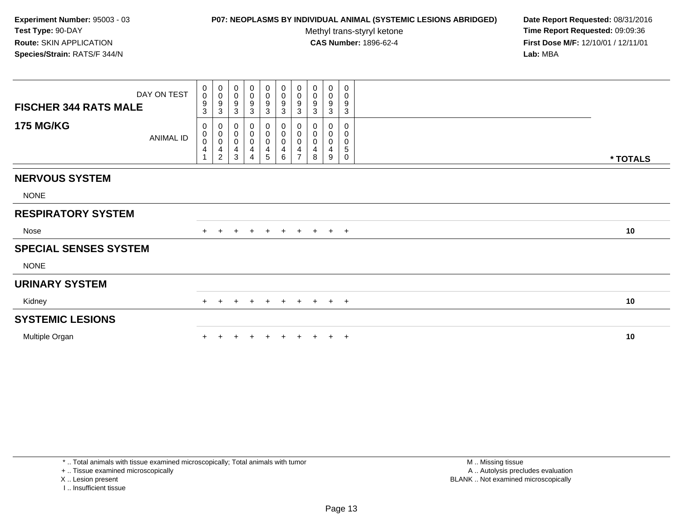### **P07: NEOPLASMS BY INDIVIDUAL ANIMAL (SYSTEMIC LESIONS ABRIDGED) Date Report Requested:** 08/31/2016

Methyl trans-styryl ketone<br>CAS Number: 1896-62-4

 **Time Report Requested:** 09:09:36 **First Dose M/F:** 12/10/01 / 12/11/01<br>**Lab:** MBA **Lab:** MBA

| DAY ON TEST<br><b>FISCHER 344 RATS MALE</b><br><b>175 MG/KG</b> | $\begin{smallmatrix}0\0\0\end{smallmatrix}$<br>9<br>3<br>0<br>$\mathbf 0$ | $\begin{smallmatrix}0\\0\end{smallmatrix}$<br>$\frac{9}{3}$<br>$\mathbf 0$ | 0<br>$\pmb{0}$<br>9<br>$\mathbf{3}$<br>0<br>$\pmb{0}$ | $\begin{smallmatrix}0\\0\end{smallmatrix}$<br>$\boldsymbol{9}$<br>$\mathbf{3}$<br>0 | $_{\rm 0}^{\rm 0}$<br>$\frac{9}{3}$<br>0<br>$\pmb{0}$ | $_0^0$<br>$\frac{9}{3}$<br>0<br>$\mathsf{O}\xspace$ | $\begin{array}{c} 0 \\ 0 \\ 9 \\ 3 \end{array}$<br>0<br>$\ddot{\mathbf{0}}$ | 0<br>$\pmb{0}$<br>$9\,$<br>$\mathbf{3}$<br>0<br>0 | $\boldsymbol{0}$<br>$\pmb{0}$<br>9<br>$\mathbf 3$<br>0<br>0 | 0<br>0<br>9<br>$\sqrt{3}$<br>0<br>0 |          |
|-----------------------------------------------------------------|---------------------------------------------------------------------------|----------------------------------------------------------------------------|-------------------------------------------------------|-------------------------------------------------------------------------------------|-------------------------------------------------------|-----------------------------------------------------|-----------------------------------------------------------------------------|---------------------------------------------------|-------------------------------------------------------------|-------------------------------------|----------|
| <b>ANIMAL ID</b>                                                | $\mathsf{O}\xspace$<br>4                                                  | $\overline{0}$<br>$\frac{4}{2}$                                            | $\pmb{0}$<br>4<br>3                                   | 0<br>4                                                                              | $\pmb{0}$<br>4<br>5                                   | 0<br>4<br>6                                         | $\pmb{0}$<br>$\overline{\mathbf{4}}$<br>$\overline{ }$                      | 0<br>4<br>8                                       | $\mathbf 0$<br>$\overline{4}$<br>9                          | 0<br>5<br>$\mathbf 0$               | * TOTALS |
| <b>NERVOUS SYSTEM</b>                                           |                                                                           |                                                                            |                                                       |                                                                                     |                                                       |                                                     |                                                                             |                                                   |                                                             |                                     |          |
| <b>NONE</b>                                                     |                                                                           |                                                                            |                                                       |                                                                                     |                                                       |                                                     |                                                                             |                                                   |                                                             |                                     |          |
| <b>RESPIRATORY SYSTEM</b>                                       |                                                                           |                                                                            |                                                       |                                                                                     |                                                       |                                                     |                                                                             |                                                   |                                                             |                                     |          |
| Nose                                                            | $+$                                                                       | $\pm$                                                                      | $\div$                                                | $\ddot{}$                                                                           | $+$                                                   | $+$                                                 |                                                                             | $+$ $+$ $+$ $+$                                   |                                                             |                                     | 10       |
| <b>SPECIAL SENSES SYSTEM</b>                                    |                                                                           |                                                                            |                                                       |                                                                                     |                                                       |                                                     |                                                                             |                                                   |                                                             |                                     |          |
| <b>NONE</b>                                                     |                                                                           |                                                                            |                                                       |                                                                                     |                                                       |                                                     |                                                                             |                                                   |                                                             |                                     |          |
| <b>URINARY SYSTEM</b>                                           |                                                                           |                                                                            |                                                       |                                                                                     |                                                       |                                                     |                                                                             |                                                   |                                                             |                                     |          |
| Kidney                                                          |                                                                           | $+$<br>$+$                                                                 | $\pm$                                                 | $+$                                                                                 | $+$                                                   | $+$                                                 | + + + +                                                                     |                                                   |                                                             |                                     | 10       |
| <b>SYSTEMIC LESIONS</b>                                         |                                                                           |                                                                            |                                                       |                                                                                     |                                                       |                                                     |                                                                             |                                                   |                                                             |                                     |          |
| Multiple Organ                                                  |                                                                           |                                                                            |                                                       |                                                                                     |                                                       |                                                     |                                                                             |                                                   |                                                             | $\pm$                               | 10       |

\* .. Total animals with tissue examined microscopically; Total animals with tumor

+ .. Tissue examined microscopically

X .. Lesion present

I .. Insufficient tissue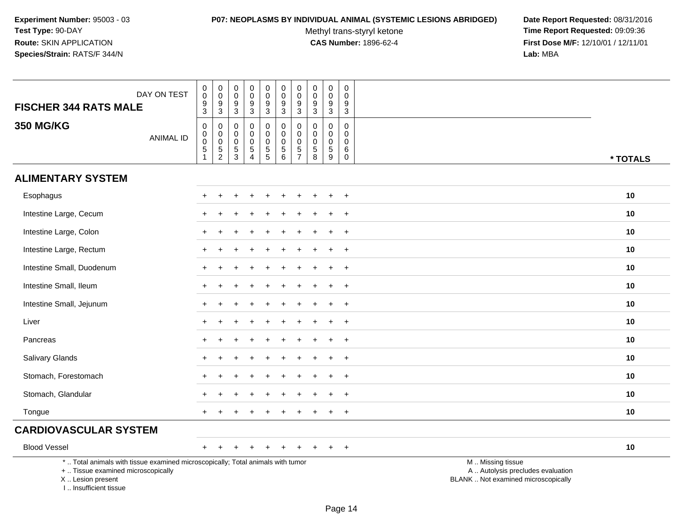#### **P07: NEOPLASMS BY INDIVIDUAL ANIMAL (SYSTEMIC LESIONS ABRIDGED) Date Report Requested:** 08/31/2016

Methyl trans-styryl ketone<br>CAS Number: 1896-62-4

| DAY ON TEST<br><b>FISCHER 344 RATS MALE</b>                                                                                                                         |                  | $\mathbf 0$<br>$\overline{0}$<br>$\frac{9}{3}$                   | $\begin{array}{c} 0 \\ 0 \\ 9 \\ 3 \end{array}$ | 0<br>$\mathbf 0$<br>$\frac{9}{3}$                           | $\mathbf 0$<br>$\pmb{0}$<br>$\frac{9}{3}$                                  | $\begin{smallmatrix}0\0\0\end{smallmatrix}$<br>$\frac{9}{3}$ | $_{\rm 0}^{\rm 0}$<br>$\boldsymbol{9}$<br>$\overline{3}$                         | $_{\rm 0}^{\rm 0}$<br>$\frac{9}{3}$                      | $\begin{smallmatrix}0\\0\end{smallmatrix}$<br>$\frac{9}{3}$                        | $\pmb{0}$<br>$\mathbf 0$<br>9<br>$\mathbf{3}$                | $\mathbf 0$<br>$\mathbf 0$<br>$\frac{9}{3}$                                    |                                                                                               |  |
|---------------------------------------------------------------------------------------------------------------------------------------------------------------------|------------------|------------------------------------------------------------------|-------------------------------------------------|-------------------------------------------------------------|----------------------------------------------------------------------------|--------------------------------------------------------------|----------------------------------------------------------------------------------|----------------------------------------------------------|------------------------------------------------------------------------------------|--------------------------------------------------------------|--------------------------------------------------------------------------------|-----------------------------------------------------------------------------------------------|--|
| <b>350 MG/KG</b>                                                                                                                                                    | <b>ANIMAL ID</b> | $\mathsf 0$<br>$\mathbf 0$<br>$\mathsf{O}\xspace$<br>$\,$ 5 $\,$ | $\pmb{0}$<br>$\overline{0}$<br>$\frac{5}{2}$    | $\mathbf 0$<br>$\mathbf 0$<br>$\mathbf{0}$<br>$\frac{5}{3}$ | $\mathbf 0$<br>$\mathbf 0$<br>$\mathbf 0$<br>$\,$ 5 $\,$<br>$\overline{4}$ | 0<br>$\mathsf 0$<br>0<br>$\frac{5}{5}$                       | $\pmb{0}$<br>$\mathbf 0$<br>$\mathbf 0$<br>$\begin{array}{c} 5 \\ 6 \end{array}$ | $\mathbf 0$<br>$\pmb{0}$<br>$\mathbf 0$<br>$\frac{5}{7}$ | $\mathbf 0$<br>$\mathbf 0$<br>$\mathbf 0$<br>$\begin{array}{c} 5 \\ 8 \end{array}$ | $\mathbf 0$<br>$\mathbf 0$<br>$\mathbf 0$<br>$\sqrt{5}$<br>9 | $\mathsf{O}\xspace$<br>$\mathbf 0$<br>$\mathbf 0$<br>$\,6\,$<br>$\overline{0}$ | * TOTALS                                                                                      |  |
| <b>ALIMENTARY SYSTEM</b>                                                                                                                                            |                  |                                                                  |                                                 |                                                             |                                                                            |                                                              |                                                                                  |                                                          |                                                                                    |                                                              |                                                                                |                                                                                               |  |
| Esophagus                                                                                                                                                           |                  |                                                                  |                                                 |                                                             |                                                                            |                                                              |                                                                                  |                                                          |                                                                                    |                                                              | $\overline{+}$                                                                 | 10                                                                                            |  |
| Intestine Large, Cecum                                                                                                                                              |                  | $\pm$                                                            |                                                 |                                                             |                                                                            |                                                              |                                                                                  |                                                          |                                                                                    | ÷                                                            | $+$                                                                            | 10                                                                                            |  |
| Intestine Large, Colon                                                                                                                                              |                  | +                                                                |                                                 |                                                             |                                                                            |                                                              |                                                                                  |                                                          |                                                                                    |                                                              | $+$                                                                            | 10                                                                                            |  |
| Intestine Large, Rectum                                                                                                                                             |                  | +                                                                |                                                 |                                                             |                                                                            |                                                              |                                                                                  |                                                          |                                                                                    |                                                              | $\overline{+}$                                                                 | 10                                                                                            |  |
| Intestine Small, Duodenum                                                                                                                                           |                  |                                                                  |                                                 |                                                             |                                                                            |                                                              |                                                                                  |                                                          |                                                                                    |                                                              | $\ddot{}$                                                                      | 10                                                                                            |  |
| Intestine Small, Ileum                                                                                                                                              |                  | +                                                                |                                                 |                                                             |                                                                            |                                                              |                                                                                  |                                                          |                                                                                    |                                                              | $\overline{+}$                                                                 | 10                                                                                            |  |
| Intestine Small, Jejunum                                                                                                                                            |                  | +                                                                |                                                 |                                                             |                                                                            |                                                              |                                                                                  |                                                          |                                                                                    |                                                              | $+$                                                                            | 10                                                                                            |  |
| Liver                                                                                                                                                               |                  |                                                                  |                                                 |                                                             |                                                                            |                                                              |                                                                                  |                                                          |                                                                                    |                                                              | $\ddot{}$                                                                      | 10                                                                                            |  |
| Pancreas                                                                                                                                                            |                  |                                                                  |                                                 |                                                             |                                                                            |                                                              |                                                                                  |                                                          |                                                                                    |                                                              | $\ddot{}$                                                                      | 10                                                                                            |  |
| Salivary Glands                                                                                                                                                     |                  | $+$                                                              |                                                 |                                                             |                                                                            |                                                              |                                                                                  |                                                          |                                                                                    |                                                              | $+$                                                                            | 10                                                                                            |  |
| Stomach, Forestomach                                                                                                                                                |                  |                                                                  |                                                 |                                                             |                                                                            |                                                              |                                                                                  |                                                          |                                                                                    |                                                              | $\overline{+}$                                                                 | 10                                                                                            |  |
| Stomach, Glandular                                                                                                                                                  |                  |                                                                  |                                                 |                                                             |                                                                            |                                                              |                                                                                  |                                                          |                                                                                    |                                                              |                                                                                | 10                                                                                            |  |
| Tongue                                                                                                                                                              |                  | $\pm$                                                            |                                                 |                                                             |                                                                            |                                                              |                                                                                  |                                                          |                                                                                    |                                                              | $\ddot{}$                                                                      | 10                                                                                            |  |
| <b>CARDIOVASCULAR SYSTEM</b>                                                                                                                                        |                  |                                                                  |                                                 |                                                             |                                                                            |                                                              |                                                                                  |                                                          |                                                                                    |                                                              |                                                                                |                                                                                               |  |
| <b>Blood Vessel</b>                                                                                                                                                 |                  | $+$                                                              | $\pm$                                           | $\pm$                                                       | $\ddot{}$                                                                  | $\pm$                                                        | $+$                                                                              | $+$                                                      | $+$                                                                                | $+$                                                          | $+$                                                                            | 10                                                                                            |  |
| *  Total animals with tissue examined microscopically; Total animals with tumor<br>+  Tissue examined microscopically<br>X  Lesion present<br>I Insufficient tissue |                  |                                                                  |                                                 |                                                             |                                                                            |                                                              |                                                                                  |                                                          |                                                                                    |                                                              |                                                                                | M  Missing tissue<br>A  Autolysis precludes evaluation<br>BLANK  Not examined microscopically |  |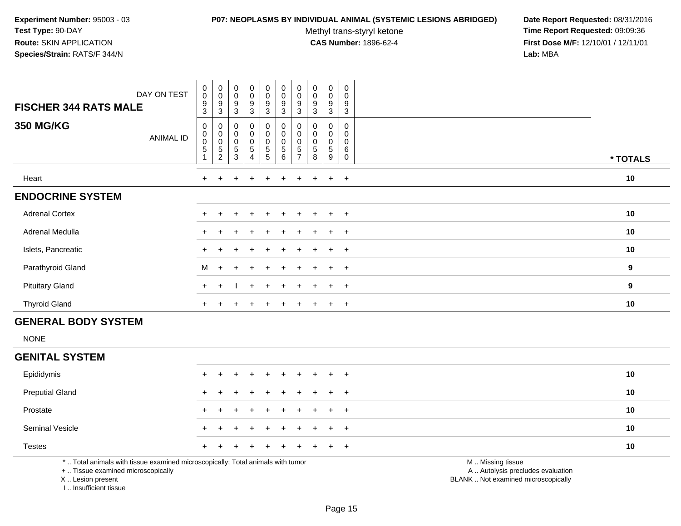#### **P07: NEOPLASMS BY INDIVIDUAL ANIMAL (SYSTEMIC LESIONS ABRIDGED) Date Report Requested:** 08/31/2016

Methyl trans-styryl ketone<br>CAS Number: 1896-62-4

 **Time Report Requested:** 09:09:36 **First Dose M/F:** 12/10/01 / 12/11/01<br>**Lab:** MBA **Lab:** MBA

| DAY ON TEST<br><b>FISCHER 344 RATS MALE</b> | $\pmb{0}$<br>$\pmb{0}$<br>$\boldsymbol{9}$<br>3 | $\begin{smallmatrix}0\\0\\9\end{smallmatrix}$<br>$\sqrt{3}$ | $_{\rm 0}^{\rm 0}$<br>$\boldsymbol{9}$<br>$\sqrt{3}$                 | $\mathbf 0$<br>$\pmb{0}$<br>$\boldsymbol{9}$<br>$\mathbf{3}$ | $_{\rm 0}^{\rm 0}$<br>$\boldsymbol{9}$<br>$\mathbf{3}$ | $_{\rm 0}^{\rm 0}$<br>$\boldsymbol{9}$<br>$\sqrt{3}$                    | $_{\rm 0}^{\rm 0}$<br>9<br>3                                          | $\begin{smallmatrix}0\\0\end{smallmatrix}$<br>9<br>3 | $\mathbf 0$<br>0<br>$\boldsymbol{9}$<br>3 | 0<br>$\pmb{0}$<br>$\boldsymbol{9}$<br>3 |                  |
|---------------------------------------------|-------------------------------------------------|-------------------------------------------------------------|----------------------------------------------------------------------|--------------------------------------------------------------|--------------------------------------------------------|-------------------------------------------------------------------------|-----------------------------------------------------------------------|------------------------------------------------------|-------------------------------------------|-----------------------------------------|------------------|
| <b>350 MG/KG</b><br>ANIMAL ID               | 0<br>$\pmb{0}$<br>$\pmb{0}$<br>$\sqrt{5}$       | 0<br>0<br>0<br>5<br>2                                       | $\boldsymbol{0}$<br>$_{\rm 0}^{\rm 0}$<br>$\mathbf 5$<br>$\mathsf 3$ | 0<br>$\pmb{0}$<br>$\mathbf 0$<br>$\sqrt{5}$<br>4             | $\pmb{0}$<br>$\pmb{0}$<br>0<br>$\mathbf 5$<br>5        | $\begin{smallmatrix}0\\0\\0\end{smallmatrix}$<br>$\mathbf 5$<br>$\,6\,$ | 0<br>$_{\rm 0}^{\rm 0}$<br>$\overline{5}$<br>$\overline{\phantom{a}}$ | $\pmb{0}$<br>$\pmb{0}$<br>5<br>8                     | 0<br>0<br>0<br>5<br>9                     | 0<br>0<br>0<br>6<br>0                   | * TOTALS         |
| Heart                                       | $\ddot{}$                                       |                                                             |                                                                      |                                                              |                                                        |                                                                         |                                                                       |                                                      | $\ddot{}$                                 | $+$                                     | 10               |
| <b>ENDOCRINE SYSTEM</b>                     |                                                 |                                                             |                                                                      |                                                              |                                                        |                                                                         |                                                                       |                                                      |                                           |                                         |                  |
| <b>Adrenal Cortex</b>                       | $+$                                             |                                                             | $\pm$                                                                | $\div$                                                       | $+$                                                    | $+$                                                                     | $+$                                                                   | $+$                                                  | $\pm$                                     | $+$                                     | 10               |
| Adrenal Medulla                             | $\pm$                                           |                                                             |                                                                      | $\div$                                                       | $+$                                                    | $+$                                                                     | $+$                                                                   | $+$                                                  | $\pm$                                     | $+$                                     | 10               |
| Islets, Pancreatic                          |                                                 |                                                             |                                                                      |                                                              | $+$                                                    | $+$                                                                     |                                                                       | $+$                                                  | $+$                                       | $+$                                     | 10               |
| Parathyroid Gland                           | M                                               | $\ddot{}$                                                   | $\div$                                                               |                                                              | $+$                                                    | $\pm$                                                                   |                                                                       | $\pm$                                                |                                           | $+$                                     | 9                |
| <b>Pituitary Gland</b>                      | $+$                                             |                                                             |                                                                      | $\div$                                                       | $+$                                                    | $\div$                                                                  |                                                                       |                                                      | $\div$                                    | $+$                                     | $\boldsymbol{9}$ |
| <b>Thyroid Gland</b>                        | $\ddot{}$                                       |                                                             |                                                                      | $\overline{ }$                                               | $\pm$                                                  | $\pm$                                                                   | ÷.                                                                    | $\pm$                                                | $\ddot{}$                                 | $+$                                     | 10               |

# **GENERAL BODY SYSTEM**

NONE

# **GENITAL SYSTEM**

| Epididymis             | + + + + + + + + + + |  |  |  |  | 10 |
|------------------------|---------------------|--|--|--|--|----|
| <b>Preputial Gland</b> | + + + + + + + + + + |  |  |  |  | 10 |
| Prostate               | + + + + + + + + + + |  |  |  |  | 10 |
| <b>Seminal Vesicle</b> | + + + + + + + + + + |  |  |  |  | 10 |
| <b>Testes</b>          | + + + + + + + + + + |  |  |  |  | 10 |

\* .. Total animals with tissue examined microscopically; Total animals with tumor

+ .. Tissue examined microscopically

X .. Lesion present

I .. Insufficient tissue

M .. Missing tissue

y the contract of the contract of the contract of the contract of the contract of the contract of the contract of  $A$ . Autolysis precludes evaluation

Lesion present BLANK .. Not examined microscopically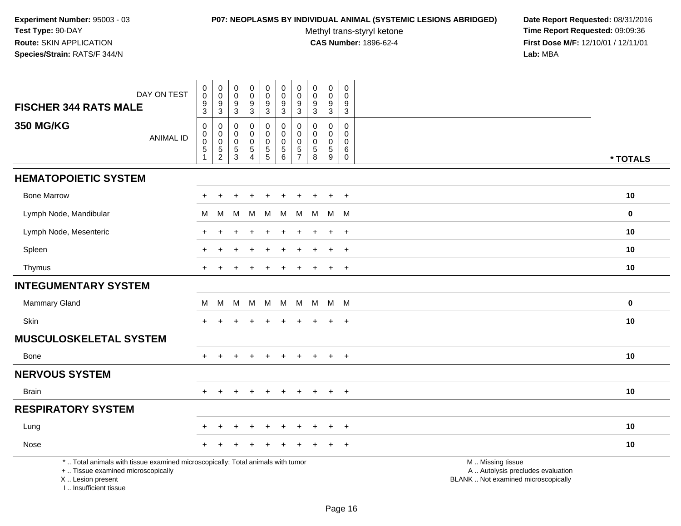#### **P07: NEOPLASMS BY INDIVIDUAL ANIMAL (SYSTEMIC LESIONS ABRIDGED) Date Report Requested:** 08/31/2016

Methyl trans-styryl ketone<br>CAS Number: 1896-62-4

 **Time Report Requested:** 09:09:36 **First Dose M/F:** 12/10/01 / 12/11/01<br>Lab: MBA **Lab:** MBA

| DAY ON TEST<br><b>FISCHER 344 RATS MALE</b>                                                                                                                        | $\mathbf 0$<br>$\ddot{\mathbf{0}}$<br>9                              | $\mathbf 0$<br>$\ddot{\mathbf{0}}$<br>$\frac{9}{3}$ | $\pmb{0}$<br>$\pmb{0}$<br>$\frac{9}{3}$    | $\mathsf 0$<br>$\ddot{\mathbf{0}}$<br>$\boldsymbol{9}$                                 | 0<br>$\mathbf 0$<br>$\boldsymbol{9}$      | $\pmb{0}$<br>$\boldsymbol{0}$<br>$9\,$                                     | $\pmb{0}$<br>$\pmb{0}$<br>9                                     | $\mathbf 0$<br>0<br>9                                                 | $\pmb{0}$<br>$\ddot{\mathbf{0}}$<br>$\boldsymbol{9}$                             | $\mathbf 0$<br>$\mathbf 0$<br>9                                                 |                                                                                               |             |
|--------------------------------------------------------------------------------------------------------------------------------------------------------------------|----------------------------------------------------------------------|-----------------------------------------------------|--------------------------------------------|----------------------------------------------------------------------------------------|-------------------------------------------|----------------------------------------------------------------------------|-----------------------------------------------------------------|-----------------------------------------------------------------------|----------------------------------------------------------------------------------|---------------------------------------------------------------------------------|-----------------------------------------------------------------------------------------------|-------------|
| <b>350 MG/KG</b><br><b>ANIMAL ID</b>                                                                                                                               | $\overline{3}$<br>0<br>$\pmb{0}$<br>$\mathbf 0$<br>5<br>$\mathbf{1}$ | 0<br>$\mathbf 0$<br>$\pmb{0}$<br>$\frac{5}{2}$      | 0<br>0<br>0<br>$\,$ 5 $\,$<br>$\mathbf{3}$ | $\overline{3}$<br>$\pmb{0}$<br>$\pmb{0}$<br>$\pmb{0}$<br>$\,$ 5 $\,$<br>$\overline{4}$ | 3<br>0<br>0<br>$\pmb{0}$<br>$\frac{5}{5}$ | $\sqrt{3}$<br>$\mathbf 0$<br>$\pmb{0}$<br>$\pmb{0}$<br>$\overline{5}$<br>6 | $\mathbf{3}$<br>0<br>0<br>0<br>$\overline{5}$<br>$\overline{7}$ | $\overline{3}$<br>$\Omega$<br>0<br>$\mathbf 0$<br>$\overline{5}$<br>8 | $\overline{3}$<br>$\mathbf 0$<br>0<br>$\mathsf{O}\xspace$<br>$\sqrt{5}$<br>$9\,$ | $\overline{3}$<br>$\mathbf 0$<br>$\mathbf 0$<br>$\mathbf 0$<br>6<br>$\mathbf 0$ |                                                                                               | * TOTALS    |
| <b>HEMATOPOIETIC SYSTEM</b>                                                                                                                                        |                                                                      |                                                     |                                            |                                                                                        |                                           |                                                                            |                                                                 |                                                                       |                                                                                  |                                                                                 |                                                                                               |             |
|                                                                                                                                                                    |                                                                      |                                                     |                                            |                                                                                        |                                           |                                                                            |                                                                 |                                                                       |                                                                                  |                                                                                 |                                                                                               |             |
| <b>Bone Marrow</b>                                                                                                                                                 |                                                                      | $\ddot{}$                                           |                                            |                                                                                        | $\div$                                    |                                                                            |                                                                 |                                                                       | $\ddot{}$                                                                        | $+$                                                                             |                                                                                               | 10          |
| Lymph Node, Mandibular                                                                                                                                             | М                                                                    | м                                                   | M                                          | м                                                                                      | М                                         | M                                                                          | M                                                               | M                                                                     | M M                                                                              |                                                                                 |                                                                                               | $\mathbf 0$ |
| Lymph Node, Mesenteric                                                                                                                                             |                                                                      |                                                     |                                            |                                                                                        |                                           |                                                                            |                                                                 |                                                                       | $\pm$                                                                            | $+$                                                                             |                                                                                               | 10          |
| Spleen                                                                                                                                                             |                                                                      | $\ddot{}$                                           |                                            |                                                                                        | $\pm$                                     | ٠                                                                          | $\div$                                                          | ÷                                                                     | $\ddot{}$                                                                        | $+$                                                                             |                                                                                               | 10          |
| Thymus                                                                                                                                                             |                                                                      |                                                     |                                            |                                                                                        |                                           |                                                                            |                                                                 |                                                                       | $\ddot{}$                                                                        | $+$                                                                             |                                                                                               | 10          |
| <b>INTEGUMENTARY SYSTEM</b>                                                                                                                                        |                                                                      |                                                     |                                            |                                                                                        |                                           |                                                                            |                                                                 |                                                                       |                                                                                  |                                                                                 |                                                                                               |             |
| Mammary Gland                                                                                                                                                      | M                                                                    | M                                                   |                                            | M M                                                                                    | <b>M</b>                                  | M                                                                          | M                                                               |                                                                       | M M M                                                                            |                                                                                 |                                                                                               | $\mathbf 0$ |
| <b>Skin</b>                                                                                                                                                        | $+$                                                                  | $\ddot{}$                                           |                                            | $\overline{1}$                                                                         | $\ddot{}$                                 | $\ddot{}$                                                                  | $\ddot{}$                                                       | $\ddot{}$                                                             | $+$                                                                              | $+$                                                                             |                                                                                               | 10          |
| <b>MUSCULOSKELETAL SYSTEM</b>                                                                                                                                      |                                                                      |                                                     |                                            |                                                                                        |                                           |                                                                            |                                                                 |                                                                       |                                                                                  |                                                                                 |                                                                                               |             |
| Bone                                                                                                                                                               |                                                                      |                                                     |                                            |                                                                                        |                                           |                                                                            |                                                                 |                                                                       | $\ddot{}$                                                                        | $+$                                                                             |                                                                                               | 10          |
| <b>NERVOUS SYSTEM</b>                                                                                                                                              |                                                                      |                                                     |                                            |                                                                                        |                                           |                                                                            |                                                                 |                                                                       |                                                                                  |                                                                                 |                                                                                               |             |
| <b>Brain</b>                                                                                                                                                       | $+$                                                                  | $+$                                                 | $\ddot{}$                                  | $+$                                                                                    | $+$                                       | $\ddot{}$                                                                  | $\pm$                                                           | $+$                                                                   | $+$                                                                              | $+$                                                                             |                                                                                               | 10          |
| <b>RESPIRATORY SYSTEM</b>                                                                                                                                          |                                                                      |                                                     |                                            |                                                                                        |                                           |                                                                            |                                                                 |                                                                       |                                                                                  |                                                                                 |                                                                                               |             |
| Lung                                                                                                                                                               |                                                                      |                                                     |                                            |                                                                                        |                                           |                                                                            |                                                                 |                                                                       | $\div$                                                                           | $\ddot{}$                                                                       |                                                                                               | 10          |
| Nose                                                                                                                                                               |                                                                      |                                                     |                                            |                                                                                        |                                           |                                                                            |                                                                 |                                                                       |                                                                                  | $\overline{+}$                                                                  |                                                                                               | 10          |
| *  Total animals with tissue examined microscopically; Total animals with tumor<br>+  Tissue examined microscopically<br>X Lesion present<br>I Insufficient tissue |                                                                      |                                                     |                                            |                                                                                        |                                           |                                                                            |                                                                 |                                                                       |                                                                                  |                                                                                 | M  Missing tissue<br>A  Autolysis precludes evaluation<br>BLANK  Not examined microscopically |             |

Page 16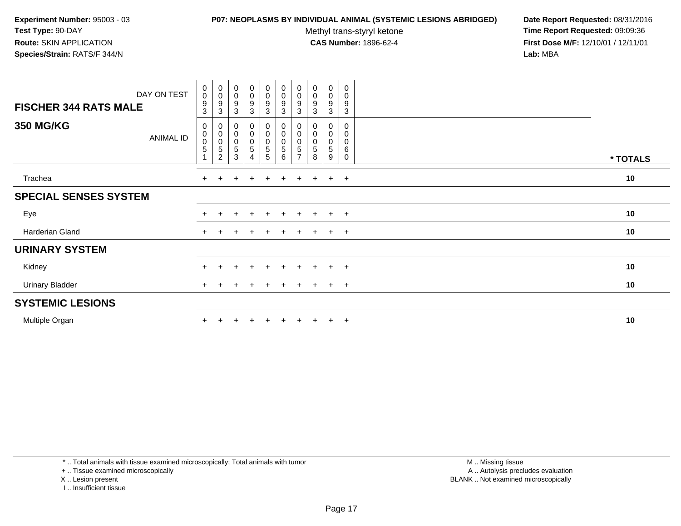#### **P07: NEOPLASMS BY INDIVIDUAL ANIMAL (SYSTEMIC LESIONS ABRIDGED) Date Report Requested:** 08/31/2016

Methyl trans-styryl ketone<br>CAS Number: 1896-62-4

 **Time Report Requested:** 09:09:36 **First Dose M/F:** 12/10/01 / 12/11/01<br>**Lab:** MBA **Lab:** MBA

| DAY ON TEST<br><b>FISCHER 344 RATS MALE</b> | $_{\rm 0}^{\rm 0}$<br>$\boldsymbol{9}$<br>3                         | $_{\rm 0}^{\rm 0}$<br>9<br>3                                               | $_{0}^{0}$<br>$\boldsymbol{9}$<br>3                                      | $\begin{smallmatrix}0\0\0\9\end{smallmatrix}$<br>3 | $\begin{array}{c} 0 \\ 0 \\ 9 \\ 3 \end{array}$                  | $\begin{matrix} 0 \\ 0 \\ 9 \end{matrix}$<br>$\mathbf{3}$ | $_{\rm 0}^{\rm 0}$<br>9<br>3                             | $\begin{smallmatrix}0\\0\end{smallmatrix}$<br>9<br>3 | $\begin{smallmatrix}0\0\0\end{smallmatrix}$<br>$\boldsymbol{9}$<br>3 | $\pmb{0}$<br>$\mathbf 0$<br>$\boldsymbol{9}$<br>3 |          |
|---------------------------------------------|---------------------------------------------------------------------|----------------------------------------------------------------------------|--------------------------------------------------------------------------|----------------------------------------------------|------------------------------------------------------------------|-----------------------------------------------------------|----------------------------------------------------------|------------------------------------------------------|----------------------------------------------------------------------|---------------------------------------------------|----------|
| <b>350 MG/KG</b><br>ANIMAL ID               | 0<br>$\begin{smallmatrix} 0\\0 \end{smallmatrix}$<br>$\overline{5}$ | $\begin{matrix} 0 \\ 0 \\ 0 \end{matrix}$<br>$\,$ 5 $\,$<br>$\overline{c}$ | $\boldsymbol{0}$<br>$\begin{smallmatrix}0\\0\end{smallmatrix}$<br>5<br>3 | 0<br>$\overline{0}$<br>0<br>5<br>4                 | $\begin{smallmatrix}0\0\0\0\end{smallmatrix}$<br>$\sqrt{5}$<br>5 | $\pmb{0}$<br>$\overline{0}$<br>$\sqrt{5}$<br>6            | 0<br>$_{\rm 0}^{\rm 0}$<br>$\mathbf 5$<br>$\overline{ }$ | $\pmb{0}$<br>$\mathbf 0$<br>5<br>8                   | 0<br>0<br>0<br>5<br>9                                                | 0<br>0<br>0<br>6<br>$\mathbf 0$                   | * TOTALS |
| Trachea                                     | $+$                                                                 |                                                                            |                                                                          |                                                    | $\pm$                                                            | $\pm$                                                     | $\ddot{}$                                                | $+$                                                  | $\pm$                                                                | $+$                                               | 10       |
| <b>SPECIAL SENSES SYSTEM</b>                |                                                                     |                                                                            |                                                                          |                                                    |                                                                  |                                                           |                                                          |                                                      |                                                                      |                                                   |          |
| Eye                                         |                                                                     |                                                                            |                                                                          | $\div$                                             | $+$                                                              | $+$                                                       | $+$                                                      | $+$                                                  | $+$                                                                  | $+$                                               | 10       |
| Harderian Gland                             | $\ddot{}$                                                           |                                                                            |                                                                          |                                                    |                                                                  |                                                           |                                                          | $\pm$                                                | $\ddot{}$                                                            | $+$                                               | 10       |
| <b>URINARY SYSTEM</b>                       |                                                                     |                                                                            |                                                                          |                                                    |                                                                  |                                                           |                                                          |                                                      |                                                                      |                                                   |          |
| Kidney                                      | $\ddot{}$                                                           | $\div$                                                                     | $\pm$                                                                    | $\ddot{}$                                          | $+$                                                              | $+$                                                       | $+$                                                      | $+$                                                  | $+$                                                                  | $+$                                               | 10       |
| <b>Urinary Bladder</b>                      | $+$                                                                 |                                                                            |                                                                          |                                                    | $\pm$                                                            |                                                           | $\pm$                                                    | $+$                                                  | $\pm$                                                                | $+$                                               | 10       |
| <b>SYSTEMIC LESIONS</b>                     |                                                                     |                                                                            |                                                                          |                                                    |                                                                  |                                                           |                                                          |                                                      |                                                                      |                                                   |          |
| Multiple Organ                              |                                                                     |                                                                            |                                                                          |                                                    |                                                                  |                                                           |                                                          |                                                      | $\pm$                                                                | $+$                                               | 10       |

\* .. Total animals with tissue examined microscopically; Total animals with tumor

+ .. Tissue examined microscopically

X .. Lesion present

I .. Insufficient tissue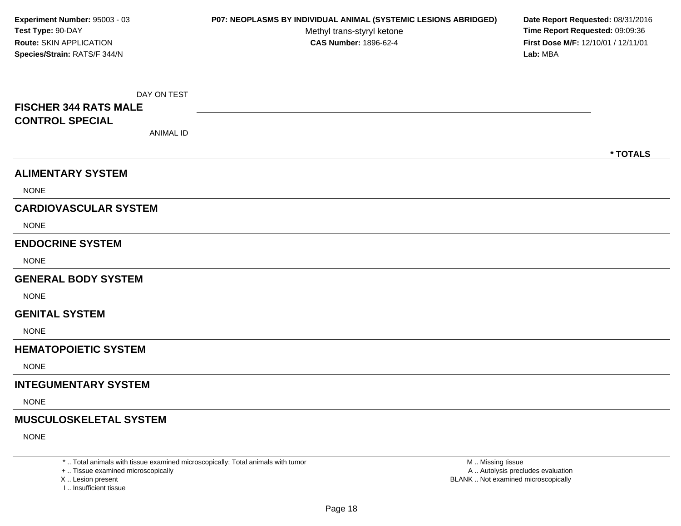DAY ON TEST**FISCHER 344 RATS MALECONTROL SPECIAL**ANIMAL ID**\* TOTALSALIMENTARY SYSTEMNONE CARDIOVASCULAR SYSTEM**NONE**ENDOCRINE SYSTEM**NONE**GENERAL BODY SYSTEM**NONE**GENITAL SYSTEM**NONE**HEMATOPOIETIC SYSTEMNONE INTEGUMENTARY SYSTEM**NONE**MUSCULOSKELETAL SYSTEM**NONE**Experiment Number:** 95003 - 03 **P07: NEOPLASMS BY INDIVIDUAL ANIMAL (SYSTEMIC LESIONS ABRIDGED) Date Report Requested:** 08/31/2016 **Test Type:** 90-DAYMethyl trans-styryl ketone<br>CAS Number: 1896-62-4 **Time Report Requested:** 09:09:36 **Route:** SKIN APPLICATION**First Dose M/F:** 12/10/01 / 12/11/01<br>**Lab:** MBA **Species/Strain:** RATS/F 344/N**Lab:** MBA

\* .. Total animals with tissue examined microscopically; Total animals with tumor

+ .. Tissue examined microscopically

X .. Lesion present

I .. Insufficient tissue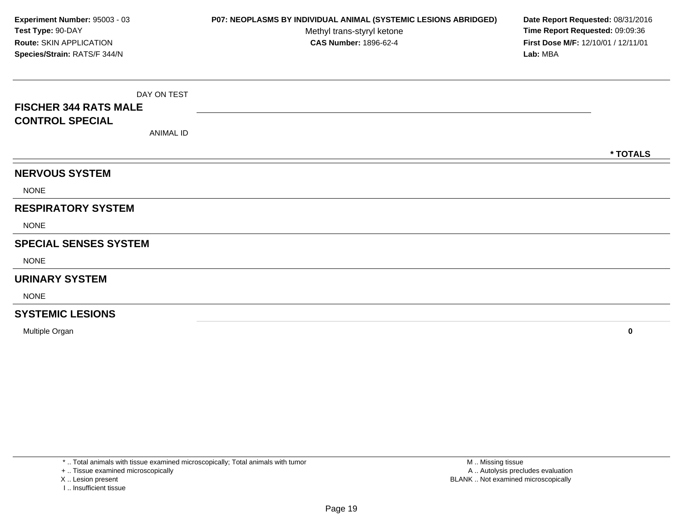DAY ON TEST**FISCHER 344 RATS MALECONTROL SPECIAL**ANIMAL ID**\* TOTALSNERVOUS SYSTEM**NONE**RESPIRATORY SYSTEM**NONE**SPECIAL SENSES SYSTEM**NONE**URINARY SYSTEM**NONE**SYSTEMIC LESIONSExperiment Number:** 95003 - 03 **P07: NEOPLASMS BY INDIVIDUAL ANIMAL (SYSTEMIC LESIONS ABRIDGED) Date Report Requested:** 08/31/2016 **Test Type:** 90-DAYMethyl trans-styryl ketone<br>CAS Number: 1896-62-4 **Time Report Requested:** 09:09:36 **Route:** SKIN APPLICATION**First Dose M/F:** 12/10/01 / 12/11/01<br>**Lab:** MBA **Species/Strain:** RATS/F 344/N**Lab:** MBA

Multiple Organ**<sup>0</sup>**

\* .. Total animals with tissue examined microscopically; Total animals with tumor

+ .. Tissue examined microscopically

X .. Lesion present

I .. Insufficient tissue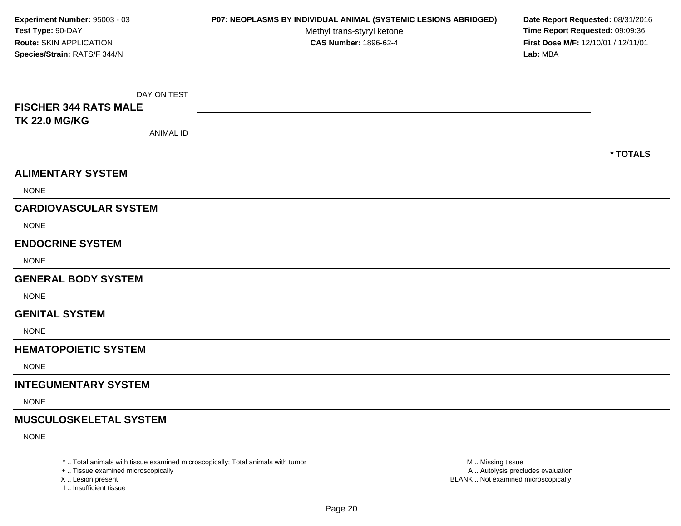DAY ON TEST**FISCHER 344 RATS MALETK 22.0 MG/KG**ANIMAL ID**\* TOTALSALIMENTARY SYSTEMNONE CARDIOVASCULAR SYSTEM**NONE**ENDOCRINE SYSTEM**NONE**GENERAL BODY SYSTEM**NONE**GENITAL SYSTEM**NONE**HEMATOPOIETIC SYSTEMNONE INTEGUMENTARY SYSTEM**NONE**MUSCULOSKELETAL SYSTEM**NONE**Experiment Number:** 95003 - 03 **P07: NEOPLASMS BY INDIVIDUAL ANIMAL (SYSTEMIC LESIONS ABRIDGED) Date Report Requested:** 08/31/2016 **Test Type:** 90-DAYMethyl trans-styryl ketone<br>CAS Number: 1896-62-4 **Time Report Requested:** 09:09:36 **Route:** SKIN APPLICATION**First Dose M/F:** 12/10/01 / 12/11/01<br>**Lab:** MBA **Species/Strain:** RATS/F 344/N**Lab:** MBA

\* .. Total animals with tissue examined microscopically; Total animals with tumor

+ .. Tissue examined microscopically

X .. Lesion present

I .. Insufficient tissue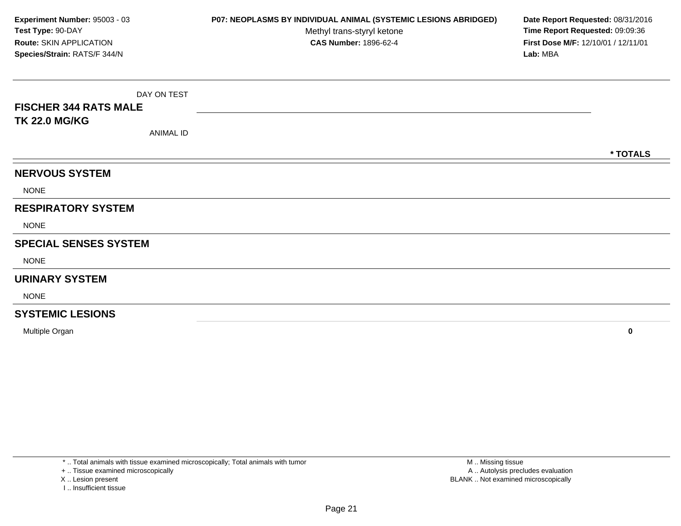DAY ON TEST**FISCHER 344 RATS MALETK 22.0 MG/KG**ANIMAL ID**\* TOTALSNERVOUS SYSTEM**NONE**RESPIRATORY SYSTEM**NONE**SPECIAL SENSES SYSTEM**NONE**URINARY SYSTEM**NONE**SYSTEMIC LESIONSExperiment Number:** 95003 - 03 **P07: NEOPLASMS BY INDIVIDUAL ANIMAL (SYSTEMIC LESIONS ABRIDGED) Date Report Requested:** 08/31/2016 **Test Type:** 90-DAYMethyl trans-styryl ketone<br>CAS Number: 1896-62-4 **Time Report Requested:** 09:09:36 **Route:** SKIN APPLICATION**First Dose M/F:** 12/10/01 / 12/11/01<br>**Lab:** MBA **Species/Strain:** RATS/F 344/N**Lab:** MBA

Multiple Organ**<sup>0</sup>**

\* .. Total animals with tissue examined microscopically; Total animals with tumor

+ .. Tissue examined microscopically

X .. Lesion present

I .. Insufficient tissue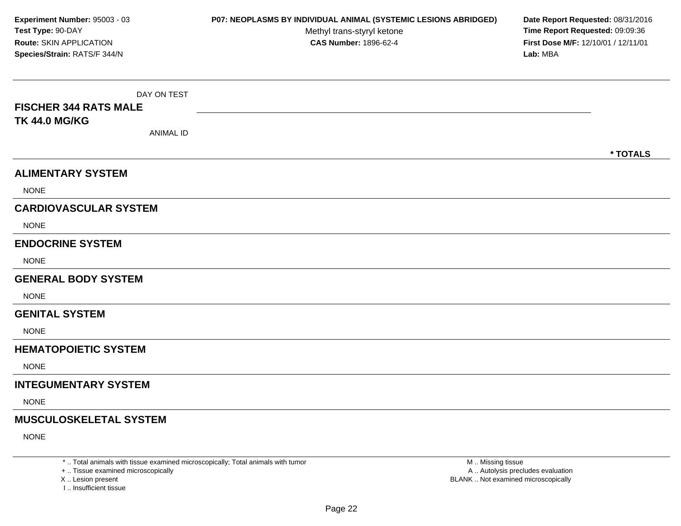DAY ON TEST**FISCHER 344 RATS MALETK 44.0 MG/KG**ANIMAL ID**\* TOTALSALIMENTARY SYSTEMNONE CARDIOVASCULAR SYSTEM**NONE**ENDOCRINE SYSTEM**NONE**GENERAL BODY SYSTEM**NONE**GENITAL SYSTEM**NONE**HEMATOPOIETIC SYSTEMNONE INTEGUMENTARY SYSTEM**NONE**MUSCULOSKELETAL SYSTEM**NONE**Experiment Number:** 95003 - 03 **P07: NEOPLASMS BY INDIVIDUAL ANIMAL (SYSTEMIC LESIONS ABRIDGED) Date Report Requested:** 08/31/2016 **Test Type:** 90-DAYMethyl trans-styryl ketone<br>CAS Number: 1896-62-4 **Time Report Requested:** 09:09:36 **Route:** SKIN APPLICATION**First Dose M/F:** 12/10/01 / 12/11/01<br>**Lab:** MBA **Species/Strain:** RATS/F 344/N**Lab:** MBA

\* .. Total animals with tissue examined microscopically; Total animals with tumor

+ .. Tissue examined microscopically

X .. Lesion present

I .. Insufficient tissue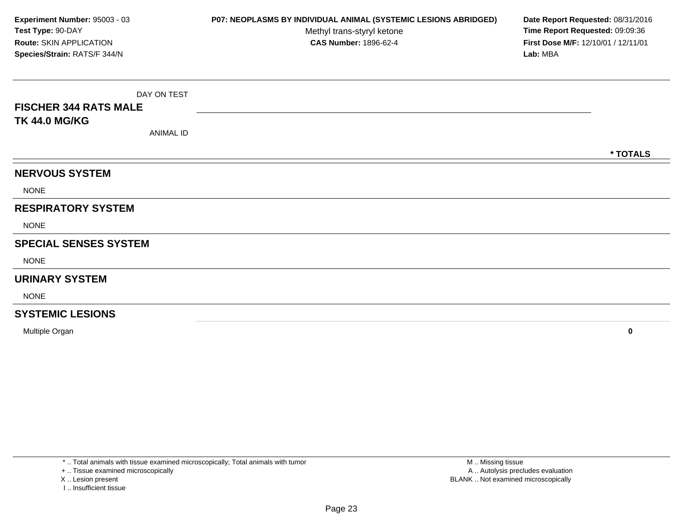DAY ON TEST**FISCHER 344 RATS MALETK 44.0 MG/KG**ANIMAL ID**\* TOTALSNERVOUS SYSTEM**NONE**RESPIRATORY SYSTEM**NONE**SPECIAL SENSES SYSTEM**NONE**URINARY SYSTEM**NONE**SYSTEMIC LESIONSExperiment Number:** 95003 - 03 **P07: NEOPLASMS BY INDIVIDUAL ANIMAL (SYSTEMIC LESIONS ABRIDGED) Date Report Requested:** 08/31/2016 **Test Type:** 90-DAYMethyl trans-styryl ketone<br>CAS Number: 1896-62-4 **Time Report Requested:** 09:09:36 **Route:** SKIN APPLICATION**First Dose M/F:** 12/10/01 / 12/11/01<br>**Lab:** MBA **Species/Strain:** RATS/F 344/N**Lab:** MBA

Multiple Organ**<sup>0</sup>**

\* .. Total animals with tissue examined microscopically; Total animals with tumor

+ .. Tissue examined microscopically

X .. Lesion present

I .. Insufficient tissue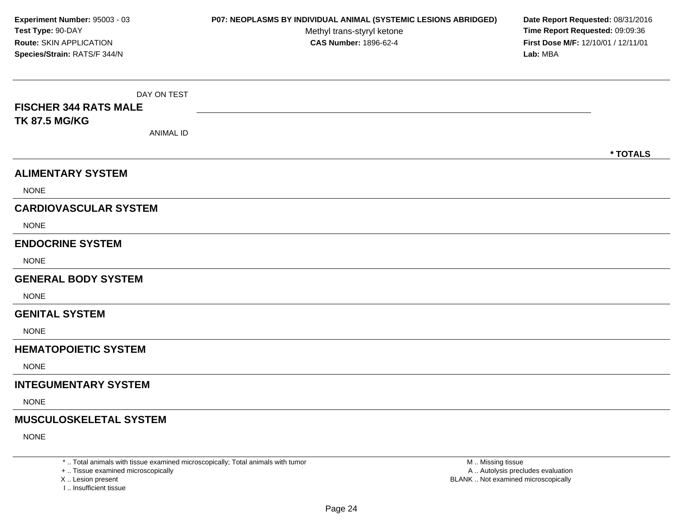DAY ON TEST**FISCHER 344 RATS MALETK 87.5 MG/KG**ANIMAL ID**\* TOTALSALIMENTARY SYSTEM**NONE**CARDIOVASCULAR SYSTEM**NONE**ENDOCRINE SYSTEM**NONE**GENERAL BODY SYSTEM**NONE**GENITAL SYSTEM**NONE**HEMATOPOIETIC SYSTEMNONE INTEGUMENTARY SYSTEM**NONE**MUSCULOSKELETAL SYSTEM**NONE**Experiment Number:** 95003 - 03 **P07: NEOPLASMS BY INDIVIDUAL ANIMAL (SYSTEMIC LESIONS ABRIDGED) Date Report Requested:** 08/31/2016 **Test Type:** 90-DAYMethyl trans-styryl ketone<br>CAS Number: 1896-62-4 **Time Report Requested:** 09:09:36 **Route:** SKIN APPLICATION**First Dose M/F:** 12/10/01 / 12/11/01<br>**Lab:** MBA **Species/Strain:** RATS/F 344/N**Lab:** MBA

\* .. Total animals with tissue examined microscopically; Total animals with tumor

+ .. Tissue examined microscopically

X .. Lesion present

I .. Insufficient tissue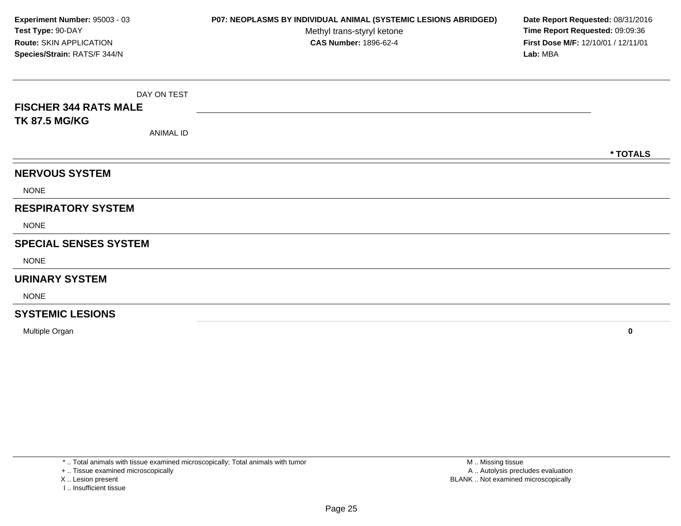DAY ON TEST**FISCHER 344 RATS MALETK 87.5 MG/KG**ANIMAL ID**\* TOTALSNERVOUS SYSTEM**NONE**RESPIRATORY SYSTEM**NONE**SPECIAL SENSES SYSTEM**NONE**URINARY SYSTEM**NONE**SYSTEMIC LESIONSExperiment Number:** 95003 - 03 **P07: NEOPLASMS BY INDIVIDUAL ANIMAL (SYSTEMIC LESIONS ABRIDGED) Date Report Requested:** 08/31/2016 **Test Type:** 90-DAYMethyl trans-styryl ketone<br>CAS Number: 1896-62-4 **Time Report Requested:** 09:09:36 **Route:** SKIN APPLICATION**First Dose M/F:** 12/10/01 / 12/11/01<br>**Lab:** MBA **Species/Strain:** RATS/F 344/N**Lab:** MBA

Multiple Organ**<sup>0</sup>**

\* .. Total animals with tissue examined microscopically; Total animals with tumor

+ .. Tissue examined microscopically

X .. Lesion present

I .. Insufficient tissue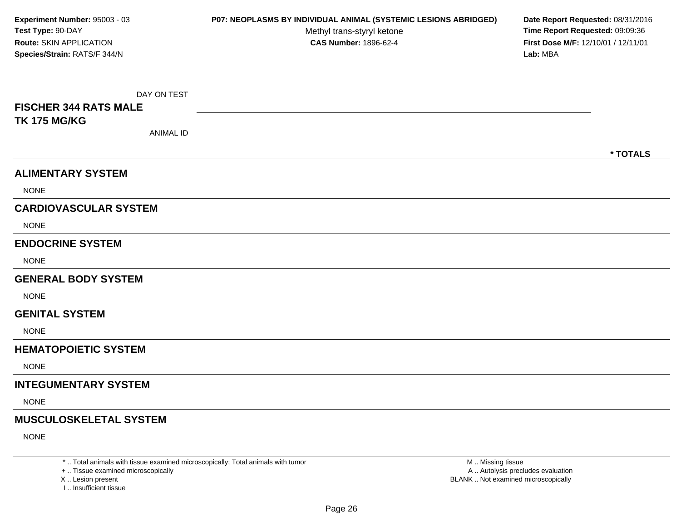DAY ON TEST**FISCHER 344 RATS MALETK 175 MG/KG**ANIMAL ID**\* TOTALSALIMENTARY SYSTEM**NONE**CARDIOVASCULAR SYSTEM**NONE**ENDOCRINE SYSTEM**NONE**GENERAL BODY SYSTEM**NONE**GENITAL SYSTEM**NONE**HEMATOPOIETIC SYSTEMNONE INTEGUMENTARY SYSTEM**NONE**MUSCULOSKELETAL SYSTEM**NONE**Experiment Number:** 95003 - 03 **P07: NEOPLASMS BY INDIVIDUAL ANIMAL (SYSTEMIC LESIONS ABRIDGED) Date Report Requested:** 08/31/2016 **Test Type:** 90-DAYMethyl trans-styryl ketone<br>CAS Number: 1896-62-4 **Time Report Requested:** 09:09:36 **Route:** SKIN APPLICATION**First Dose M/F:** 12/10/01 / 12/11/01<br>**Lab:** MBA **Species/Strain:** RATS/F 344/N**Lab:** MBA

\* .. Total animals with tissue examined microscopically; Total animals with tumor

+ .. Tissue examined microscopically

X .. Lesion present

I .. Insufficient tissue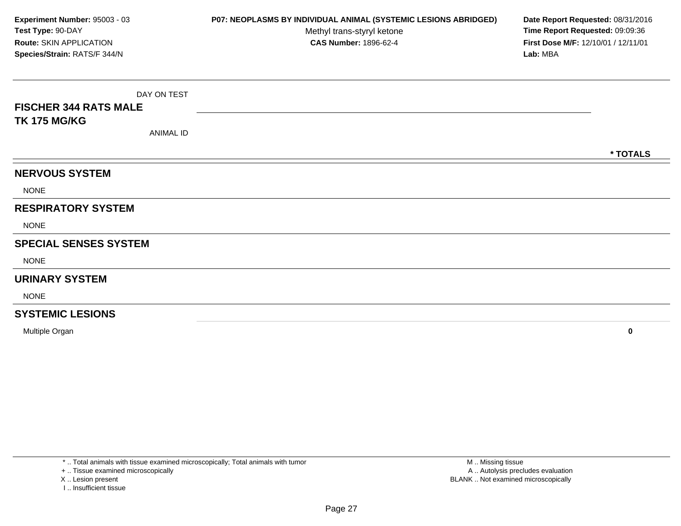DAY ON TEST**FISCHER 344 RATS MALETK 175 MG/KG**ANIMAL ID**\* TOTALSNERVOUS SYSTEM**NONE**RESPIRATORY SYSTEM**NONE**SPECIAL SENSES SYSTEM**NONE**URINARY SYSTEM**NONE**SYSTEMIC LESIONSExperiment Number:** 95003 - 03 **P07: NEOPLASMS BY INDIVIDUAL ANIMAL (SYSTEMIC LESIONS ABRIDGED) Date Report Requested:** 08/31/2016 **Test Type:** 90-DAYMethyl trans-styryl ketone<br>CAS Number: 1896-62-4 **Time Report Requested:** 09:09:36 **Route:** SKIN APPLICATION**First Dose M/F:** 12/10/01 / 12/11/01<br>**Lab:** MBA **Species/Strain:** RATS/F 344/N**Lab:** MBA

Multiple Organ**<sup>0</sup>**

\* .. Total animals with tissue examined microscopically; Total animals with tumor

+ .. Tissue examined microscopically

X .. Lesion present

I .. Insufficient tissue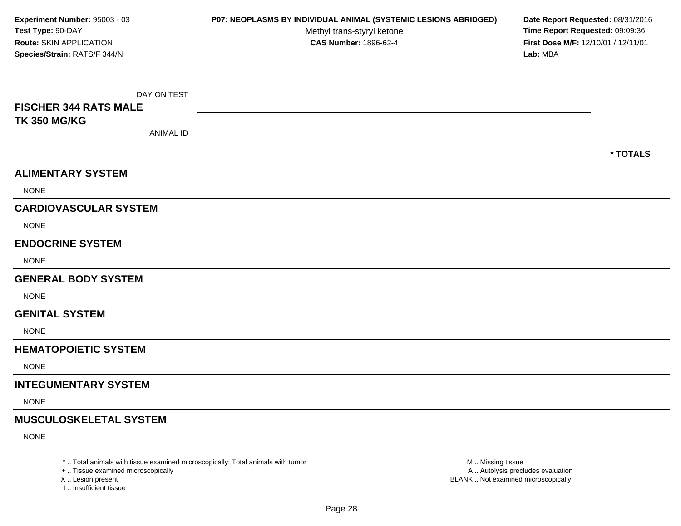DAY ON TEST**FISCHER 344 RATS MALETK 350 MG/KG**ANIMAL ID**\* TOTALSALIMENTARY SYSTEM**NONE**CARDIOVASCULAR SYSTEM**NONE**ENDOCRINE SYSTEM**NONE**GENERAL BODY SYSTEM**NONE**GENITAL SYSTEM**NONE**HEMATOPOIETIC SYSTEMNONE INTEGUMENTARY SYSTEM**NONE**MUSCULOSKELETAL SYSTEM**NONE**Experiment Number:** 95003 - 03 **P07: NEOPLASMS BY INDIVIDUAL ANIMAL (SYSTEMIC LESIONS ABRIDGED) Date Report Requested:** 08/31/2016 **Test Type:** 90-DAYMethyl trans-styryl ketone<br>CAS Number: 1896-62-4 **Time Report Requested:** 09:09:36 **Route:** SKIN APPLICATION**First Dose M/F:** 12/10/01 / 12/11/01<br>**Lab:** MBA **Species/Strain:** RATS/F 344/N**Lab:** MBA

\* .. Total animals with tissue examined microscopically; Total animals with tumor

+ .. Tissue examined microscopically

X .. Lesion present

I .. Insufficient tissue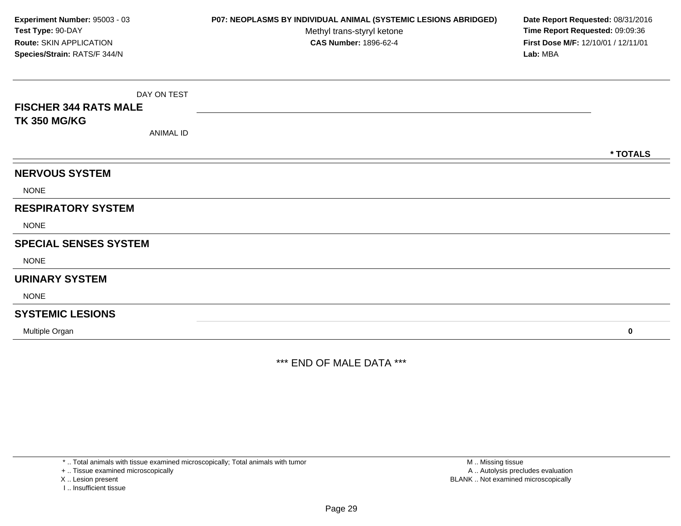DAY ON TEST**FISCHER 344 RATS MALETK 350 MG/KG**ANIMAL ID**\* TOTALSNERVOUS SYSTEM**NONE**RESPIRATORY SYSTEM**NONE**SPECIAL SENSES SYSTEM**NONE**URINARY SYSTEM**NONE**SYSTEMIC LESIONS**Multiple Organ **<sup>0</sup> Experiment Number:** 95003 - 03 **P07: NEOPLASMS BY INDIVIDUAL ANIMAL (SYSTEMIC LESIONS ABRIDGED) Date Report Requested:** 08/31/2016 **Test Type:** 90-DAYMethyl trans-styryl ketone<br>CAS Number: 1896-62-4 **Time Report Requested:** 09:09:36 **Route:** SKIN APPLICATION**First Dose M/F:** 12/10/01 / 12/11/01<br>**Lab:** MBA **Species/Strain:** RATS/F 344/N**Lab:** MBA

\*\*\* END OF MALE DATA \*\*\*

\* .. Total animals with tissue examined microscopically; Total animals with tumor

+ .. Tissue examined microscopically

X .. Lesion present

I .. Insufficient tissue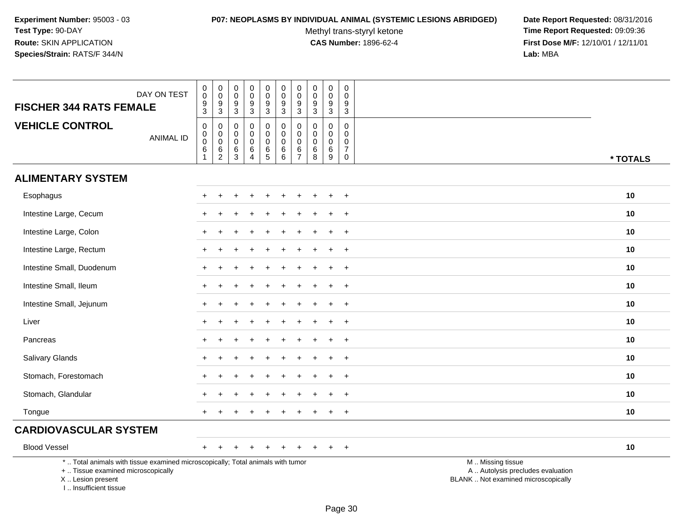### **P07: NEOPLASMS BY INDIVIDUAL ANIMAL (SYSTEMIC LESIONS ABRIDGED) Date Report Requested:** 08/31/2016

Methyl trans-styryl ketone<br>CAS Number: 1896-62-4

| DAY ON TEST<br><b>FISCHER 344 RATS FEMALE</b>                                                                                                                       | 0<br>$\ddot{\mathbf{0}}$<br>$\frac{9}{3}$                           | $\pmb{0}$<br>$\overline{0}$<br>$\frac{9}{3}$                | 0<br>$\overline{0}$<br>$\frac{9}{3}$              | $\mathbf 0$<br>$\ddot{\mathbf{0}}$<br>$\boldsymbol{9}$<br>$\overline{3}$         | $\pmb{0}$<br>$\overline{0}$<br>$\frac{9}{3}$    | $\mathbf 0$<br>$\overline{0}$<br>$\frac{9}{3}$                | $\mathsf{O}\xspace$<br>$\overline{0}$<br>$\boldsymbol{9}$<br>$\overline{3}$ | $\pmb{0}$<br>$\overline{0}$<br>$\boldsymbol{9}$<br>$\overline{3}$ | $\pmb{0}$<br>$\overline{0}$<br>$\boldsymbol{9}$<br>$\overline{3}$ | 0<br>$\mathbf 0$<br>$\boldsymbol{9}$<br>$\overline{3}$           |                                                                                               |
|---------------------------------------------------------------------------------------------------------------------------------------------------------------------|---------------------------------------------------------------------|-------------------------------------------------------------|---------------------------------------------------|----------------------------------------------------------------------------------|-------------------------------------------------|---------------------------------------------------------------|-----------------------------------------------------------------------------|-------------------------------------------------------------------|-------------------------------------------------------------------|------------------------------------------------------------------|-----------------------------------------------------------------------------------------------|
| <b>VEHICLE CONTROL</b><br><b>ANIMAL ID</b>                                                                                                                          | $\pmb{0}$<br>$\mathbf 0$<br>$\overline{0}$<br>$\,6$<br>$\mathbf{1}$ | $\boldsymbol{0}$<br>$\mathbf 0$<br>$\overline{0}$<br>$^6_2$ | $\mathsf{O}\xspace$<br>$\mathbf 0$<br>0<br>$^6_3$ | $\pmb{0}$<br>$\mathbf 0$<br>$\mathbf 0$<br>$\begin{array}{c} 6 \\ 4 \end{array}$ | $\pmb{0}$<br>$\mathbf 0$<br>$\pmb{0}$<br>$^6_5$ | $\pmb{0}$<br>$\mathbf 0$<br>$\mathsf{O}\xspace$<br>$^6_{\ 6}$ | $\pmb{0}$<br>$\mathbf 0$<br>$\mathbf 0$<br>$\frac{6}{7}$                    | $\pmb{0}$<br>$\mathbf 0$<br>$\mathbf 0$<br>$\,6$<br>8             | $\pmb{0}$<br>$\mathbf 0$<br>$\pmb{0}$<br>6<br>$\overline{9}$      | $\pmb{0}$<br>$\mathbf 0$<br>0<br>$\boldsymbol{7}$<br>$\mathbf 0$ | * TOTALS                                                                                      |
| <b>ALIMENTARY SYSTEM</b>                                                                                                                                            |                                                                     |                                                             |                                                   |                                                                                  |                                                 |                                                               |                                                                             |                                                                   |                                                                   |                                                                  |                                                                                               |
| Esophagus                                                                                                                                                           |                                                                     |                                                             |                                                   |                                                                                  |                                                 |                                                               |                                                                             |                                                                   |                                                                   | $\ddot{}$                                                        | 10                                                                                            |
| Intestine Large, Cecum                                                                                                                                              |                                                                     |                                                             |                                                   |                                                                                  |                                                 |                                                               |                                                                             |                                                                   |                                                                   | $\ddot{}$                                                        | 10                                                                                            |
| Intestine Large, Colon                                                                                                                                              |                                                                     |                                                             |                                                   |                                                                                  |                                                 |                                                               |                                                                             |                                                                   |                                                                   | $\ddot{}$                                                        | 10                                                                                            |
| Intestine Large, Rectum                                                                                                                                             |                                                                     |                                                             |                                                   |                                                                                  |                                                 |                                                               |                                                                             |                                                                   |                                                                   | $\div$                                                           | 10                                                                                            |
| Intestine Small, Duodenum                                                                                                                                           |                                                                     |                                                             |                                                   |                                                                                  |                                                 |                                                               |                                                                             |                                                                   |                                                                   | $\ddot{}$                                                        | 10                                                                                            |
| Intestine Small, Ileum                                                                                                                                              | +                                                                   |                                                             |                                                   |                                                                                  |                                                 |                                                               |                                                                             |                                                                   |                                                                   | $\pm$                                                            | 10                                                                                            |
| Intestine Small, Jejunum                                                                                                                                            | $+$                                                                 |                                                             |                                                   |                                                                                  |                                                 |                                                               |                                                                             |                                                                   |                                                                   | $\ddot{}$                                                        | 10                                                                                            |
| Liver                                                                                                                                                               |                                                                     |                                                             |                                                   |                                                                                  |                                                 |                                                               |                                                                             |                                                                   |                                                                   | $\overline{ }$                                                   | 10                                                                                            |
| Pancreas                                                                                                                                                            |                                                                     |                                                             |                                                   |                                                                                  |                                                 |                                                               |                                                                             |                                                                   |                                                                   | $\ddot{}$                                                        | 10                                                                                            |
| Salivary Glands                                                                                                                                                     | $\div$                                                              |                                                             |                                                   |                                                                                  |                                                 |                                                               |                                                                             |                                                                   |                                                                   | $\ddot{}$                                                        | 10                                                                                            |
| Stomach, Forestomach                                                                                                                                                |                                                                     |                                                             |                                                   |                                                                                  |                                                 |                                                               |                                                                             |                                                                   |                                                                   | $\ddot{}$                                                        | 10                                                                                            |
| Stomach, Glandular                                                                                                                                                  |                                                                     |                                                             |                                                   |                                                                                  |                                                 |                                                               |                                                                             |                                                                   |                                                                   | $\overline{ }$                                                   | 10                                                                                            |
| Tongue                                                                                                                                                              |                                                                     |                                                             |                                                   |                                                                                  |                                                 |                                                               |                                                                             |                                                                   |                                                                   | $\ddot{}$                                                        | 10                                                                                            |
| <b>CARDIOVASCULAR SYSTEM</b>                                                                                                                                        |                                                                     |                                                             |                                                   |                                                                                  |                                                 |                                                               |                                                                             |                                                                   |                                                                   |                                                                  |                                                                                               |
| <b>Blood Vessel</b>                                                                                                                                                 | $^+$                                                                |                                                             |                                                   |                                                                                  |                                                 |                                                               |                                                                             |                                                                   |                                                                   | $\ddot{}$                                                        | 10                                                                                            |
| *  Total animals with tissue examined microscopically; Total animals with tumor<br>+  Tissue examined microscopically<br>X  Lesion present<br>I Insufficient tissue |                                                                     |                                                             |                                                   |                                                                                  |                                                 |                                                               |                                                                             |                                                                   |                                                                   |                                                                  | M  Missing tissue<br>A  Autolysis precludes evaluation<br>BLANK  Not examined microscopically |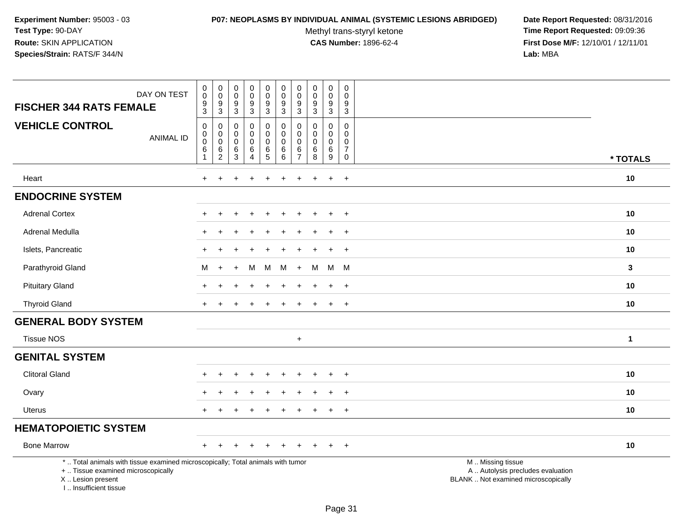#### **P07: NEOPLASMS BY INDIVIDUAL ANIMAL (SYSTEMIC LESIONS ABRIDGED) Date Report Requested:** 08/31/2016

Methyl trans-styryl ketone<br>CAS Number: 1896-62-4

| DAY ON TEST<br><b>FISCHER 344 RATS FEMALE</b>                                                                                                                       | $\pmb{0}$<br>$\boldsymbol{0}$<br>9<br>$\mathbf{3}$                                   | $\pmb{0}$<br>$\mathbf 0$<br>9<br>$\mathbf{3}$      | 0<br>$\mathbf 0$<br>9<br>$\sqrt{3}$          | $\pmb{0}$<br>$\mathbf 0$<br>$\boldsymbol{9}$<br>$\sqrt{3}$     | $\pmb{0}$<br>$\pmb{0}$<br>$\boldsymbol{9}$<br>$\mathbf{3}$                       | $\pmb{0}$<br>$\boldsymbol{0}$<br>$\boldsymbol{9}$<br>$\mathbf{3}$ | $\pmb{0}$<br>$\mathbf 0$<br>$9\,$<br>3       | $\mathbf 0$<br>0<br>9<br>$\mathfrak{Z}$ | $\pmb{0}$<br>$\mathsf{O}\xspace$<br>$\boldsymbol{9}$<br>$\mathfrak{Z}$ | $\mathbf 0$<br>$\mathbf 0$<br>9<br>$\sqrt{3}$                                      |                                                                                               |
|---------------------------------------------------------------------------------------------------------------------------------------------------------------------|--------------------------------------------------------------------------------------|----------------------------------------------------|----------------------------------------------|----------------------------------------------------------------|----------------------------------------------------------------------------------|-------------------------------------------------------------------|----------------------------------------------|-----------------------------------------|------------------------------------------------------------------------|------------------------------------------------------------------------------------|-----------------------------------------------------------------------------------------------|
| <b>VEHICLE CONTROL</b><br><b>ANIMAL ID</b>                                                                                                                          | $\boldsymbol{0}$<br>$\boldsymbol{0}$<br>$\pmb{0}$<br>$6\phantom{1}6$<br>$\mathbf{1}$ | 0<br>$\pmb{0}$<br>$\pmb{0}$<br>6<br>$\overline{2}$ | 0<br>0<br>$\mathbf 0$<br>6<br>$\overline{3}$ | $\mathbf 0$<br>$\mathbf 0$<br>$\pmb{0}$<br>6<br>$\overline{4}$ | $\mathbf 0$<br>$\mathbf 0$<br>$\pmb{0}$<br>$\begin{array}{c} 6 \\ 5 \end{array}$ | $\mathbf 0$<br>$\mathbf 0$<br>$\mathbf 0$<br>$\,6$<br>6           | 0<br>0<br>$\mathbf 0$<br>6<br>$\overline{7}$ | $\mathbf 0$<br>$\Omega$<br>0<br>6<br>8  | $\mathbf 0$<br>$\mathbf 0$<br>$\pmb{0}$<br>6<br>$\overline{9}$         | $\mathbf 0$<br>$\mathbf 0$<br>$\mathbf 0$<br>$\overline{7}$<br>$\mathsf{O}\xspace$ | * TOTALS                                                                                      |
| Heart                                                                                                                                                               | $\ddot{}$                                                                            | $\ddot{}$                                          |                                              | $\div$                                                         | $\ddot{}$                                                                        | $\ddot{}$                                                         | $\ddot{}$                                    | $\ddot{}$                               | $\ddot{}$                                                              | $+$                                                                                | 10                                                                                            |
| <b>ENDOCRINE SYSTEM</b>                                                                                                                                             |                                                                                      |                                                    |                                              |                                                                |                                                                                  |                                                                   |                                              |                                         |                                                                        |                                                                                    |                                                                                               |
| <b>Adrenal Cortex</b>                                                                                                                                               |                                                                                      |                                                    |                                              |                                                                |                                                                                  |                                                                   |                                              |                                         |                                                                        | $\overline{+}$                                                                     | 10                                                                                            |
| Adrenal Medulla                                                                                                                                                     |                                                                                      |                                                    |                                              |                                                                |                                                                                  |                                                                   |                                              |                                         | ÷                                                                      | $^{+}$                                                                             | 10                                                                                            |
| Islets, Pancreatic                                                                                                                                                  |                                                                                      |                                                    |                                              |                                                                |                                                                                  |                                                                   |                                              |                                         | $\ddot{}$                                                              | $+$                                                                                | 10                                                                                            |
| Parathyroid Gland                                                                                                                                                   | М                                                                                    | $\ddot{}$                                          |                                              | M                                                              | М                                                                                | М                                                                 | $+$                                          | м                                       | M M                                                                    |                                                                                    | $\mathbf{3}$                                                                                  |
| <b>Pituitary Gland</b>                                                                                                                                              |                                                                                      |                                                    |                                              |                                                                |                                                                                  |                                                                   |                                              |                                         |                                                                        | $\ddot{}$                                                                          | 10                                                                                            |
| <b>Thyroid Gland</b>                                                                                                                                                | $\pm$                                                                                | $\pm$                                              |                                              | $\div$                                                         | $\ddot{}$                                                                        |                                                                   |                                              |                                         | $+$                                                                    | $+$                                                                                | 10                                                                                            |
| <b>GENERAL BODY SYSTEM</b>                                                                                                                                          |                                                                                      |                                                    |                                              |                                                                |                                                                                  |                                                                   |                                              |                                         |                                                                        |                                                                                    |                                                                                               |
| <b>Tissue NOS</b>                                                                                                                                                   |                                                                                      |                                                    |                                              |                                                                |                                                                                  |                                                                   | $\ddot{}$                                    |                                         |                                                                        |                                                                                    | $\mathbf{1}$                                                                                  |
| <b>GENITAL SYSTEM</b>                                                                                                                                               |                                                                                      |                                                    |                                              |                                                                |                                                                                  |                                                                   |                                              |                                         |                                                                        |                                                                                    |                                                                                               |
| <b>Clitoral Gland</b>                                                                                                                                               |                                                                                      |                                                    |                                              |                                                                |                                                                                  |                                                                   |                                              |                                         | $\ddot{}$                                                              | $^{+}$                                                                             | 10                                                                                            |
| Ovary                                                                                                                                                               |                                                                                      |                                                    |                                              |                                                                |                                                                                  |                                                                   |                                              |                                         | $\ddot{}$                                                              | $\ddot{}$                                                                          | 10                                                                                            |
| <b>Uterus</b>                                                                                                                                                       |                                                                                      |                                                    |                                              |                                                                |                                                                                  |                                                                   |                                              |                                         |                                                                        | $+$                                                                                | 10                                                                                            |
| <b>HEMATOPOIETIC SYSTEM</b>                                                                                                                                         |                                                                                      |                                                    |                                              |                                                                |                                                                                  |                                                                   |                                              |                                         |                                                                        |                                                                                    |                                                                                               |
| <b>Bone Marrow</b>                                                                                                                                                  | $\pm$                                                                                |                                                    |                                              | $\div$                                                         |                                                                                  |                                                                   |                                              |                                         | ÷                                                                      | $+$                                                                                | 10                                                                                            |
| *  Total animals with tissue examined microscopically; Total animals with tumor<br>+  Tissue examined microscopically<br>X  Lesion present<br>I Insufficient tissue |                                                                                      |                                                    |                                              |                                                                |                                                                                  |                                                                   |                                              |                                         |                                                                        |                                                                                    | M  Missing tissue<br>A  Autolysis precludes evaluation<br>BLANK  Not examined microscopically |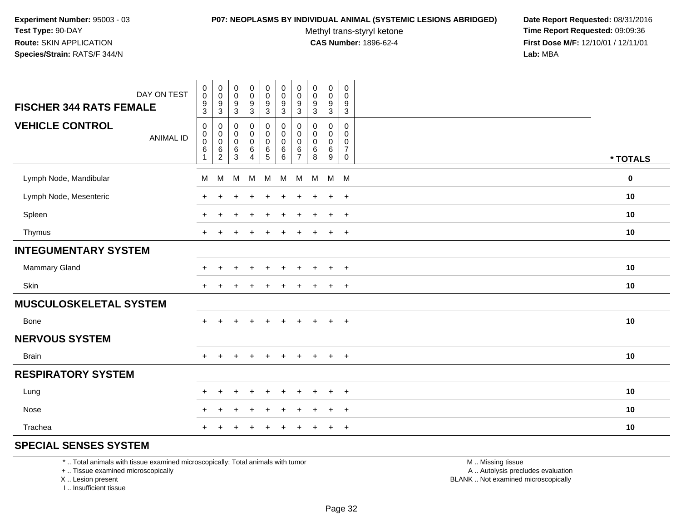#### **P07: NEOPLASMS BY INDIVIDUAL ANIMAL (SYSTEMIC LESIONS ABRIDGED) Date Report Requested:** 08/31/2016

Methyl trans-styryl ketone<br>CAS Number: 1896-62-4

 **Time Report Requested:** 09:09:36 **First Dose M/F:** 12/10/01 / 12/11/01<br>**Lab:** MBA **Lab:** MBA

| DAY ON TEST<br><b>FISCHER 344 RATS FEMALE</b> | $\pmb{0}$<br>$\pmb{0}$<br>$^9_3$    | $\pmb{0}$<br>$\pmb{0}$<br>$\frac{9}{3}$                      | $\pmb{0}$<br>$\,0\,$<br>$\boldsymbol{9}$<br>$\mathbf{3}$ | $\pmb{0}$<br>$\pmb{0}$<br>9<br>$\mathbf{3}$                    | $\pmb{0}$<br>$\mathbf 0$<br>$\boldsymbol{9}$<br>$\mathbf{3}$ | $\pmb{0}$<br>$\pmb{0}$<br>$\boldsymbol{9}$<br>$\sqrt{3}$ | $\pmb{0}$<br>$\mathbf 0$<br>$\frac{9}{3}$                  | 0<br>$\mathbf 0$<br>$\boldsymbol{9}$<br>$\sqrt{3}$    | $\pmb{0}$<br>$\mathbf 0$<br>9<br>$\mathbf{3}$ | $\,0\,$<br>$\pmb{0}$<br>$\boldsymbol{9}$<br>$\mathbf{3}$         |             |
|-----------------------------------------------|-------------------------------------|--------------------------------------------------------------|----------------------------------------------------------|----------------------------------------------------------------|--------------------------------------------------------------|----------------------------------------------------------|------------------------------------------------------------|-------------------------------------------------------|-----------------------------------------------|------------------------------------------------------------------|-------------|
| <b>VEHICLE CONTROL</b><br><b>ANIMAL ID</b>    | 0<br>0<br>$\pmb{0}$<br>$\,6\,$<br>1 | $\mathbf 0$<br>$_{\rm 0}^{\rm 0}$<br>$\,6$<br>$\overline{2}$ | $\pmb{0}$<br>$\pmb{0}$<br>$\,0\,$<br>$\,6\,$<br>3        | $\pmb{0}$<br>$\pmb{0}$<br>$\pmb{0}$<br>$\,6$<br>$\overline{4}$ | 0<br>0<br>$\pmb{0}$<br>$\,6\,$<br>$5\phantom{.0}$            | $\pmb{0}$<br>$\pmb{0}$<br>$\pmb{0}$<br>$\,6\,$<br>$\,6$  | $\mathbf 0$<br>0<br>$\pmb{0}$<br>$\,6\,$<br>$\overline{7}$ | $\pmb{0}$<br>$\mathbf 0$<br>$\pmb{0}$<br>$\,6\,$<br>8 | 0<br>$\mathbf 0$<br>$\mathbf 0$<br>6<br>9     | $\mathbf 0$<br>$\mathbf 0$<br>0<br>$\overline{7}$<br>$\mathbf 0$ | * TOTALS    |
| Lymph Node, Mandibular                        | M                                   | M                                                            | M                                                        | M                                                              | M                                                            | M                                                        | M                                                          | M                                                     | $M$ M                                         |                                                                  | $\mathbf 0$ |
| Lymph Node, Mesenteric                        | $\pm$                               |                                                              |                                                          |                                                                |                                                              | ٠                                                        |                                                            | ÷                                                     | $\ddot{}$                                     | $+$                                                              | 10          |
| Spleen                                        | $\div$                              |                                                              |                                                          |                                                                |                                                              | $\ddot{}$                                                |                                                            | ÷.                                                    | $\ddot{}$                                     | $+$                                                              | 10          |
| Thymus                                        | $\ddot{}$                           |                                                              |                                                          |                                                                |                                                              | $\div$                                                   |                                                            |                                                       | $\ddot{}$                                     | $+$                                                              | 10          |
| <b>INTEGUMENTARY SYSTEM</b>                   |                                     |                                                              |                                                          |                                                                |                                                              |                                                          |                                                            |                                                       |                                               |                                                                  |             |
| Mammary Gland                                 | $\ddot{}$                           |                                                              |                                                          |                                                                |                                                              |                                                          |                                                            |                                                       | ÷                                             | $^{+}$                                                           | 10          |
| Skin                                          | $\ddot{}$                           |                                                              |                                                          |                                                                |                                                              |                                                          |                                                            |                                                       | ÷                                             | $\overline{+}$                                                   | 10          |
| <b>MUSCULOSKELETAL SYSTEM</b>                 |                                     |                                                              |                                                          |                                                                |                                                              |                                                          |                                                            |                                                       |                                               |                                                                  |             |
| Bone                                          | $+$                                 | $\ddot{}$                                                    | $\ddot{}$                                                | $+$                                                            | $+$                                                          | $\ddot{}$                                                | $\ddot{}$                                                  | $+$                                                   | $+$                                           | $+$                                                              | 10          |
| <b>NERVOUS SYSTEM</b>                         |                                     |                                                              |                                                          |                                                                |                                                              |                                                          |                                                            |                                                       |                                               |                                                                  |             |
| <b>Brain</b>                                  | $\pm$                               |                                                              |                                                          | $\div$                                                         | $\div$                                                       | $\pm$                                                    | $\div$                                                     | $\div$                                                | $\ddot{}$                                     | $^{+}$                                                           | 10          |
| <b>RESPIRATORY SYSTEM</b>                     |                                     |                                                              |                                                          |                                                                |                                                              |                                                          |                                                            |                                                       |                                               |                                                                  |             |
| Lung                                          | $\pm$                               | ÷                                                            |                                                          |                                                                |                                                              |                                                          |                                                            |                                                       | $\ddot{}$                                     | $^{+}$                                                           | 10          |
| Nose                                          |                                     |                                                              |                                                          |                                                                |                                                              |                                                          |                                                            |                                                       | ÷                                             | $\overline{+}$                                                   | 10          |
| Trachea                                       |                                     |                                                              |                                                          |                                                                |                                                              |                                                          |                                                            |                                                       | ÷                                             | $^{+}$                                                           | 10          |

# **SPECIAL SENSES SYSTEM**

\* .. Total animals with tissue examined microscopically; Total animals with tumor

+ .. Tissue examined microscopically

X .. Lesion present

I .. Insufficient tissue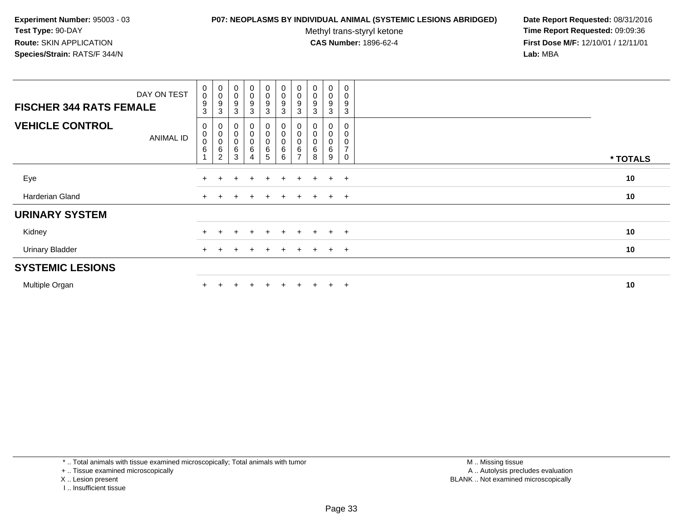#### **P07: NEOPLASMS BY INDIVIDUAL ANIMAL (SYSTEMIC LESIONS ABRIDGED) Date Report Requested:** 08/31/2016

Methyl trans-styryl ketone<br>CAS Number: 1896-62-4

| DAY ON TEST<br><b>FISCHER 344 RATS FEMALE</b> | $\begin{smallmatrix} 0\\0 \end{smallmatrix}$<br>$9\,$<br>3 | $_{\rm 0}^{\rm 0}$<br>9<br>3                                     | $\begin{smallmatrix}0\\0\end{smallmatrix}$<br>9<br>3 | $\begin{smallmatrix}0\0\0\end{smallmatrix}$<br>9<br>3 | $_{\rm 0}^{\rm 0}$<br>$\boldsymbol{9}$<br>3         | $\begin{smallmatrix} 0\\0 \end{smallmatrix}$<br>$\boldsymbol{9}$<br>3 | $_{\rm 0}^{\rm 0}$<br>9<br>3      | $\begin{smallmatrix}0\\0\end{smallmatrix}$<br>9<br>3 | 0<br>0<br>9<br>3 | $\pmb{0}$<br>$\pmb{0}$<br>9<br>3          |          |
|-----------------------------------------------|------------------------------------------------------------|------------------------------------------------------------------|------------------------------------------------------|-------------------------------------------------------|-----------------------------------------------------|-----------------------------------------------------------------------|-----------------------------------|------------------------------------------------------|------------------|-------------------------------------------|----------|
| <b>VEHICLE CONTROL</b><br>ANIMAL ID           | 0<br>$_{\rm 0}^{\rm 0}$<br>$\,6\,$                         | $\begin{matrix} 0 \\ 0 \\ 0 \\ 6 \end{matrix}$<br>$\overline{2}$ | 0<br>$\mathbf 0$<br>$\mathbf 0$<br>$\,6$<br>3        | 0<br>$\begin{matrix} 0 \\ 0 \end{matrix}$<br>6        | 0<br>$\begin{matrix} 0 \\ 0 \end{matrix}$<br>6<br>5 | $\pmb{0}$<br>$\overline{0}$<br>$\,6\,$<br>6                           | 0<br>0<br>$\,6$<br>$\overline{ }$ | 0<br>0<br>6<br>8                                     | 0<br>0<br>6<br>9 | 0<br>0<br>0<br>$\overline{7}$<br>$\Omega$ | * TOTALS |
| Eye                                           |                                                            |                                                                  |                                                      | $\ddot{}$                                             | $+$                                                 | $\pm$                                                                 | $\pm$                             | $\pm$                                                | $\pm$            | $+$                                       | 10       |
| Harderian Gland                               |                                                            |                                                                  |                                                      | $\mathbf +$                                           | $\pm$                                               | $\pm$                                                                 | $+$                               | $+$                                                  | $+$ $+$          |                                           | 10       |
| <b>URINARY SYSTEM</b>                         |                                                            |                                                                  |                                                      |                                                       |                                                     |                                                                       |                                   |                                                      |                  |                                           |          |
| Kidney                                        |                                                            |                                                                  |                                                      |                                                       | ÷.                                                  |                                                                       | $\pm$                             | $+$                                                  | $\ddot{}$        | $+$                                       | 10       |
| <b>Urinary Bladder</b>                        | $+$                                                        |                                                                  |                                                      | $\ddot{}$                                             | $\pm$                                               | $+$                                                                   | $\pm$                             | $+$                                                  | $+$              | $+$                                       | 10       |
| <b>SYSTEMIC LESIONS</b>                       |                                                            |                                                                  |                                                      |                                                       |                                                     |                                                                       |                                   |                                                      |                  |                                           |          |
| Multiple Organ                                |                                                            |                                                                  |                                                      |                                                       | $\pm$                                               | $\pm$                                                                 | $\pm$                             | $+$                                                  | $\pm$            | $+$                                       | 10       |

- X .. Lesion present
- I .. Insufficient tissue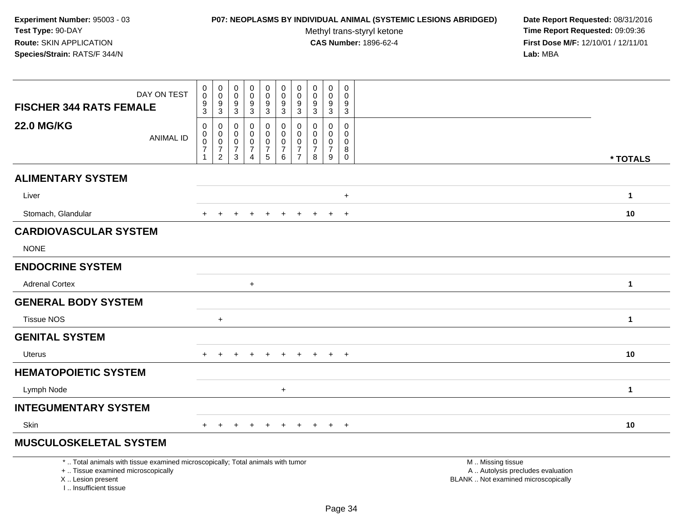# **P07: NEOPLASMS BY INDIVIDUAL ANIMAL (SYSTEMIC LESIONS ABRIDGED) Date Report Requested:** 08/31/2016

Methyl trans-styryl ketone<br>CAS Number: 1896-62-4

| DAY ON TEST<br><b>FISCHER 344 RATS FEMALE</b>                                                                                                                       | 0<br>$\pmb{0}$                                                        | $\pmb{0}$<br>$\mathsf{O}\xspace$                                                         | 0<br>$\mathsf{O}\xspace$                                           | $\mathbf 0$<br>$\mathbf 0$<br>9                                                 | $\pmb{0}$<br>$\pmb{0}$                           | 0<br>$\mathsf{O}\xspace$                                         | $\pmb{0}$<br>$\mathbf 0$                                   | 0<br>0                                              | $\mathbf 0$<br>$\mathbf 0$<br>$\boldsymbol{9}$                | 0<br>$\mathbf 0$<br>9                                                |                                                                                               |  |
|---------------------------------------------------------------------------------------------------------------------------------------------------------------------|-----------------------------------------------------------------------|------------------------------------------------------------------------------------------|--------------------------------------------------------------------|---------------------------------------------------------------------------------|--------------------------------------------------|------------------------------------------------------------------|------------------------------------------------------------|-----------------------------------------------------|---------------------------------------------------------------|----------------------------------------------------------------------|-----------------------------------------------------------------------------------------------|--|
|                                                                                                                                                                     | $\frac{9}{3}$                                                         | $\frac{9}{3}$                                                                            | $\frac{9}{3}$                                                      | $\overline{3}$                                                                  | $\frac{9}{3}$                                    | $\frac{9}{3}$                                                    | $\frac{9}{3}$                                              | $\frac{9}{3}$                                       | $\overline{3}$                                                | $\mathbf{3}$                                                         |                                                                                               |  |
| <b>22.0 MG/KG</b><br><b>ANIMAL ID</b>                                                                                                                               | $\pmb{0}$<br>$\pmb{0}$<br>$\pmb{0}$<br>$\overline{7}$<br>$\mathbf{1}$ | $\boldsymbol{0}$<br>$\pmb{0}$<br>$\begin{array}{c} 0 \\ 7 \end{array}$<br>$\overline{c}$ | $\mathbf 0$<br>$\mathbf 0$<br>$\mathbf 0$<br>$\boldsymbol{7}$<br>3 | $\mathbf 0$<br>$\mathbf 0$<br>$\mathbf 0$<br>$\boldsymbol{7}$<br>$\overline{4}$ | 0<br>$\mathbf 0$<br>$\mathbf 0$<br>$\frac{7}{5}$ | $\pmb{0}$<br>$\mathsf 0$<br>$\mathbf 0$<br>$\boldsymbol{7}$<br>6 | 0<br>$\mathbf{0}$<br>0<br>$\overline{7}$<br>$\overline{7}$ | $\mathbf 0$<br>$\Omega$<br>0<br>$\overline{7}$<br>8 | $\mathbf 0$<br>$\Omega$<br>$\mathbf 0$<br>$\overline{7}$<br>9 | $\mathbf 0$<br>$\mathbf{0}$<br>$\mathbf 0$<br>$\bf 8$<br>$\mathbf 0$ | * TOTALS                                                                                      |  |
| <b>ALIMENTARY SYSTEM</b>                                                                                                                                            |                                                                       |                                                                                          |                                                                    |                                                                                 |                                                  |                                                                  |                                                            |                                                     |                                                               |                                                                      |                                                                                               |  |
| Liver                                                                                                                                                               |                                                                       |                                                                                          |                                                                    |                                                                                 |                                                  |                                                                  |                                                            |                                                     |                                                               | $\ddot{}$                                                            | 1                                                                                             |  |
| Stomach, Glandular                                                                                                                                                  |                                                                       |                                                                                          |                                                                    |                                                                                 |                                                  |                                                                  | $\ddot{}$                                                  | $\pm$                                               | $\ddot{}$                                                     | $+$                                                                  | 10                                                                                            |  |
| <b>CARDIOVASCULAR SYSTEM</b>                                                                                                                                        |                                                                       |                                                                                          |                                                                    |                                                                                 |                                                  |                                                                  |                                                            |                                                     |                                                               |                                                                      |                                                                                               |  |
| <b>NONE</b>                                                                                                                                                         |                                                                       |                                                                                          |                                                                    |                                                                                 |                                                  |                                                                  |                                                            |                                                     |                                                               |                                                                      |                                                                                               |  |
| <b>ENDOCRINE SYSTEM</b>                                                                                                                                             |                                                                       |                                                                                          |                                                                    |                                                                                 |                                                  |                                                                  |                                                            |                                                     |                                                               |                                                                      |                                                                                               |  |
| <b>Adrenal Cortex</b>                                                                                                                                               |                                                                       |                                                                                          |                                                                    | $\ddot{}$                                                                       |                                                  |                                                                  |                                                            |                                                     |                                                               |                                                                      | 1                                                                                             |  |
| <b>GENERAL BODY SYSTEM</b>                                                                                                                                          |                                                                       |                                                                                          |                                                                    |                                                                                 |                                                  |                                                                  |                                                            |                                                     |                                                               |                                                                      |                                                                                               |  |
| <b>Tissue NOS</b>                                                                                                                                                   |                                                                       | $+$                                                                                      |                                                                    |                                                                                 |                                                  |                                                                  |                                                            |                                                     |                                                               |                                                                      | $\mathbf{1}$                                                                                  |  |
| <b>GENITAL SYSTEM</b>                                                                                                                                               |                                                                       |                                                                                          |                                                                    |                                                                                 |                                                  |                                                                  |                                                            |                                                     |                                                               |                                                                      |                                                                                               |  |
| Uterus                                                                                                                                                              |                                                                       |                                                                                          |                                                                    |                                                                                 |                                                  |                                                                  | $\pm$                                                      | $\pm$                                               | $+$                                                           | $+$                                                                  | 10                                                                                            |  |
| <b>HEMATOPOIETIC SYSTEM</b>                                                                                                                                         |                                                                       |                                                                                          |                                                                    |                                                                                 |                                                  |                                                                  |                                                            |                                                     |                                                               |                                                                      |                                                                                               |  |
| Lymph Node                                                                                                                                                          |                                                                       |                                                                                          |                                                                    |                                                                                 |                                                  | $\ddot{}$                                                        |                                                            |                                                     |                                                               |                                                                      | 1                                                                                             |  |
| <b>INTEGUMENTARY SYSTEM</b>                                                                                                                                         |                                                                       |                                                                                          |                                                                    |                                                                                 |                                                  |                                                                  |                                                            |                                                     |                                                               |                                                                      |                                                                                               |  |
| Skin                                                                                                                                                                | $+$                                                                   | $\ddot{}$                                                                                |                                                                    |                                                                                 | $\ddot{}$                                        | $\pm$                                                            | $\ddot{}$                                                  | $\pm$                                               | $+$                                                           | $+$                                                                  | 10                                                                                            |  |
| <b>MUSCULOSKELETAL SYSTEM</b>                                                                                                                                       |                                                                       |                                                                                          |                                                                    |                                                                                 |                                                  |                                                                  |                                                            |                                                     |                                                               |                                                                      |                                                                                               |  |
| *  Total animals with tissue examined microscopically; Total animals with tumor<br>+  Tissue examined microscopically<br>X  Lesion present<br>I Insufficient tissue |                                                                       |                                                                                          |                                                                    |                                                                                 |                                                  |                                                                  |                                                            |                                                     |                                                               |                                                                      | M  Missing tissue<br>A  Autolysis precludes evaluation<br>BLANK  Not examined microscopically |  |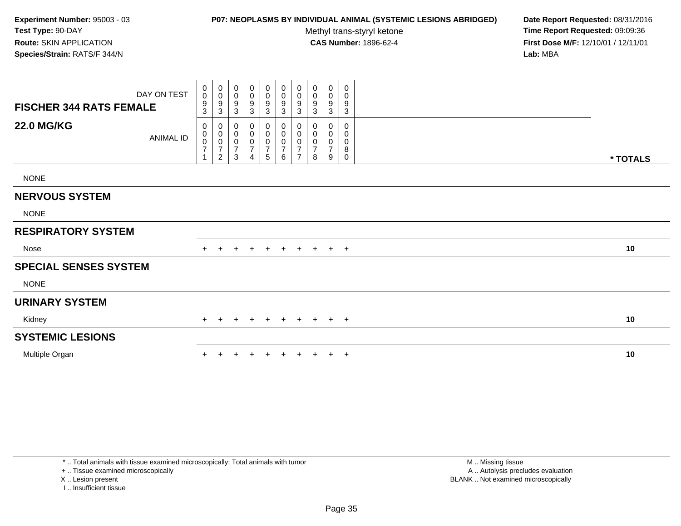# **P07: NEOPLASMS BY INDIVIDUAL ANIMAL (SYSTEMIC LESIONS ABRIDGED) Date Report Requested:** 08/31/2016

Methyl trans-styryl ketone<br>CAS Number: 1896-62-4

 **Time Report Requested:** 09:09:36 **First Dose M/F:** 12/10/01 / 12/11/01<br>**Lab:** MBA **Lab:** MBA

| <b>FISCHER 344 RATS FEMALE</b> | DAY ON TEST | $_{\rm 0}^{\rm 0}$<br>$\frac{9}{3}$               | $\begin{smallmatrix}0\\0\end{smallmatrix}$<br>$\boldsymbol{9}$<br>$\mathbf{3}$ | 0<br>0<br>9<br>3                   | $\pmb{0}$<br>0<br>9<br>3                                                                | 0<br>$\mathbf 0$<br>9<br>3                 | $\begin{smallmatrix}0\0\0\end{smallmatrix}$<br>$\boldsymbol{9}$<br>$\mathbf{3}$ | $\begin{smallmatrix}0\\0\end{smallmatrix}$<br>$\boldsymbol{9}$<br>3 | $_{\rm 0}^{\rm 0}$<br>9<br>$\mathfrak{Z}$            | 0<br>$\pmb{0}$<br>$\boldsymbol{9}$<br>3            | 0<br>0<br>9<br>3      |          |  |
|--------------------------------|-------------|---------------------------------------------------|--------------------------------------------------------------------------------|------------------------------------|-----------------------------------------------------------------------------------------|--------------------------------------------|---------------------------------------------------------------------------------|---------------------------------------------------------------------|------------------------------------------------------|----------------------------------------------------|-----------------------|----------|--|
| <b>22.0 MG/KG</b>              | ANIMAL ID   | 0<br>$\pmb{0}$<br>$\frac{0}{7}$<br>$\overline{A}$ | 0<br>$\pmb{0}$<br>$\mathbf 0$<br>$\overline{7}$<br>$\sqrt{2}$                  | 0<br>0<br>0<br>$\overline{7}$<br>3 | 0<br>$\pmb{0}$<br>$\boldsymbol{0}$<br>$\overline{\mathbf{7}}$<br>$\boldsymbol{\Lambda}$ | 0<br>0<br>$\pmb{0}$<br>$\overline{7}$<br>5 | 0<br>$\pmb{0}$<br>$\pmb{0}$<br>$\boldsymbol{7}$<br>6                            | 0<br>$\pmb{0}$<br>$\pmb{0}$<br>$\overline{ }$<br>$\overline{ }$     | 0<br>$\mathbf 0$<br>$\pmb{0}$<br>$\overline{7}$<br>8 | 0<br>$\pmb{0}$<br>$\pmb{0}$<br>$\overline{7}$<br>9 | 0<br>0<br>0<br>8<br>0 | * TOTALS |  |
| <b>NONE</b>                    |             |                                                   |                                                                                |                                    |                                                                                         |                                            |                                                                                 |                                                                     |                                                      |                                                    |                       |          |  |
| <b>NERVOUS SYSTEM</b>          |             |                                                   |                                                                                |                                    |                                                                                         |                                            |                                                                                 |                                                                     |                                                      |                                                    |                       |          |  |
| <b>NONE</b>                    |             |                                                   |                                                                                |                                    |                                                                                         |                                            |                                                                                 |                                                                     |                                                      |                                                    |                       |          |  |
| <b>RESPIRATORY SYSTEM</b>      |             |                                                   |                                                                                |                                    |                                                                                         |                                            |                                                                                 |                                                                     |                                                      |                                                    |                       |          |  |
| Nose                           |             | $+$                                               |                                                                                |                                    | $+$                                                                                     | $+$                                        | $+$                                                                             | $+$                                                                 | $+$                                                  | $+$ $+$                                            |                       | 10       |  |
| <b>SPECIAL SENSES SYSTEM</b>   |             |                                                   |                                                                                |                                    |                                                                                         |                                            |                                                                                 |                                                                     |                                                      |                                                    |                       |          |  |
| <b>NONE</b>                    |             |                                                   |                                                                                |                                    |                                                                                         |                                            |                                                                                 |                                                                     |                                                      |                                                    |                       |          |  |
| <b>URINARY SYSTEM</b>          |             |                                                   |                                                                                |                                    |                                                                                         |                                            |                                                                                 |                                                                     |                                                      |                                                    |                       |          |  |
| Kidney                         |             | $+$                                               | $\pm$                                                                          | $\pm$                              | $+$                                                                                     | $+$                                        | $+$                                                                             | $+$                                                                 |                                                      | $+$ $+$ $+$                                        |                       | 10       |  |
| <b>SYSTEMIC LESIONS</b>        |             |                                                   |                                                                                |                                    |                                                                                         |                                            |                                                                                 |                                                                     |                                                      |                                                    |                       |          |  |
| Multiple Organ                 |             |                                                   |                                                                                |                                    |                                                                                         |                                            | $+$                                                                             | $\ddot{}$                                                           | $\ddot{}$                                            |                                                    | $+$ $+$               | 10       |  |

I .. Insufficient tissue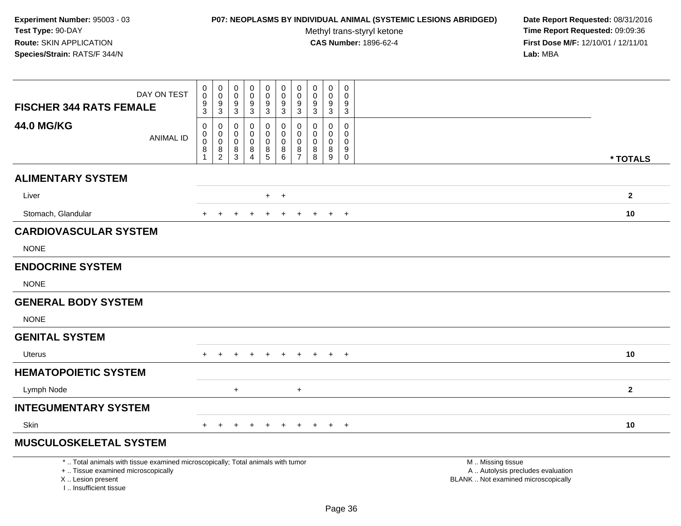# **P07: NEOPLASMS BY INDIVIDUAL ANIMAL (SYSTEMIC LESIONS ABRIDGED) Date Report Requested:** 08/31/2016

Methyl trans-styryl ketone<br>CAS Number: 1896-62-4

| DAY ON TEST                                                                                                                                                        | $\pmb{0}$<br>$\pmb{0}$                                     | $\pmb{0}$<br>$\mathbf 0$                                                 | 0<br>$\mathbf 0$                          | $\pmb{0}$<br>$\mathsf{O}\xspace$                                             | $\pmb{0}$<br>$\mathbf 0$<br>9                                | $\pmb{0}$<br>$\mathbf 0$<br>9                           | $\pmb{0}$<br>$\mathbf 0$                                         | $\pmb{0}$<br>$\mathbf 0$                     | $\pmb{0}$<br>$\mathbf 0$                                | $\pmb{0}$<br>$\mathbf 0$<br>9                                                |                                                                                               |              |
|--------------------------------------------------------------------------------------------------------------------------------------------------------------------|------------------------------------------------------------|--------------------------------------------------------------------------|-------------------------------------------|------------------------------------------------------------------------------|--------------------------------------------------------------|---------------------------------------------------------|------------------------------------------------------------------|----------------------------------------------|---------------------------------------------------------|------------------------------------------------------------------------------|-----------------------------------------------------------------------------------------------|--------------|
| <b>FISCHER 344 RATS FEMALE</b>                                                                                                                                     | $\frac{9}{3}$                                              | $\frac{9}{3}$                                                            | $\frac{9}{3}$                             | $\frac{9}{3}$                                                                | $\overline{3}$                                               | $\overline{3}$                                          | $\frac{9}{3}$                                                    | $\frac{9}{3}$                                | $\frac{9}{3}$                                           | $\overline{3}$                                                               |                                                                                               |              |
| <b>44.0 MG/KG</b><br><b>ANIMAL ID</b>                                                                                                                              | $\mathbf 0$<br>0<br>$\mathbf 0$<br>$\bf 8$<br>$\mathbf{1}$ | $\mathbf 0$<br>$\mathbf 0$<br>$\mathsf{O}\xspace$<br>8<br>$\overline{2}$ | $\mathbf 0$<br>0<br>$\mathbf 0$<br>8<br>3 | $\mathbf 0$<br>$\mathbf 0$<br>$\pmb{0}$<br>$\,8\,$<br>$\boldsymbol{\Lambda}$ | 0<br>$\mathbf 0$<br>$\mathbf 0$<br>$\bf 8$<br>$\overline{5}$ | $\mathbf 0$<br>$\mathbf 0$<br>$\pmb{0}$<br>8<br>$\,6\,$ | $\mathbf 0$<br>$\mathbf 0$<br>$\mathbf 0$<br>8<br>$\overline{7}$ | $\mathbf{0}$<br>$\Omega$<br>0<br>$\bf8$<br>8 | $\mathbf 0$<br>$\mathbf 0$<br>$\pmb{0}$<br>$\bf 8$<br>9 | $\mathbf 0$<br>$\mathbf 0$<br>$\mathbf 0$<br>$\boldsymbol{9}$<br>$\mathbf 0$ |                                                                                               | * TOTALS     |
| <b>ALIMENTARY SYSTEM</b>                                                                                                                                           |                                                            |                                                                          |                                           |                                                                              |                                                              |                                                         |                                                                  |                                              |                                                         |                                                                              |                                                                                               |              |
| Liver                                                                                                                                                              |                                                            |                                                                          |                                           |                                                                              | $+$                                                          | $+$                                                     |                                                                  |                                              |                                                         |                                                                              |                                                                                               | $\mathbf{2}$ |
| Stomach, Glandular                                                                                                                                                 |                                                            | $\div$                                                                   |                                           |                                                                              | $\overline{+}$                                               | $\ddot{}$                                               | $\pm$                                                            | $+$                                          | $+$                                                     | $^{+}$                                                                       |                                                                                               | 10           |
| <b>CARDIOVASCULAR SYSTEM</b>                                                                                                                                       |                                                            |                                                                          |                                           |                                                                              |                                                              |                                                         |                                                                  |                                              |                                                         |                                                                              |                                                                                               |              |
| <b>NONE</b>                                                                                                                                                        |                                                            |                                                                          |                                           |                                                                              |                                                              |                                                         |                                                                  |                                              |                                                         |                                                                              |                                                                                               |              |
| <b>ENDOCRINE SYSTEM</b>                                                                                                                                            |                                                            |                                                                          |                                           |                                                                              |                                                              |                                                         |                                                                  |                                              |                                                         |                                                                              |                                                                                               |              |
| <b>NONE</b>                                                                                                                                                        |                                                            |                                                                          |                                           |                                                                              |                                                              |                                                         |                                                                  |                                              |                                                         |                                                                              |                                                                                               |              |
| <b>GENERAL BODY SYSTEM</b>                                                                                                                                         |                                                            |                                                                          |                                           |                                                                              |                                                              |                                                         |                                                                  |                                              |                                                         |                                                                              |                                                                                               |              |
| <b>NONE</b>                                                                                                                                                        |                                                            |                                                                          |                                           |                                                                              |                                                              |                                                         |                                                                  |                                              |                                                         |                                                                              |                                                                                               |              |
| <b>GENITAL SYSTEM</b>                                                                                                                                              |                                                            |                                                                          |                                           |                                                                              |                                                              |                                                         |                                                                  |                                              |                                                         |                                                                              |                                                                                               |              |
| <b>Uterus</b>                                                                                                                                                      | $+$                                                        | $+$                                                                      | $+$                                       | $+$                                                                          | $+$                                                          | $+$                                                     | $+$                                                              | $+$                                          | $+$                                                     | $+$                                                                          |                                                                                               | 10           |
| <b>HEMATOPOIETIC SYSTEM</b>                                                                                                                                        |                                                            |                                                                          |                                           |                                                                              |                                                              |                                                         |                                                                  |                                              |                                                         |                                                                              |                                                                                               |              |
| Lymph Node                                                                                                                                                         |                                                            |                                                                          | $+$                                       |                                                                              |                                                              |                                                         | $\ddot{}$                                                        |                                              |                                                         |                                                                              |                                                                                               | $\mathbf{2}$ |
| <b>INTEGUMENTARY SYSTEM</b>                                                                                                                                        |                                                            |                                                                          |                                           |                                                                              |                                                              |                                                         |                                                                  |                                              |                                                         |                                                                              |                                                                                               |              |
| Skin                                                                                                                                                               | $+$                                                        |                                                                          |                                           |                                                                              |                                                              |                                                         |                                                                  |                                              | $\overline{ }$                                          | $\overline{+}$                                                               |                                                                                               | 10           |
| <b>MUSCULOSKELETAL SYSTEM</b>                                                                                                                                      |                                                            |                                                                          |                                           |                                                                              |                                                              |                                                         |                                                                  |                                              |                                                         |                                                                              |                                                                                               |              |
| *  Total animals with tissue examined microscopically; Total animals with tumor<br>+  Tissue examined microscopically<br>X Lesion present<br>I Insufficient tissue |                                                            |                                                                          |                                           |                                                                              |                                                              |                                                         |                                                                  |                                              |                                                         |                                                                              | M  Missing tissue<br>A  Autolysis precludes evaluation<br>BLANK  Not examined microscopically |              |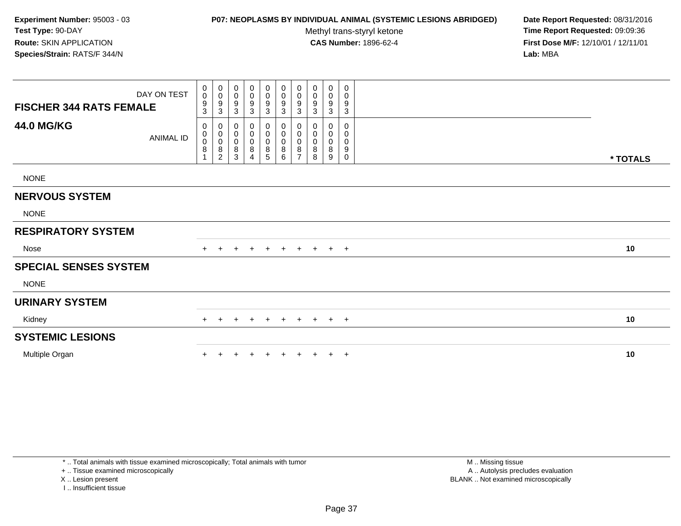# **P07: NEOPLASMS BY INDIVIDUAL ANIMAL (SYSTEMIC LESIONS ABRIDGED) Date Report Requested:** 08/31/2016

Methyl trans-styryl ketone<br>CAS Number: 1896-62-4

 **Time Report Requested:** 09:09:36 **First Dose M/F:** 12/10/01 / 12/11/01<br>**Lab:** MBA **Lab:** MBA

| <b>FISCHER 344 RATS FEMALE</b> | DAY ON TEST      | 0<br>$\pmb{0}$<br>9<br>3                                                      | $\begin{smallmatrix}0\\0\\9\end{smallmatrix}$<br>3   | $_{\rm 0}^{\rm 0}$<br>$\boldsymbol{9}$<br>$\mathbf{3}$ | $\begin{smallmatrix} 0\\0 \end{smallmatrix}$<br>9<br>$\mathbf{3}$ | $\begin{smallmatrix}0\0\0\end{smallmatrix}$<br>$\boldsymbol{9}$<br>3 | $\pmb{0}$<br>$\mathbf 0$<br>$\boldsymbol{9}$<br>3 | $_{0}^{0}$<br>9<br>3                               | 0<br>0<br>9<br>3              | $\pmb{0}$<br>$\mathbf 0$<br>9<br>3 | 0<br>0<br>9<br>$\ensuremath{\mathsf{3}}$ |          |  |
|--------------------------------|------------------|-------------------------------------------------------------------------------|------------------------------------------------------|--------------------------------------------------------|-------------------------------------------------------------------|----------------------------------------------------------------------|---------------------------------------------------|----------------------------------------------------|-------------------------------|------------------------------------|------------------------------------------|----------|--|
| <b>44.0 MG/KG</b>              | <b>ANIMAL ID</b> | 0<br>$\begin{smallmatrix}0\0\0\end{smallmatrix}$<br>$\bf 8$<br>$\overline{4}$ | 0<br>$_{\rm 0}^{\rm 0}$<br>$\bf 8$<br>$\overline{c}$ | 0<br>$_{\rm 0}^{\rm 0}$<br>$\,8\,$<br>$\mathbf{3}$     | 0<br>$\begin{smallmatrix}0\\0\end{smallmatrix}$<br>$\bf 8$<br>4   | 0<br>$\pmb{0}$<br>$\pmb{0}$<br>8<br>5                                | 0<br>$\pmb{0}$<br>0<br>8<br>6                     | 0<br>$\pmb{0}$<br>$\pmb{0}$<br>8<br>$\overline{ }$ | 0<br>0<br>$\pmb{0}$<br>8<br>8 | 0<br>0<br>$\mathbf 0$<br>8<br>9    | 0<br>0<br>0<br>9<br>0                    | * TOTALS |  |
| <b>NONE</b>                    |                  |                                                                               |                                                      |                                                        |                                                                   |                                                                      |                                                   |                                                    |                               |                                    |                                          |          |  |
| <b>NERVOUS SYSTEM</b>          |                  |                                                                               |                                                      |                                                        |                                                                   |                                                                      |                                                   |                                                    |                               |                                    |                                          |          |  |
| <b>NONE</b>                    |                  |                                                                               |                                                      |                                                        |                                                                   |                                                                      |                                                   |                                                    |                               |                                    |                                          |          |  |
| <b>RESPIRATORY SYSTEM</b>      |                  |                                                                               |                                                      |                                                        |                                                                   |                                                                      |                                                   |                                                    |                               |                                    |                                          |          |  |
| Nose                           |                  | $+$                                                                           |                                                      |                                                        |                                                                   | $^{+}$                                                               | $+$                                               | $+$                                                | $+$                           | $+$ $+$                            |                                          | 10       |  |
| <b>SPECIAL SENSES SYSTEM</b>   |                  |                                                                               |                                                      |                                                        |                                                                   |                                                                      |                                                   |                                                    |                               |                                    |                                          |          |  |
| <b>NONE</b>                    |                  |                                                                               |                                                      |                                                        |                                                                   |                                                                      |                                                   |                                                    |                               |                                    |                                          |          |  |
| <b>URINARY SYSTEM</b>          |                  |                                                                               |                                                      |                                                        |                                                                   |                                                                      |                                                   |                                                    |                               |                                    |                                          |          |  |
| Kidney                         |                  | $+$                                                                           | $\overline{+}$                                       | $\pm$                                                  | $\pm$                                                             | $^{+}$                                                               | $+$                                               | $+$                                                | $+$                           | $+$ $+$                            |                                          | 10       |  |
| <b>SYSTEMIC LESIONS</b>        |                  |                                                                               |                                                      |                                                        |                                                                   |                                                                      |                                                   |                                                    |                               |                                    |                                          |          |  |
| Multiple Organ                 |                  |                                                                               |                                                      |                                                        |                                                                   |                                                                      |                                                   | $\pm$                                              | $\ddot{}$                     | $+$ $+$                            |                                          | 10       |  |

\* .. Total animals with tissue examined microscopically; Total animals with tumor

+ .. Tissue examined microscopically

X .. Lesion present

I .. Insufficient tissue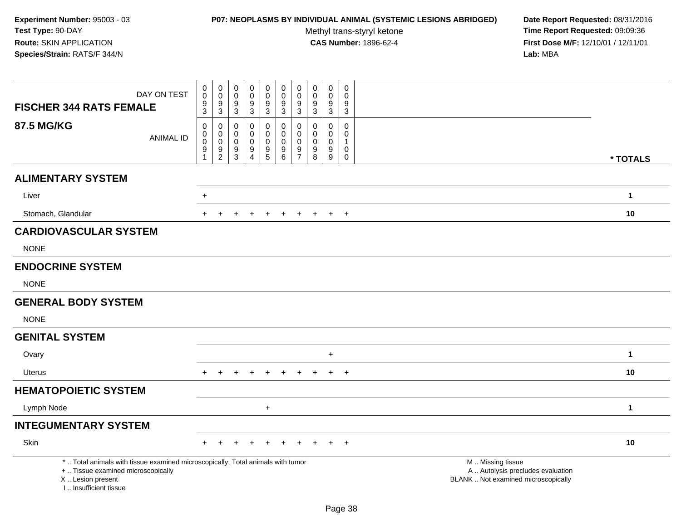# **P07: NEOPLASMS BY INDIVIDUAL ANIMAL (SYSTEMIC LESIONS ABRIDGED) Date Report Requested:** 08/31/2016

Methyl trans-styryl ketone<br>CAS Number: 1896-62-4

| DAY ON TEST<br><b>FISCHER 344 RATS FEMALE</b>                                                                                                                      | $\pmb{0}$<br>$\mathbf 0$<br>$\boldsymbol{9}$<br>3               | $\pmb{0}$<br>$\mathbf 0$<br>$\boldsymbol{9}$<br>$\mathbf{3}$        | $\mathbf 0$<br>0<br>9<br>3 | $\pmb{0}$<br>0<br>9<br>$\mathbf{3}$ | $_{\rm 0}^{\rm 0}$<br>$\overline{9}$<br>3                           | $\pmb{0}$<br>$\mathbf 0$<br>$\boldsymbol{9}$<br>$\mathbf{3}$   | $\mathbf 0$<br>$\mathbf 0$<br>$\boldsymbol{9}$<br>3                   | $\pmb{0}$<br>$\mathbf 0$<br>9<br>3     | $\mathbf 0$<br>0<br>9<br>3                                   | $\pmb{0}$<br>$\Omega$<br>9<br>$\mathbf{3}$                     |                                                                                               |
|--------------------------------------------------------------------------------------------------------------------------------------------------------------------|-----------------------------------------------------------------|---------------------------------------------------------------------|----------------------------|-------------------------------------|---------------------------------------------------------------------|----------------------------------------------------------------|-----------------------------------------------------------------------|----------------------------------------|--------------------------------------------------------------|----------------------------------------------------------------|-----------------------------------------------------------------------------------------------|
| <b>87.5 MG/KG</b><br><b>ANIMAL ID</b>                                                                                                                              | 0<br>$\pmb{0}$<br>$\pmb{0}$<br>$\boldsymbol{9}$<br>$\mathbf{1}$ | 0<br>$\pmb{0}$<br>$\mathbf 0$<br>$\boldsymbol{9}$<br>$\overline{2}$ | 0<br>0<br>0<br>9<br>3      | 0<br>0<br>0<br>9<br>$\overline{4}$  | 0<br>$\mathbf 0$<br>$\pmb{0}$<br>$\boldsymbol{9}$<br>$\overline{5}$ | 0<br>$\mathsf{O}\xspace$<br>$\pmb{0}$<br>$\boldsymbol{9}$<br>6 | 0<br>$\mathbf 0$<br>$\mathbf 0$<br>$\boldsymbol{9}$<br>$\overline{7}$ | $\Omega$<br>0<br>$\mathbf 0$<br>9<br>8 | $\mathbf 0$<br>$\mathbf 0$<br>0<br>$\boldsymbol{9}$<br>$9\,$ | $\mathbf 0$<br>$\mathbf 0$<br>$\mathbf{1}$<br>0<br>$\mathbf 0$ | * TOTALS                                                                                      |
| <b>ALIMENTARY SYSTEM</b>                                                                                                                                           |                                                                 |                                                                     |                            |                                     |                                                                     |                                                                |                                                                       |                                        |                                                              |                                                                |                                                                                               |
| Liver                                                                                                                                                              | $\ddot{}$                                                       |                                                                     |                            |                                     |                                                                     |                                                                |                                                                       |                                        |                                                              |                                                                | $\mathbf{1}$                                                                                  |
| Stomach, Glandular                                                                                                                                                 |                                                                 |                                                                     |                            |                                     |                                                                     |                                                                |                                                                       |                                        |                                                              | $+$                                                            | 10                                                                                            |
| <b>CARDIOVASCULAR SYSTEM</b>                                                                                                                                       |                                                                 |                                                                     |                            |                                     |                                                                     |                                                                |                                                                       |                                        |                                                              |                                                                |                                                                                               |
| <b>NONE</b>                                                                                                                                                        |                                                                 |                                                                     |                            |                                     |                                                                     |                                                                |                                                                       |                                        |                                                              |                                                                |                                                                                               |
| <b>ENDOCRINE SYSTEM</b>                                                                                                                                            |                                                                 |                                                                     |                            |                                     |                                                                     |                                                                |                                                                       |                                        |                                                              |                                                                |                                                                                               |
| <b>NONE</b>                                                                                                                                                        |                                                                 |                                                                     |                            |                                     |                                                                     |                                                                |                                                                       |                                        |                                                              |                                                                |                                                                                               |
| <b>GENERAL BODY SYSTEM</b>                                                                                                                                         |                                                                 |                                                                     |                            |                                     |                                                                     |                                                                |                                                                       |                                        |                                                              |                                                                |                                                                                               |
| <b>NONE</b>                                                                                                                                                        |                                                                 |                                                                     |                            |                                     |                                                                     |                                                                |                                                                       |                                        |                                                              |                                                                |                                                                                               |
| <b>GENITAL SYSTEM</b>                                                                                                                                              |                                                                 |                                                                     |                            |                                     |                                                                     |                                                                |                                                                       |                                        |                                                              |                                                                |                                                                                               |
| Ovary                                                                                                                                                              |                                                                 |                                                                     |                            |                                     |                                                                     |                                                                |                                                                       |                                        | $\ddot{}$                                                    |                                                                | $\mathbf{1}$                                                                                  |
| Uterus                                                                                                                                                             |                                                                 |                                                                     |                            |                                     |                                                                     |                                                                |                                                                       |                                        | $+$                                                          | $+$                                                            | 10                                                                                            |
| <b>HEMATOPOIETIC SYSTEM</b>                                                                                                                                        |                                                                 |                                                                     |                            |                                     |                                                                     |                                                                |                                                                       |                                        |                                                              |                                                                |                                                                                               |
| Lymph Node                                                                                                                                                         |                                                                 |                                                                     |                            |                                     | $\ddot{}$                                                           |                                                                |                                                                       |                                        |                                                              |                                                                | $\mathbf{1}$                                                                                  |
| <b>INTEGUMENTARY SYSTEM</b>                                                                                                                                        |                                                                 |                                                                     |                            |                                     |                                                                     |                                                                |                                                                       |                                        |                                                              |                                                                |                                                                                               |
| Skin                                                                                                                                                               |                                                                 |                                                                     |                            |                                     |                                                                     |                                                                |                                                                       |                                        |                                                              | $+$                                                            | 10                                                                                            |
| *  Total animals with tissue examined microscopically; Total animals with tumor<br>+  Tissue examined microscopically<br>X Lesion present<br>I Insufficient tissue |                                                                 |                                                                     |                            |                                     |                                                                     |                                                                |                                                                       |                                        |                                                              |                                                                | M  Missing tissue<br>A  Autolysis precludes evaluation<br>BLANK  Not examined microscopically |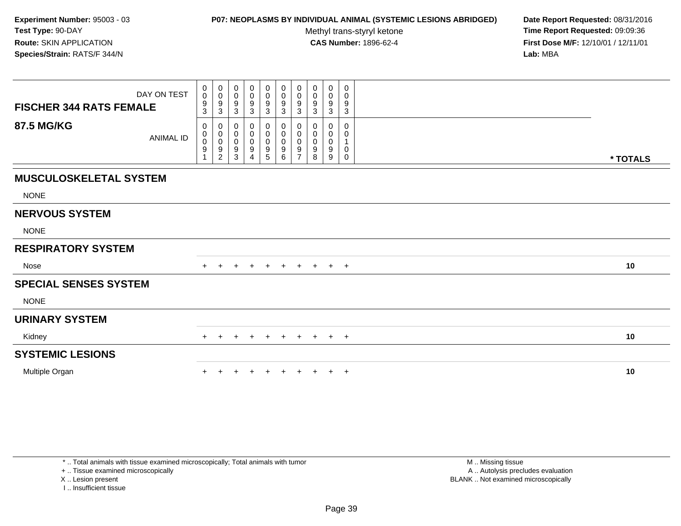### **P07: NEOPLASMS BY INDIVIDUAL ANIMAL (SYSTEMIC LESIONS ABRIDGED) Date Report Requested:** 08/31/2016

Methyl trans-styryl ketone<br>CAS Number: 1896-62-4

 **Time Report Requested:** 09:09:36 **First Dose M/F:** 12/10/01 / 12/11/01<br>**Lab:** MBA **Lab:** MBA

| <b>FISCHER 344 RATS FEMALE</b> | DAY ON TEST      | 0<br>$\mathbf 0$<br>$\frac{9}{3}$                  | $\boldsymbol{0}$<br>$\mathbf 0$<br>9<br>$\mathbf{3}$                 | 0<br>0<br>9<br>3                      | 0<br>0<br>9<br>3              | 0<br>$\mathsf{O}$<br>9<br>3           | 0<br>$\mathsf{O}\xspace$<br>$\boldsymbol{9}$<br>$\mathbf{3}$ | 0<br>$\pmb{0}$<br>9<br>3                           | 0<br>0<br>9<br>3              | $\mathbf 0$<br>0<br>9<br>3           | 0<br>0<br>9<br>3 |          |
|--------------------------------|------------------|----------------------------------------------------|----------------------------------------------------------------------|---------------------------------------|-------------------------------|---------------------------------------|--------------------------------------------------------------|----------------------------------------------------|-------------------------------|--------------------------------------|------------------|----------|
| <b>87.5 MG/KG</b>              | <b>ANIMAL ID</b> | 0<br>$\begin{smallmatrix}0\0\0\9\end{smallmatrix}$ | 0<br>$\begin{smallmatrix}0\\0\\9\end{smallmatrix}$<br>$\overline{2}$ | 0<br>$\pmb{0}$<br>$\pmb{0}$<br>9<br>3 | 0<br>0<br>$\pmb{0}$<br>9<br>4 | 0<br>$\pmb{0}$<br>$\pmb{0}$<br>9<br>5 | 0<br>0<br>$\pmb{0}$<br>$\boldsymbol{9}$<br>6                 | 0<br>$\pmb{0}$<br>$\pmb{0}$<br>9<br>$\overline{z}$ | 0<br>0<br>$\pmb{0}$<br>9<br>8 | 0<br>0<br>$\boldsymbol{0}$<br>9<br>9 | 0<br>0<br>0<br>0 | * TOTALS |
| <b>MUSCULOSKELETAL SYSTEM</b>  |                  |                                                    |                                                                      |                                       |                               |                                       |                                                              |                                                    |                               |                                      |                  |          |
| <b>NONE</b>                    |                  |                                                    |                                                                      |                                       |                               |                                       |                                                              |                                                    |                               |                                      |                  |          |
| <b>NERVOUS SYSTEM</b>          |                  |                                                    |                                                                      |                                       |                               |                                       |                                                              |                                                    |                               |                                      |                  |          |
| <b>NONE</b>                    |                  |                                                    |                                                                      |                                       |                               |                                       |                                                              |                                                    |                               |                                      |                  |          |
| <b>RESPIRATORY SYSTEM</b>      |                  |                                                    |                                                                      |                                       |                               |                                       |                                                              |                                                    |                               |                                      |                  |          |
| Nose                           |                  |                                                    |                                                                      | $\pm$                                 | $\pm$                         | $+$                                   | $+$                                                          | $+$                                                | $+$                           | $+$ $+$                              |                  | 10       |
| <b>SPECIAL SENSES SYSTEM</b>   |                  |                                                    |                                                                      |                                       |                               |                                       |                                                              |                                                    |                               |                                      |                  |          |
| <b>NONE</b>                    |                  |                                                    |                                                                      |                                       |                               |                                       |                                                              |                                                    |                               |                                      |                  |          |
| <b>URINARY SYSTEM</b>          |                  |                                                    |                                                                      |                                       |                               |                                       |                                                              |                                                    |                               |                                      |                  |          |
| Kidney                         |                  | $+$                                                | $\pm$                                                                | $\pm$                                 | $\ddot{}$                     | $+$                                   | $+$                                                          | $+$                                                | $+$                           | $+$ $+$                              |                  | 10       |
| <b>SYSTEMIC LESIONS</b>        |                  |                                                    |                                                                      |                                       |                               |                                       |                                                              |                                                    |                               |                                      |                  |          |
| Multiple Organ                 |                  |                                                    |                                                                      |                                       |                               |                                       |                                                              |                                                    |                               | $+$                                  | $+$              | 10       |

+ .. Tissue examined microscopically

X .. Lesion present

I .. Insufficient tissue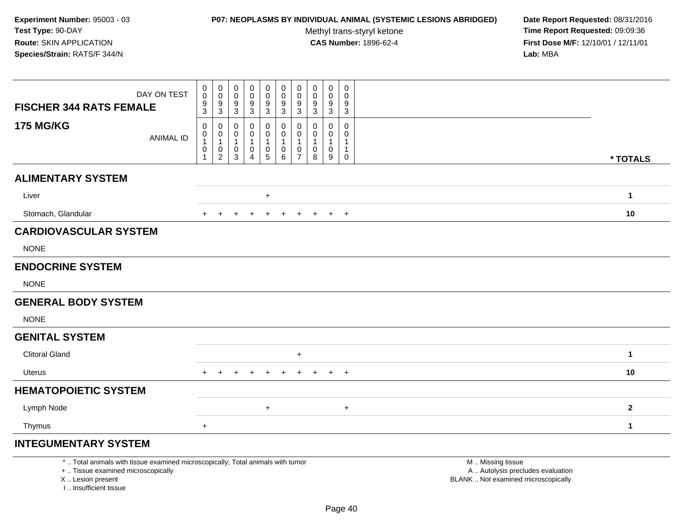# **P07: NEOPLASMS BY INDIVIDUAL ANIMAL (SYSTEMIC LESIONS ABRIDGED) Date Report Requested:** 08/31/2016

Methyl trans-styryl ketone<br>CAS Number: 1896-62-4

| DAY ON TEST                                                                                                                                                         | $\mathbf 0$<br>$\begin{smallmatrix} 0\\0 \end{smallmatrix}$<br>$\mathbf 0$<br>$\pmb{0}$<br>$\pmb{0}$<br>$\pmb{0}$<br>$\pmb{0}$<br>$\pmb{0}$<br>0<br>0<br>$\pmb{0}$<br>$\mathsf{O}\xspace$<br>$\mathbf 0$<br>$\mathbf 0$<br>$\mathsf{O}\xspace$<br>$\pmb{0}$<br>$\mathbf 0$<br>$\mathbf 0$<br>$\mathbf 0$<br>9<br>$\boldsymbol{9}$<br>9<br>9<br>9<br>9                                                                                                                                                                                                                                                                                                                     |              |
|---------------------------------------------------------------------------------------------------------------------------------------------------------------------|---------------------------------------------------------------------------------------------------------------------------------------------------------------------------------------------------------------------------------------------------------------------------------------------------------------------------------------------------------------------------------------------------------------------------------------------------------------------------------------------------------------------------------------------------------------------------------------------------------------------------------------------------------------------------|--------------|
| <b>FISCHER 344 RATS FEMALE</b>                                                                                                                                      | $\frac{9}{3}$<br>$\frac{9}{3}$<br>$\frac{9}{3}$<br>$\frac{9}{3}$<br>$\mathbf{3}$<br>3<br>$\mathbf{3}$<br>$\mathbf 3$<br>3<br>3                                                                                                                                                                                                                                                                                                                                                                                                                                                                                                                                            |              |
| <b>175 MG/KG</b><br><b>ANIMAL ID</b>                                                                                                                                | $\,0\,$<br>0<br>$\mathbf 0$<br>$\mathbf 0$<br>$\mathbf 0$<br>0<br>$\mathbf 0$<br>0<br>0<br>$\mathbf{0}$<br>$\mathbf 0$<br>$\begin{smallmatrix}0\1\end{smallmatrix}$<br>$\mathbf 0$<br>$\mathbf 0$<br>0<br>$\mathbf 0$<br>$\mathbf 0$<br>0<br>0<br>0<br>$\mathbf{1}$<br>$\mathbf{1}$<br>$\mathbf{1}$<br>$\mathbf{1}$<br>$\mathbf{1}$<br>$\mathbf{1}$<br>$\mathbf{1}$<br>1<br>$\mathbf{1}$<br>$\pmb{0}$<br>$\pmb{0}$<br>$\pmb{0}$<br>$\begin{array}{c} 0 \\ 5 \end{array}$<br>$\mathbf 0$<br>$\mathbf 0$<br>$\mathbf 0$<br>0<br>0<br>$\mathbf{1}$<br>$\overline{2}$<br>$\overline{7}$<br>$\mathbf{1}$<br>$\mathbf{3}$<br>$\overline{4}$<br>$\,6\,$<br>8<br>9<br>$\mathbf 0$ | * TOTALS     |
|                                                                                                                                                                     |                                                                                                                                                                                                                                                                                                                                                                                                                                                                                                                                                                                                                                                                           |              |
| <b>ALIMENTARY SYSTEM</b>                                                                                                                                            |                                                                                                                                                                                                                                                                                                                                                                                                                                                                                                                                                                                                                                                                           |              |
| Liver                                                                                                                                                               | $\ddot{}$                                                                                                                                                                                                                                                                                                                                                                                                                                                                                                                                                                                                                                                                 | $\mathbf{1}$ |
| Stomach, Glandular                                                                                                                                                  | $+$<br>$+$<br>$\ddot{}$<br>$\ddot{}$<br>$\ddot{}$<br>$\ddot{}$<br>$+$<br>$\div$                                                                                                                                                                                                                                                                                                                                                                                                                                                                                                                                                                                           | 10           |
| <b>CARDIOVASCULAR SYSTEM</b>                                                                                                                                        |                                                                                                                                                                                                                                                                                                                                                                                                                                                                                                                                                                                                                                                                           |              |
| <b>NONE</b>                                                                                                                                                         |                                                                                                                                                                                                                                                                                                                                                                                                                                                                                                                                                                                                                                                                           |              |
| <b>ENDOCRINE SYSTEM</b>                                                                                                                                             |                                                                                                                                                                                                                                                                                                                                                                                                                                                                                                                                                                                                                                                                           |              |
| <b>NONE</b>                                                                                                                                                         |                                                                                                                                                                                                                                                                                                                                                                                                                                                                                                                                                                                                                                                                           |              |
| <b>GENERAL BODY SYSTEM</b>                                                                                                                                          |                                                                                                                                                                                                                                                                                                                                                                                                                                                                                                                                                                                                                                                                           |              |
| <b>NONE</b>                                                                                                                                                         |                                                                                                                                                                                                                                                                                                                                                                                                                                                                                                                                                                                                                                                                           |              |
| <b>GENITAL SYSTEM</b>                                                                                                                                               |                                                                                                                                                                                                                                                                                                                                                                                                                                                                                                                                                                                                                                                                           |              |
| <b>Clitoral Gland</b>                                                                                                                                               | $\ddot{}$                                                                                                                                                                                                                                                                                                                                                                                                                                                                                                                                                                                                                                                                 | $\mathbf{1}$ |
| Uterus                                                                                                                                                              | $+$                                                                                                                                                                                                                                                                                                                                                                                                                                                                                                                                                                                                                                                                       | 10           |
| <b>HEMATOPOIETIC SYSTEM</b>                                                                                                                                         |                                                                                                                                                                                                                                                                                                                                                                                                                                                                                                                                                                                                                                                                           |              |
| Lymph Node                                                                                                                                                          | $\ddot{}$<br>$\ddot{}$                                                                                                                                                                                                                                                                                                                                                                                                                                                                                                                                                                                                                                                    | $\bf 2$      |
| Thymus                                                                                                                                                              | $+$                                                                                                                                                                                                                                                                                                                                                                                                                                                                                                                                                                                                                                                                       | $\mathbf{1}$ |
| <b>INTEGUMENTARY SYSTEM</b>                                                                                                                                         |                                                                                                                                                                                                                                                                                                                                                                                                                                                                                                                                                                                                                                                                           |              |
| *  Total animals with tissue examined microscopically; Total animals with tumor<br>+  Tissue examined microscopically<br>X  Lesion present<br>I Insufficient tissue | M  Missing tissue<br>A  Autolysis precludes evaluation<br>BLANK  Not examined microscopically                                                                                                                                                                                                                                                                                                                                                                                                                                                                                                                                                                             |              |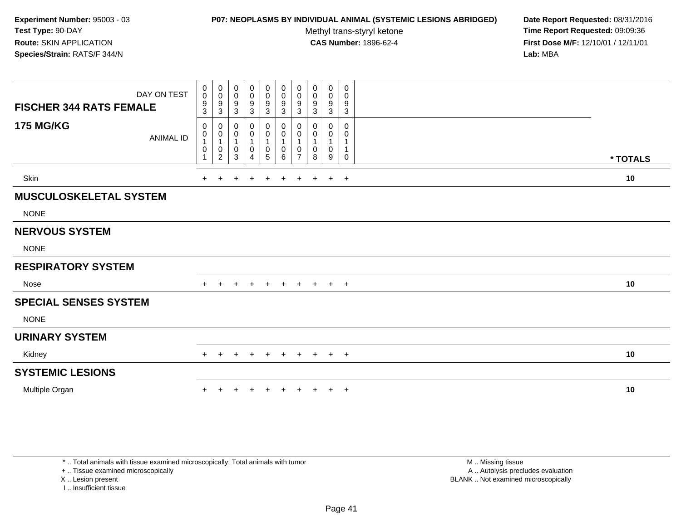#### **P07: NEOPLASMS BY INDIVIDUAL ANIMAL (SYSTEMIC LESIONS ABRIDGED) Date Report Requested:** 08/31/2016

Methyl trans-styryl ketone<br>CAS Number: 1896-62-4

 **Time Report Requested:** 09:09:36 **First Dose M/F:** 12/10/01 / 12/11/01<br>**Lab:** MBA **Lab:** MBA

|                                | DAY ON TEST      | $\pmb{0}$<br>$\mathbf 0$ | $\begin{smallmatrix} 0\\0 \end{smallmatrix}$        | $\begin{smallmatrix}0\\0\end{smallmatrix}$ | $\begin{smallmatrix}0\0\0\end{smallmatrix}$ | $\begin{smallmatrix}0\\0\\9\end{smallmatrix}$    | $\pmb{0}$<br>$\pmb{0}$                                 | 0<br>0                        | $\mathbf 0$<br>$\pmb{0}$       | $\pmb{0}$<br>$\pmb{0}$               | $\boldsymbol{0}$<br>0           |          |
|--------------------------------|------------------|--------------------------|-----------------------------------------------------|--------------------------------------------|---------------------------------------------|--------------------------------------------------|--------------------------------------------------------|-------------------------------|--------------------------------|--------------------------------------|---------------------------------|----------|
| <b>FISCHER 344 RATS FEMALE</b> |                  | 9<br>$\overline{3}$      | $\frac{9}{3}$                                       | $\boldsymbol{9}$<br>$\overline{3}$         | 9<br>$\overline{3}$                         | $\overline{3}$                                   | $\frac{9}{3}$                                          | 9<br>$\mathbf{3}$             | $\boldsymbol{9}$<br>$\sqrt{3}$ | $\boldsymbol{9}$<br>$\mathfrak{Z}$   | 9<br>3                          |          |
| <b>175 MG/KG</b>               | <b>ANIMAL ID</b> | 0<br>0<br>$\mathbf 0$    | 0<br>$\mathbf 0$<br>$\overline{1}$<br>$\frac{0}{2}$ | 0<br>0<br>$\mathbf{1}$<br>0<br>$\sqrt{3}$  | 0<br>0<br>0<br>4                            | 0<br>$\pmb{0}$<br>$\mathbf{1}$<br>$\pmb{0}$<br>5 | 0<br>$\pmb{0}$<br>$\mathbf{1}$<br>0<br>$6\phantom{1}6$ | 0<br>0<br>0<br>$\overline{7}$ | 0<br>0<br>0<br>8               | 0<br>0<br>$\mathbf{1}$<br>0<br>$9\,$ | 0<br>0<br>1<br>1<br>$\mathbf 0$ | * TOTALS |
| Skin                           |                  | ÷                        |                                                     |                                            |                                             |                                                  |                                                        |                               |                                | $\ddot{}$                            | $+$                             | 10       |
| <b>MUSCULOSKELETAL SYSTEM</b>  |                  |                          |                                                     |                                            |                                             |                                                  |                                                        |                               |                                |                                      |                                 |          |
| <b>NONE</b>                    |                  |                          |                                                     |                                            |                                             |                                                  |                                                        |                               |                                |                                      |                                 |          |
| <b>NERVOUS SYSTEM</b>          |                  |                          |                                                     |                                            |                                             |                                                  |                                                        |                               |                                |                                      |                                 |          |
| <b>NONE</b>                    |                  |                          |                                                     |                                            |                                             |                                                  |                                                        |                               |                                |                                      |                                 |          |
| <b>RESPIRATORY SYSTEM</b>      |                  |                          |                                                     |                                            |                                             |                                                  |                                                        |                               |                                |                                      |                                 |          |
| Nose                           |                  | $+$                      | $+$                                                 | $\ddot{}$                                  | $+$                                         | $+$                                              | $+$                                                    | $+$                           | $+$                            | $+$ $+$                              |                                 | 10       |
| <b>SPECIAL SENSES SYSTEM</b>   |                  |                          |                                                     |                                            |                                             |                                                  |                                                        |                               |                                |                                      |                                 |          |
| <b>NONE</b>                    |                  |                          |                                                     |                                            |                                             |                                                  |                                                        |                               |                                |                                      |                                 |          |
| <b>URINARY SYSTEM</b>          |                  |                          |                                                     |                                            |                                             |                                                  |                                                        |                               |                                |                                      |                                 |          |
| Kidney                         |                  | $\pm$                    |                                                     |                                            |                                             |                                                  | $\pm$                                                  |                               |                                | $+$                                  | $+$                             | 10       |
| <b>SYSTEMIC LESIONS</b>        |                  |                          |                                                     |                                            |                                             |                                                  |                                                        |                               |                                |                                      |                                 |          |
| Multiple Organ                 |                  |                          |                                                     |                                            |                                             |                                                  |                                                        |                               |                                | $\ddot{}$                            | $+$                             | 10       |

\* .. Total animals with tissue examined microscopically; Total animals with tumor

+ .. Tissue examined microscopically

X .. Lesion present

I .. Insufficient tissue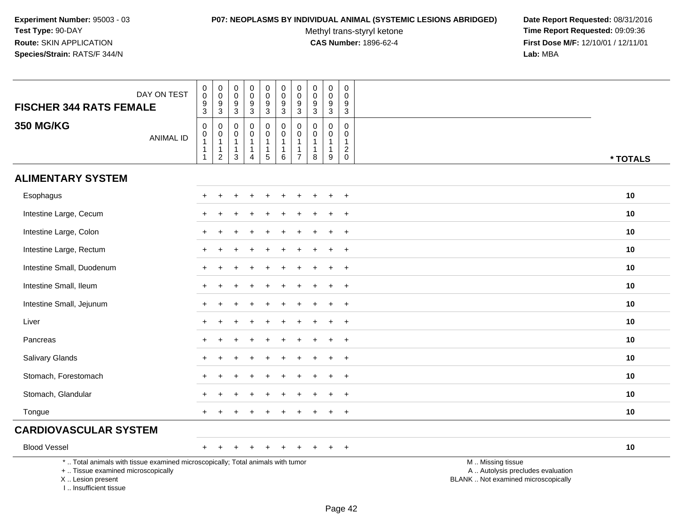#### **P07: NEOPLASMS BY INDIVIDUAL ANIMAL (SYSTEMIC LESIONS ABRIDGED) Date Report Requested:** 08/31/2016

Methyl trans-styryl ketone<br>CAS Number: 1896-62-4

| DAY ON TEST<br><b>FISCHER 344 RATS FEMALE</b>                                                                                                                       | $\mathbf 0$<br>$\overline{0}$<br>$\frac{9}{3}$ | $_{\rm 0}^{\rm 0}$<br>$\frac{9}{3}$                              | $\boldsymbol{0}$<br>$\overline{0}$<br>$\frac{9}{3}$        | $\pmb{0}$<br>$\overline{0}$<br>$^9_3$           | $\begin{smallmatrix}0\0\0\end{smallmatrix}$<br>$\frac{9}{3}$ | $\begin{smallmatrix} 0\\0 \end{smallmatrix}$<br>$\frac{9}{3}$              | $\pmb{0}$<br>$\overline{0}$<br>$\frac{9}{3}$ | $\begin{smallmatrix} 0\\0 \end{smallmatrix}$<br>$\frac{9}{3}$             | $\mathbf 0$<br>$\overline{0}$<br>$\frac{9}{3}$             | 0<br>$\mathbf 0$<br>$\boldsymbol{9}$<br>$\overline{3}$ |                                                                                               |
|---------------------------------------------------------------------------------------------------------------------------------------------------------------------|------------------------------------------------|------------------------------------------------------------------|------------------------------------------------------------|-------------------------------------------------|--------------------------------------------------------------|----------------------------------------------------------------------------|----------------------------------------------|---------------------------------------------------------------------------|------------------------------------------------------------|--------------------------------------------------------|-----------------------------------------------------------------------------------------------|
| <b>350 MG/KG</b><br><b>ANIMAL ID</b>                                                                                                                                | $\mathsf 0$<br>$\mathbf 0$<br>$\mathbf{1}$     | $\boldsymbol{0}$<br>$\pmb{0}$<br>$\overline{1}$<br>$\frac{1}{2}$ | $\mathbf 0$<br>$\mathbf 0$<br>$\mathbf{1}$<br>$\mathbf{1}$ | $\mathbf 0$<br>$\mathbf 0$<br>1<br>$\mathbf{1}$ | $\boldsymbol{0}$<br>0<br>$\mathbf{1}$<br>$\mathbf{1}$        | $\begin{smallmatrix}0\\0\end{smallmatrix}$<br>$\mathbf{1}$<br>$\mathbf{1}$ | $\mathsf{O}\xspace$<br>0<br>1<br>1           | $\mathbf 0$<br>0<br>$\mathbf{1}$<br>$\begin{array}{c} 1 \\ 8 \end{array}$ | $\mathbf 0$<br>$\mathbf 0$<br>$\mathbf{1}$<br>$\mathbf{1}$ | 0<br>$\mathbf 0$<br>$\mathbf{1}$<br>$^2_{\rm 0}$       |                                                                                               |
|                                                                                                                                                                     | $\mathbf{1}$                                   |                                                                  | $\sqrt{3}$                                                 | $\overline{4}$                                  | $\overline{5}$                                               | $\overline{6}$                                                             | $\overline{7}$                               |                                                                           | $\overline{9}$                                             |                                                        | * TOTALS                                                                                      |
| <b>ALIMENTARY SYSTEM</b>                                                                                                                                            |                                                |                                                                  |                                                            |                                                 |                                                              |                                                                            |                                              |                                                                           |                                                            |                                                        |                                                                                               |
| Esophagus                                                                                                                                                           |                                                |                                                                  |                                                            |                                                 |                                                              |                                                                            |                                              |                                                                           |                                                            | $\ddot{}$                                              | 10                                                                                            |
| Intestine Large, Cecum                                                                                                                                              |                                                |                                                                  |                                                            |                                                 |                                                              |                                                                            |                                              |                                                                           |                                                            | $+$                                                    | 10                                                                                            |
| Intestine Large, Colon                                                                                                                                              | $\div$                                         |                                                                  |                                                            |                                                 |                                                              |                                                                            |                                              |                                                                           |                                                            | $\overline{+}$                                         | 10                                                                                            |
| Intestine Large, Rectum                                                                                                                                             |                                                |                                                                  |                                                            |                                                 |                                                              |                                                                            |                                              |                                                                           |                                                            | $+$                                                    | 10                                                                                            |
| Intestine Small, Duodenum                                                                                                                                           |                                                |                                                                  |                                                            |                                                 |                                                              |                                                                            |                                              |                                                                           |                                                            | $\ddot{}$                                              | 10                                                                                            |
| Intestine Small, Ileum                                                                                                                                              | $\div$                                         |                                                                  |                                                            |                                                 |                                                              |                                                                            |                                              |                                                                           |                                                            | $+$                                                    | 10                                                                                            |
| Intestine Small, Jejunum                                                                                                                                            | $\ddot{}$                                      |                                                                  |                                                            |                                                 |                                                              |                                                                            |                                              |                                                                           | $\ddot{}$                                                  | $+$                                                    | 10                                                                                            |
| Liver                                                                                                                                                               |                                                |                                                                  |                                                            |                                                 |                                                              |                                                                            |                                              |                                                                           |                                                            | $\ddot{}$                                              | 10                                                                                            |
| Pancreas                                                                                                                                                            |                                                |                                                                  |                                                            |                                                 |                                                              |                                                                            |                                              |                                                                           |                                                            | $\ddot{}$                                              | 10                                                                                            |
| Salivary Glands                                                                                                                                                     | ÷                                              |                                                                  |                                                            |                                                 |                                                              |                                                                            |                                              |                                                                           | $\overline{+}$                                             | $+$                                                    | 10                                                                                            |
| Stomach, Forestomach                                                                                                                                                |                                                |                                                                  |                                                            |                                                 |                                                              |                                                                            |                                              |                                                                           |                                                            | $\ddot{}$                                              | 10                                                                                            |
| Stomach, Glandular                                                                                                                                                  |                                                |                                                                  |                                                            |                                                 |                                                              |                                                                            |                                              |                                                                           |                                                            | $\ddot{}$                                              | 10                                                                                            |
| Tongue                                                                                                                                                              |                                                |                                                                  |                                                            |                                                 |                                                              |                                                                            |                                              |                                                                           |                                                            | $\ddot{}$                                              | 10                                                                                            |
| <b>CARDIOVASCULAR SYSTEM</b>                                                                                                                                        |                                                |                                                                  |                                                            |                                                 |                                                              |                                                                            |                                              |                                                                           |                                                            |                                                        |                                                                                               |
| <b>Blood Vessel</b>                                                                                                                                                 |                                                |                                                                  |                                                            |                                                 |                                                              |                                                                            |                                              |                                                                           | $\div$                                                     | $+$                                                    | 10                                                                                            |
| *  Total animals with tissue examined microscopically; Total animals with tumor<br>+  Tissue examined microscopically<br>X  Lesion present<br>I Insufficient tissue |                                                |                                                                  |                                                            |                                                 |                                                              |                                                                            |                                              |                                                                           |                                                            |                                                        | M  Missing tissue<br>A  Autolysis precludes evaluation<br>BLANK  Not examined microscopically |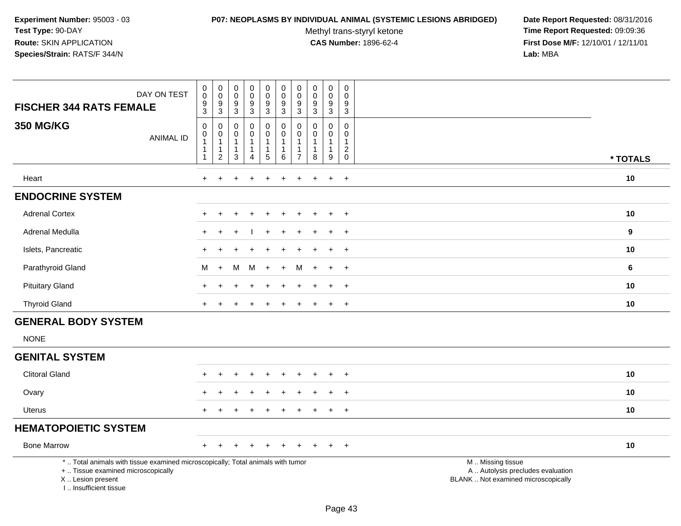#### **P07: NEOPLASMS BY INDIVIDUAL ANIMAL (SYSTEMIC LESIONS ABRIDGED) Date Report Requested:** 08/31/2016

Methyl trans-styryl ketone<br>CAS Number: 1896-62-4

| DAY ON TEST<br><b>FISCHER 344 RATS FEMALE</b>                                                                                                                       | $\mathbf 0$<br>$\pmb{0}$<br>9<br>$\mathbf{3}$                                                     | 0<br>$\mathbf 0$<br>9<br>3                                       | $\mathsf{O}$<br>$\mathsf{O}\xspace$<br>9<br>$\mathfrak{S}$                 | $\pmb{0}$<br>$\mathsf{O}\xspace$<br>9<br>$\mathbf{3}$            | $\mathbf 0$<br>$\overline{0}$<br>9<br>3                             | $\mathbf 0$<br>$\mathbf 0$<br>$\boldsymbol{9}$<br>$\mathbf{3}$            | $\mathbf 0$<br>$\pmb{0}$<br>$9\,$<br>$\mathbf{3}$                              | $\mathbf 0$<br>$\pmb{0}$<br>$9\,$<br>$\mathbf{3}$               | $\mathbf 0$<br>$\mathbf 0$<br>9<br>3                            | $\pmb{0}$<br>$\mathsf{O}\xspace$<br>9<br>$\overline{3}$                             |                                                                                               |          |
|---------------------------------------------------------------------------------------------------------------------------------------------------------------------|---------------------------------------------------------------------------------------------------|------------------------------------------------------------------|----------------------------------------------------------------------------|------------------------------------------------------------------|---------------------------------------------------------------------|---------------------------------------------------------------------------|--------------------------------------------------------------------------------|-----------------------------------------------------------------|-----------------------------------------------------------------|-------------------------------------------------------------------------------------|-----------------------------------------------------------------------------------------------|----------|
| <b>350 MG/KG</b><br><b>ANIMAL ID</b>                                                                                                                                | $\mathsf{O}\xspace$<br>$\begin{smallmatrix}0\\1\end{smallmatrix}$<br>$\mathbf{1}$<br>$\mathbf{1}$ | 0<br>$\pmb{0}$<br>$\mathbf{1}$<br>$\mathbf{1}$<br>$\overline{2}$ | $\mathbf 0$<br>$\mathbf 0$<br>$\mathbf{1}$<br>$\mathbf{1}$<br>$\mathbf{3}$ | 0<br>$\pmb{0}$<br>$\mathbf{1}$<br>$\mathbf{1}$<br>$\overline{4}$ | $\mathbf 0$<br>$\mathsf 0$<br>$\mathbf{1}$<br>$\mathbf{1}$<br>$5\,$ | $\mathbf 0$<br>$\mathbf 0$<br>$\overline{1}$<br>$\overline{1}$<br>$\,6\,$ | $\mathbf 0$<br>$\mathbf 0$<br>$\overline{1}$<br>$\mathbf{1}$<br>$\overline{7}$ | $\mathbf 0$<br>$\mathbf 0$<br>$\mathbf{1}$<br>$\mathbf{1}$<br>8 | $\mathbf 0$<br>$\mathbf 0$<br>$\mathbf{1}$<br>$\mathbf{1}$<br>9 | $\pmb{0}$<br>$\mathbf 0$<br>$\overline{1}$<br>$\overline{2}$<br>$\mathsf{O}\xspace$ |                                                                                               | * TOTALS |
| Heart                                                                                                                                                               | $\ddot{}$                                                                                         | $\ddot{}$                                                        |                                                                            | $\ddot{}$                                                        | $\ddot{}$                                                           | ٠                                                                         | $\ddot{}$                                                                      | ÷                                                               | $+$                                                             | $+$                                                                                 |                                                                                               | 10       |
| <b>ENDOCRINE SYSTEM</b>                                                                                                                                             |                                                                                                   |                                                                  |                                                                            |                                                                  |                                                                     |                                                                           |                                                                                |                                                                 |                                                                 |                                                                                     |                                                                                               |          |
| <b>Adrenal Cortex</b>                                                                                                                                               |                                                                                                   |                                                                  |                                                                            |                                                                  |                                                                     |                                                                           |                                                                                |                                                                 | $\div$                                                          | $\overline{+}$                                                                      |                                                                                               | 10       |
| Adrenal Medulla                                                                                                                                                     |                                                                                                   |                                                                  |                                                                            |                                                                  |                                                                     |                                                                           |                                                                                |                                                                 |                                                                 | $\overline{+}$                                                                      |                                                                                               | 9        |
| Islets, Pancreatic                                                                                                                                                  |                                                                                                   |                                                                  |                                                                            |                                                                  |                                                                     |                                                                           |                                                                                |                                                                 | $\div$                                                          | $\overline{+}$                                                                      |                                                                                               | 10       |
| Parathyroid Gland                                                                                                                                                   | м                                                                                                 | $\ddot{}$                                                        | M                                                                          | M                                                                | $+$                                                                 | $+$                                                                       | M                                                                              |                                                                 | $\ddot{}$                                                       | $+$                                                                                 |                                                                                               | 6        |
| <b>Pituitary Gland</b>                                                                                                                                              |                                                                                                   |                                                                  |                                                                            |                                                                  |                                                                     |                                                                           |                                                                                |                                                                 |                                                                 | $\overline{+}$                                                                      |                                                                                               | 10       |
| <b>Thyroid Gland</b>                                                                                                                                                |                                                                                                   |                                                                  |                                                                            |                                                                  |                                                                     |                                                                           |                                                                                |                                                                 |                                                                 | $\ddot{}$                                                                           |                                                                                               | 10       |
| <b>GENERAL BODY SYSTEM</b>                                                                                                                                          |                                                                                                   |                                                                  |                                                                            |                                                                  |                                                                     |                                                                           |                                                                                |                                                                 |                                                                 |                                                                                     |                                                                                               |          |
| <b>NONE</b>                                                                                                                                                         |                                                                                                   |                                                                  |                                                                            |                                                                  |                                                                     |                                                                           |                                                                                |                                                                 |                                                                 |                                                                                     |                                                                                               |          |
| <b>GENITAL SYSTEM</b>                                                                                                                                               |                                                                                                   |                                                                  |                                                                            |                                                                  |                                                                     |                                                                           |                                                                                |                                                                 |                                                                 |                                                                                     |                                                                                               |          |
| <b>Clitoral Gland</b>                                                                                                                                               |                                                                                                   |                                                                  |                                                                            |                                                                  |                                                                     |                                                                           |                                                                                |                                                                 |                                                                 | $\ddot{}$                                                                           |                                                                                               | 10       |
| Ovary                                                                                                                                                               |                                                                                                   |                                                                  |                                                                            |                                                                  |                                                                     |                                                                           |                                                                                |                                                                 |                                                                 | $\ddot{}$                                                                           |                                                                                               | 10       |
| <b>Uterus</b>                                                                                                                                                       |                                                                                                   |                                                                  |                                                                            |                                                                  |                                                                     |                                                                           |                                                                                |                                                                 | $\ddot{}$                                                       | $\ddot{}$                                                                           |                                                                                               | 10       |
| <b>HEMATOPOIETIC SYSTEM</b>                                                                                                                                         |                                                                                                   |                                                                  |                                                                            |                                                                  |                                                                     |                                                                           |                                                                                |                                                                 |                                                                 |                                                                                     |                                                                                               |          |
| <b>Bone Marrow</b>                                                                                                                                                  | $+$                                                                                               |                                                                  |                                                                            |                                                                  |                                                                     |                                                                           |                                                                                |                                                                 |                                                                 | $+$                                                                                 |                                                                                               | 10       |
| *  Total animals with tissue examined microscopically; Total animals with tumor<br>+  Tissue examined microscopically<br>X  Lesion present<br>I Insufficient tissue |                                                                                                   |                                                                  |                                                                            |                                                                  |                                                                     |                                                                           |                                                                                |                                                                 |                                                                 |                                                                                     | M  Missing tissue<br>A  Autolysis precludes evaluation<br>BLANK  Not examined microscopically |          |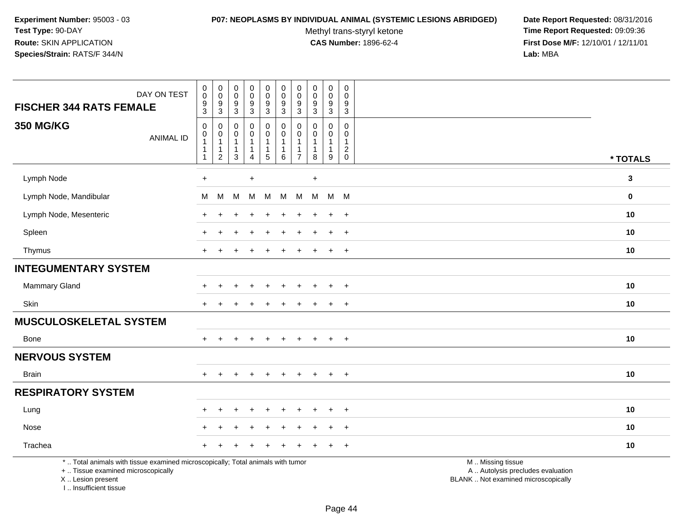#### **P07: NEOPLASMS BY INDIVIDUAL ANIMAL (SYSTEMIC LESIONS ABRIDGED) Date Report Requested:** 08/31/2016

Methyl trans-styryl ketone<br>CAS Number: 1896-62-4

 **Time Report Requested:** 09:09:36 **First Dose M/F:** 12/10/01 / 12/11/01<br>Lab: MBA **Lab:** MBA

| DAY ON TEST<br><b>FISCHER 344 RATS FEMALE</b>                                                                                              | $\pmb{0}$<br>$\mathsf 0$<br>9<br>3                                           | $\pmb{0}$<br>$\,0\,$<br>$9\,$<br>$\sqrt{3}$   | $\pmb{0}$<br>$\pmb{0}$<br>$\boldsymbol{9}$<br>$\mathsf 3$ | $\pmb{0}$<br>$\ddot{\mathbf{0}}$<br>9<br>$\mathbf{3}$            | 0<br>$\mathsf{O}\xspace$<br>9<br>3                        | $\pmb{0}$<br>$\pmb{0}$<br>$9\,$<br>$\sqrt{3}$             | 0<br>$\mathbf 0$<br>9<br>$\mathbf{3}$       | 0<br>$\mathbf 0$<br>9<br>3                     | 0<br>$\mathbf 0$<br>$\boldsymbol{9}$<br>3   | $\mathsf 0$<br>$\Omega$<br>9<br>$\mathsf 3$             |                                                                                               |              |
|--------------------------------------------------------------------------------------------------------------------------------------------|------------------------------------------------------------------------------|-----------------------------------------------|-----------------------------------------------------------|------------------------------------------------------------------|-----------------------------------------------------------|-----------------------------------------------------------|---------------------------------------------|------------------------------------------------|---------------------------------------------|---------------------------------------------------------|-----------------------------------------------------------------------------------------------|--------------|
| <b>350 MG/KG</b><br><b>ANIMAL ID</b>                                                                                                       | $\mathbf 0$<br>$\mathbf 0$<br>$\mathbf{1}$<br>$\mathbf{1}$<br>$\overline{1}$ | 0<br>0<br>$\mathbf{1}$<br>1<br>$\overline{2}$ | 0<br>0<br>$\mathbf{1}$<br>$\mathbf{1}$<br>$\overline{3}$  | 0<br>$\pmb{0}$<br>$\mathbf{1}$<br>$\mathbf{1}$<br>$\overline{4}$ | 0<br>$\mathbf 0$<br>$\begin{array}{c} 1 \\ 5 \end{array}$ | 0<br>$\mathbf 0$<br>$\mathbf 1$<br>$\mathbf 1$<br>$\,6\,$ | $\Omega$<br>$\Omega$<br>1<br>$\overline{7}$ | $\Omega$<br>$\Omega$<br>1<br>$\mathbf{1}$<br>8 | 0<br>0<br>$\mathbf{1}$<br>$\mathbf{1}$<br>9 | $\mathbf 0$<br>$\Omega$<br>$\mathbf{1}$<br>$^2_{\rm 0}$ |                                                                                               | * TOTALS     |
| Lymph Node                                                                                                                                 | $+$                                                                          |                                               |                                                           | $\ddot{}$                                                        |                                                           |                                                           |                                             | $\ddot{}$                                      |                                             |                                                         |                                                                                               | $\mathbf{3}$ |
| Lymph Node, Mandibular                                                                                                                     | м                                                                            | M                                             | M                                                         | м                                                                | M                                                         | M                                                         | M                                           | M                                              | M M                                         |                                                         |                                                                                               | $\mathbf 0$  |
| Lymph Node, Mesenteric                                                                                                                     |                                                                              |                                               |                                                           |                                                                  |                                                           |                                                           |                                             |                                                | $\ddot{}$                                   | $+$                                                     |                                                                                               | 10           |
| Spleen                                                                                                                                     |                                                                              |                                               |                                                           |                                                                  |                                                           |                                                           |                                             |                                                |                                             | $\ddot{}$                                               |                                                                                               | 10           |
| Thymus                                                                                                                                     | $+$                                                                          |                                               |                                                           |                                                                  |                                                           |                                                           |                                             |                                                | $\pm$                                       | $+$                                                     |                                                                                               | 10           |
| <b>INTEGUMENTARY SYSTEM</b>                                                                                                                |                                                                              |                                               |                                                           |                                                                  |                                                           |                                                           |                                             |                                                |                                             |                                                         |                                                                                               |              |
| Mammary Gland                                                                                                                              |                                                                              |                                               |                                                           |                                                                  |                                                           |                                                           |                                             |                                                |                                             | $\ddot{}$                                               |                                                                                               | 10           |
| Skin                                                                                                                                       | $\div$                                                                       |                                               |                                                           |                                                                  |                                                           |                                                           |                                             |                                                | $\ddot{}$                                   | $+$                                                     |                                                                                               | 10           |
| <b>MUSCULOSKELETAL SYSTEM</b>                                                                                                              |                                                                              |                                               |                                                           |                                                                  |                                                           |                                                           |                                             |                                                |                                             |                                                         |                                                                                               |              |
| Bone                                                                                                                                       |                                                                              |                                               |                                                           |                                                                  |                                                           |                                                           |                                             |                                                |                                             | $\ddot{}$                                               |                                                                                               | 10           |
| <b>NERVOUS SYSTEM</b>                                                                                                                      |                                                                              |                                               |                                                           |                                                                  |                                                           |                                                           |                                             |                                                |                                             |                                                         |                                                                                               |              |
| <b>Brain</b>                                                                                                                               | $+$                                                                          | $+$                                           | $+$                                                       | $+$                                                              | $+$                                                       | $+$                                                       | $+$                                         | $+$                                            | $+$                                         | $+$                                                     |                                                                                               | 10           |
| <b>RESPIRATORY SYSTEM</b>                                                                                                                  |                                                                              |                                               |                                                           |                                                                  |                                                           |                                                           |                                             |                                                |                                             |                                                         |                                                                                               |              |
| Lung                                                                                                                                       |                                                                              |                                               |                                                           |                                                                  |                                                           |                                                           |                                             |                                                |                                             | $\overline{ }$                                          |                                                                                               | 10           |
| Nose                                                                                                                                       |                                                                              |                                               |                                                           |                                                                  |                                                           |                                                           |                                             |                                                |                                             | $\overline{+}$                                          |                                                                                               | 10           |
| Trachea                                                                                                                                    |                                                                              |                                               |                                                           |                                                                  |                                                           |                                                           |                                             |                                                |                                             | $\ddot{}$                                               |                                                                                               | 10           |
| *  Total animals with tissue examined microscopically; Total animals with tumor<br>+  Tissue examined microscopically<br>X  Lesion present |                                                                              |                                               |                                                           |                                                                  |                                                           |                                                           |                                             |                                                |                                             |                                                         | M  Missing tissue<br>A  Autolysis precludes evaluation<br>BLANK  Not examined microscopically |              |

I .. Insufficient tissue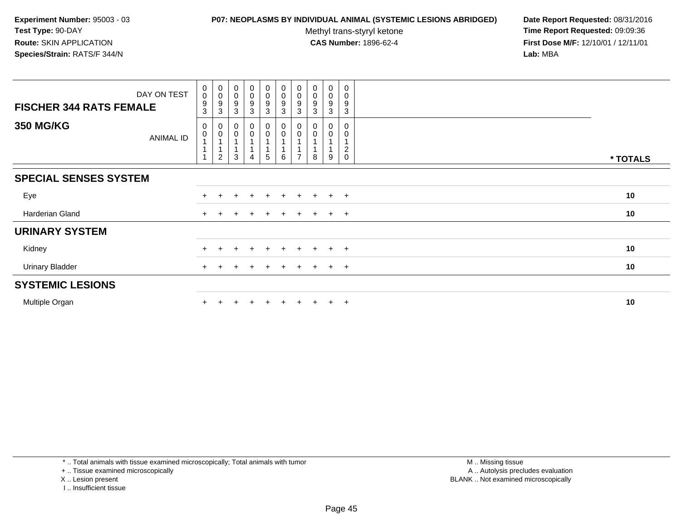### **P07: NEOPLASMS BY INDIVIDUAL ANIMAL (SYSTEMIC LESIONS ABRIDGED) Date Report Requested:** 08/31/2016

Methyl trans-styryl ketone<br>CAS Number: 1896-62-4

 **Time Report Requested:** 09:09:36 **First Dose M/F:** 12/10/01 / 12/11/01<br>**Lab:** MBA **Lab:** MBA

| DAY ON TEST<br><b>FISCHER 344 RATS FEMALE</b> | $\boldsymbol{0}$<br>$\pmb{0}$<br>9 | $_{\rm 0}^{\rm 0}$<br>9 | $_{\rm 0}^{\rm 0}$<br>$\boldsymbol{9}$ | $\begin{smallmatrix} 0\\0 \end{smallmatrix}$<br>$\boldsymbol{9}$ | $\begin{smallmatrix} 0\\0 \end{smallmatrix}$<br>$\boldsymbol{9}$ | $\begin{smallmatrix} 0\\0 \end{smallmatrix}$<br>$\boldsymbol{9}$ | $\pmb{0}$<br>$\pmb{0}$<br>9 | $_{\rm 0}^{\rm 0}$<br>9 | $\pmb{0}$<br>$\mathsf 0$<br>$\boldsymbol{9}$ | 0<br>$\pmb{0}$<br>9             |          |
|-----------------------------------------------|------------------------------------|-------------------------|----------------------------------------|------------------------------------------------------------------|------------------------------------------------------------------|------------------------------------------------------------------|-----------------------------|-------------------------|----------------------------------------------|---------------------------------|----------|
|                                               | 3                                  | 3                       | $\mathbf{3}$                           | $\mathbf{3}$                                                     | 3                                                                | $\mathbf{3}$                                                     | 3                           | 3                       | 3                                            | 3                               |          |
| <b>350 MG/KG</b><br>ANIMAL ID                 | $\mathbf 0$<br>$\pmb{0}$           | $\pmb{0}$               | $\pmb{0}$<br>0                         | 0<br>$\mathbf 0$                                                 | $\mathbf 0$<br>$\overline{0}$                                    | $\mathbf 0$<br>$\pmb{0}$                                         | 0                           |                         | 0                                            | $\Omega$<br>0<br>$\overline{c}$ |          |
|                                               |                                    | 2                       | 3                                      | 4                                                                | $5\phantom{.0}$                                                  | 6                                                                |                             | 8                       | 9                                            | $\mathbf 0$                     | * TOTALS |
| <b>SPECIAL SENSES SYSTEM</b>                  |                                    |                         |                                        |                                                                  |                                                                  |                                                                  |                             |                         |                                              |                                 |          |
| Eye                                           | $+$                                |                         |                                        | $\div$                                                           | $\div$                                                           | $\pm$                                                            | ÷                           | $+$                     | $+$                                          | $+$                             | 10       |
| Harderian Gland                               | $+$                                |                         |                                        |                                                                  | $\div$                                                           | $\pm$                                                            | $\div$                      | $+$                     | $+$                                          | $+$                             | 10       |
| <b>URINARY SYSTEM</b>                         |                                    |                         |                                        |                                                                  |                                                                  |                                                                  |                             |                         |                                              |                                 |          |
| Kidney                                        |                                    |                         |                                        |                                                                  |                                                                  |                                                                  |                             |                         | $+$                                          | $+$                             | 10       |
| <b>Urinary Bladder</b>                        |                                    |                         |                                        |                                                                  |                                                                  |                                                                  |                             |                         | $+$                                          | $+$                             | 10       |
| <b>SYSTEMIC LESIONS</b>                       |                                    |                         |                                        |                                                                  |                                                                  |                                                                  |                             |                         |                                              |                                 |          |
| Multiple Organ                                |                                    |                         |                                        |                                                                  |                                                                  | $+$                                                              |                             |                         | $+$                                          | $+$                             | 10       |

\* .. Total animals with tissue examined microscopically; Total animals with tumor

+ .. Tissue examined microscopically

X .. Lesion present

I .. Insufficient tissue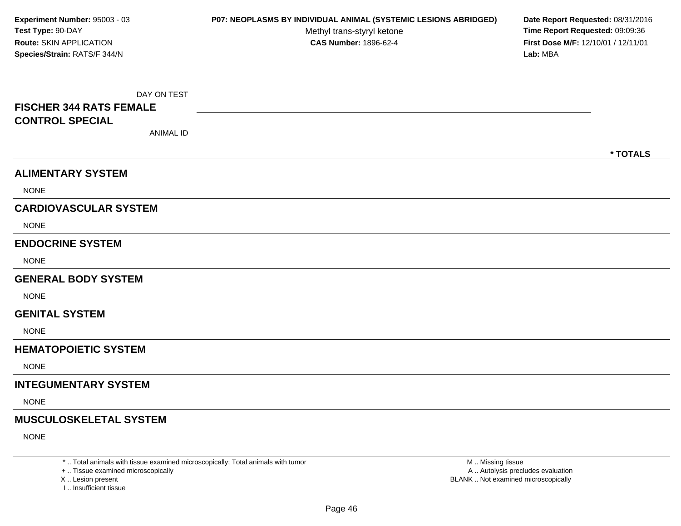DAY ON TEST**FISCHER 344 RATS FEMALECONTROL SPECIAL**ANIMAL ID**\* TOTALSALIMENTARY SYSTEMNONE CARDIOVASCULAR SYSTEM**NONE**ENDOCRINE SYSTEM**NONE**GENERAL BODY SYSTEM**NONE**GENITAL SYSTEM**NONE**HEMATOPOIETIC SYSTEMNONE INTEGUMENTARY SYSTEM**NONE**MUSCULOSKELETAL SYSTEM**NONE**Experiment Number:** 95003 - 03 **P07: NEOPLASMS BY INDIVIDUAL ANIMAL (SYSTEMIC LESIONS ABRIDGED) Date Report Requested:** 08/31/2016 **Test Type:** 90-DAYMethyl trans-styryl ketone<br>CAS Number: 1896-62-4 **Time Report Requested:** 09:09:36 **Route:** SKIN APPLICATION**First Dose M/F:** 12/10/01 / 12/11/01<br>**Lab:** MBA **Species/Strain:** RATS/F 344/N**Lab:** MBA

\* .. Total animals with tissue examined microscopically; Total animals with tumor

+ .. Tissue examined microscopically

X .. Lesion present

I .. Insufficient tissue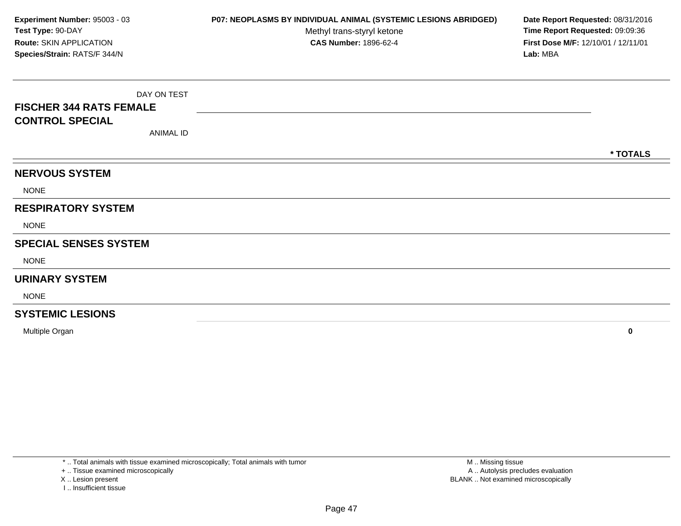DAY ON TEST**FISCHER 344 RATS FEMALECONTROL SPECIAL**ANIMAL ID**\* TOTALSNERVOUS SYSTEM**NONE**RESPIRATORY SYSTEM**NONE**SPECIAL SENSES SYSTEM**NONE**URINARY SYSTEM**NONE**SYSTEMIC LESIONSExperiment Number:** 95003 - 03 **P07: NEOPLASMS BY INDIVIDUAL ANIMAL (SYSTEMIC LESIONS ABRIDGED) Date Report Requested:** 08/31/2016 **Test Type:** 90-DAYMethyl trans-styryl ketone<br>CAS Number: 1896-62-4 **Time Report Requested:** 09:09:36 **Route:** SKIN APPLICATION**First Dose M/F:** 12/10/01 / 12/11/01<br>**Lab:** MBA **Species/Strain:** RATS/F 344/N**Lab:** MBA

Multiple Organ**<sup>0</sup>**

\* .. Total animals with tissue examined microscopically; Total animals with tumor

+ .. Tissue examined microscopically

X .. Lesion present

I .. Insufficient tissue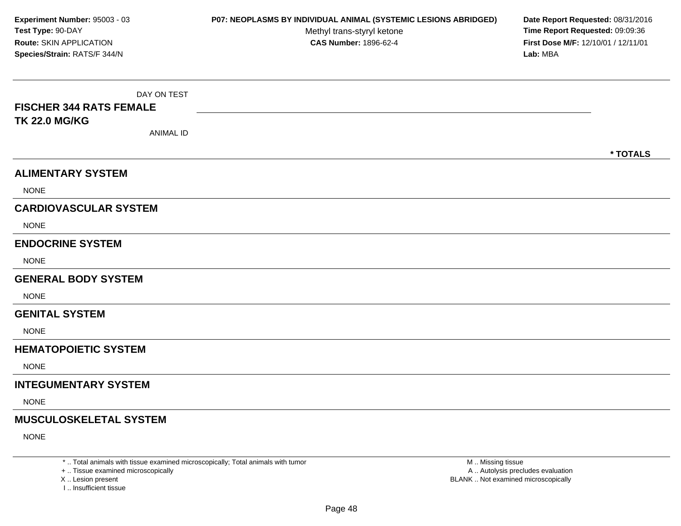DAY ON TEST**FISCHER 344 RATS FEMALETK 22.0 MG/KG**ANIMAL ID**\* TOTALSALIMENTARY SYSTEMNONE CARDIOVASCULAR SYSTEM**NONE**ENDOCRINE SYSTEM**NONE**GENERAL BODY SYSTEM**NONE**GENITAL SYSTEM**NONE**HEMATOPOIETIC SYSTEMNONE INTEGUMENTARY SYSTEM**NONE**MUSCULOSKELETAL SYSTEM**NONE**Experiment Number:** 95003 - 03 **P07: NEOPLASMS BY INDIVIDUAL ANIMAL (SYSTEMIC LESIONS ABRIDGED) Date Report Requested:** 08/31/2016 **Test Type:** 90-DAYMethyl trans-styryl ketone<br>CAS Number: 1896-62-4 **Time Report Requested:** 09:09:36 **Route:** SKIN APPLICATION**First Dose M/F:** 12/10/01 / 12/11/01<br>**Lab:** MBA **Species/Strain:** RATS/F 344/N**Lab:** MBA

\* .. Total animals with tissue examined microscopically; Total animals with tumor

+ .. Tissue examined microscopically

X .. Lesion present

I .. Insufficient tissue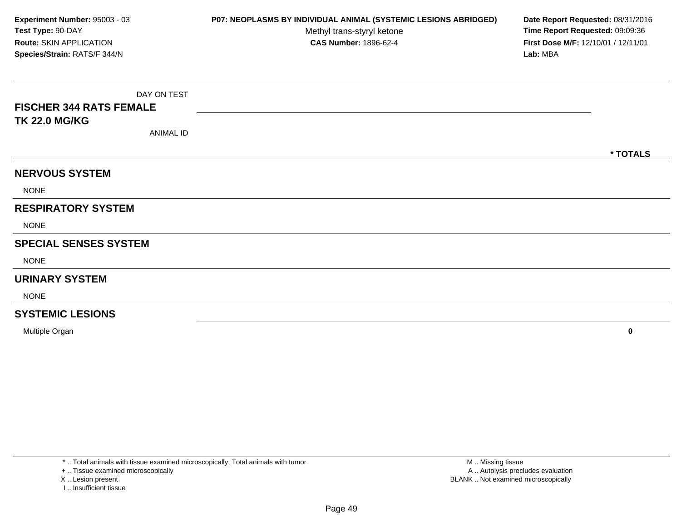DAY ON TEST**FISCHER 344 RATS FEMALETK 22.0 MG/KG**ANIMAL ID**\* TOTALSNERVOUS SYSTEM**NONE**RESPIRATORY SYSTEM**NONE**SPECIAL SENSES SYSTEM**NONE**URINARY SYSTEM**NONE**SYSTEMIC LESIONSExperiment Number:** 95003 - 03 **P07: NEOPLASMS BY INDIVIDUAL ANIMAL (SYSTEMIC LESIONS ABRIDGED) Date Report Requested:** 08/31/2016 **Test Type:** 90-DAYMethyl trans-styryl ketone<br>CAS Number: 1896-62-4 **Time Report Requested:** 09:09:36 **Route:** SKIN APPLICATION**First Dose M/F:** 12/10/01 / 12/11/01<br>**Lab:** MBA **Species/Strain:** RATS/F 344/N**Lab:** MBA

Multiple Organ**<sup>0</sup>**

\* .. Total animals with tissue examined microscopically; Total animals with tumor

+ .. Tissue examined microscopically

X .. Lesion present

I .. Insufficient tissue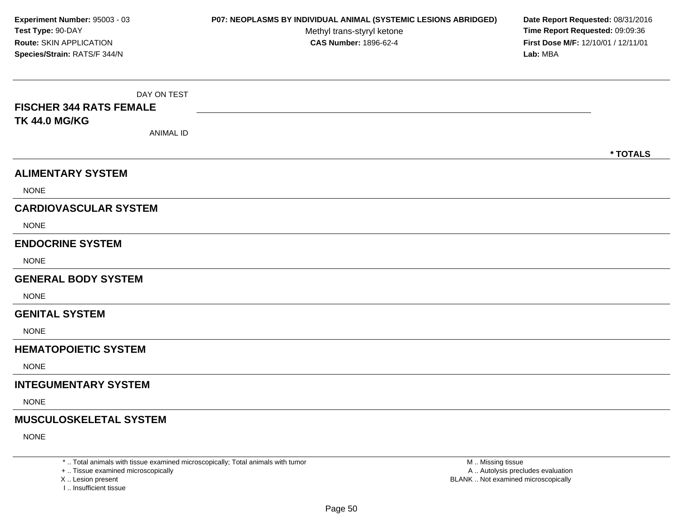DAY ON TEST**FISCHER 344 RATS FEMALETK 44.0 MG/KG**ANIMAL ID**\* TOTALSALIMENTARY SYSTEMNONE CARDIOVASCULAR SYSTEM**NONE**ENDOCRINE SYSTEM**NONE**GENERAL BODY SYSTEM**NONE**GENITAL SYSTEM**NONE**HEMATOPOIETIC SYSTEMNONE INTEGUMENTARY SYSTEM**NONE**MUSCULOSKELETAL SYSTEM**NONE**Experiment Number:** 95003 - 03 **P07: NEOPLASMS BY INDIVIDUAL ANIMAL (SYSTEMIC LESIONS ABRIDGED) Date Report Requested:** 08/31/2016 **Test Type:** 90-DAYMethyl trans-styryl ketone<br>CAS Number: 1896-62-4 **Time Report Requested:** 09:09:36 **Route:** SKIN APPLICATION**First Dose M/F:** 12/10/01 / 12/11/01<br>**Lab:** MBA **Species/Strain:** RATS/F 344/N**Lab:** MBA

\* .. Total animals with tissue examined microscopically; Total animals with tumor

+ .. Tissue examined microscopically

X .. Lesion present

I .. Insufficient tissue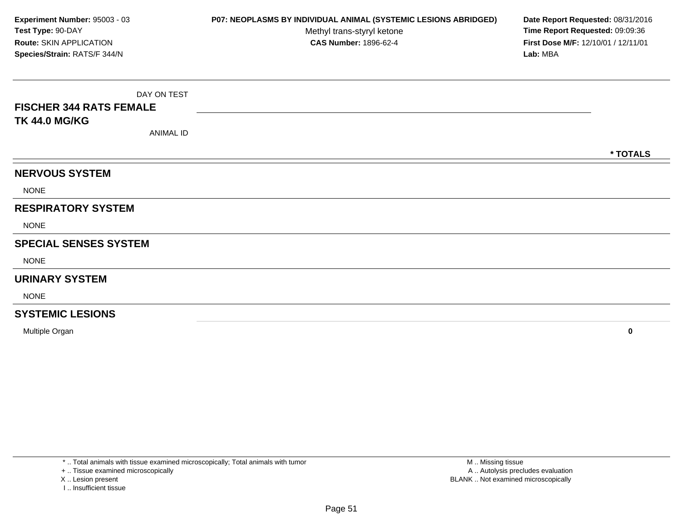DAY ON TEST**FISCHER 344 RATS FEMALETK 44.0 MG/KG**ANIMAL ID**\* TOTALSNERVOUS SYSTEM**NONE**RESPIRATORY SYSTEM**NONE**SPECIAL SENSES SYSTEM**NONE**URINARY SYSTEM**NONE**SYSTEMIC LESIONSExperiment Number:** 95003 - 03 **P07: NEOPLASMS BY INDIVIDUAL ANIMAL (SYSTEMIC LESIONS ABRIDGED) Date Report Requested:** 08/31/2016 **Test Type:** 90-DAYMethyl trans-styryl ketone<br>CAS Number: 1896-62-4 **Time Report Requested:** 09:09:36 **Route:** SKIN APPLICATION**First Dose M/F:** 12/10/01 / 12/11/01<br>**Lab:** MBA **Species/Strain:** RATS/F 344/N**Lab:** MBA

Multiple Organ**<sup>0</sup>**

\* .. Total animals with tissue examined microscopically; Total animals with tumor

+ .. Tissue examined microscopically

X .. Lesion present

I .. Insufficient tissue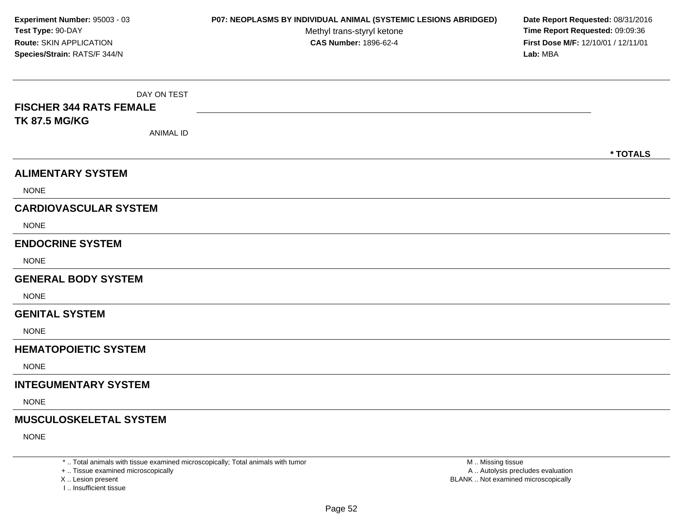DAY ON TEST**FISCHER 344 RATS FEMALETK 87.5 MG/KG**ANIMAL ID**\* TOTALSALIMENTARY SYSTEMNONE CARDIOVASCULAR SYSTEM**NONE**ENDOCRINE SYSTEM**NONE**GENERAL BODY SYSTEM**NONE**GENITAL SYSTEM**NONE**HEMATOPOIETIC SYSTEMNONE INTEGUMENTARY SYSTEM**NONE**MUSCULOSKELETAL SYSTEM**NONE**Experiment Number:** 95003 - 03 **P07: NEOPLASMS BY INDIVIDUAL ANIMAL (SYSTEMIC LESIONS ABRIDGED) Date Report Requested:** 08/31/2016 **Test Type:** 90-DAYMethyl trans-styryl ketone<br>CAS Number: 1896-62-4 **Time Report Requested:** 09:09:36 **Route:** SKIN APPLICATION**First Dose M/F:** 12/10/01 / 12/11/01<br>**Lab:** MBA **Species/Strain:** RATS/F 344/N**Lab:** MBA

\* .. Total animals with tissue examined microscopically; Total animals with tumor

+ .. Tissue examined microscopically

X .. Lesion present

I .. Insufficient tissue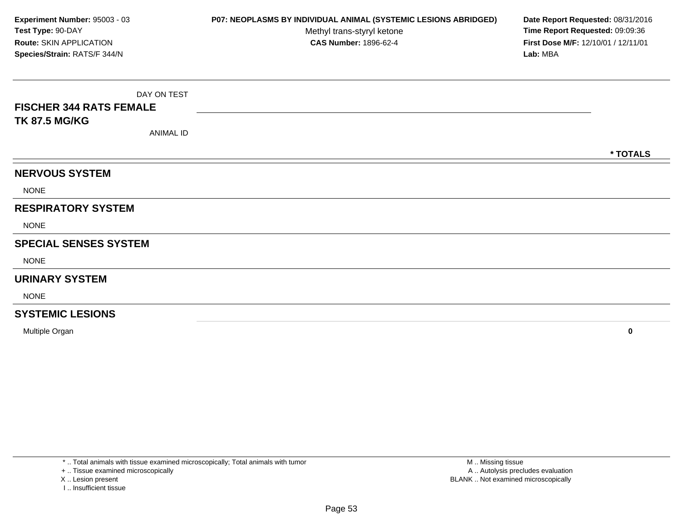DAY ON TEST**FISCHER 344 RATS FEMALETK 87.5 MG/KG**ANIMAL ID**\* TOTALSNERVOUS SYSTEM**NONE**RESPIRATORY SYSTEM**NONE**SPECIAL SENSES SYSTEM**NONE**URINARY SYSTEM**NONE**SYSTEMIC LESIONSExperiment Number:** 95003 - 03 **P07: NEOPLASMS BY INDIVIDUAL ANIMAL (SYSTEMIC LESIONS ABRIDGED) Date Report Requested:** 08/31/2016 **Test Type:** 90-DAYMethyl trans-styryl ketone<br>CAS Number: 1896-62-4 **Time Report Requested:** 09:09:36 **Route:** SKIN APPLICATION**First Dose M/F:** 12/10/01 / 12/11/01<br>**Lab:** MBA **Species/Strain:** RATS/F 344/N**Lab:** MBA

Multiple Organ**<sup>0</sup>**

\* .. Total animals with tissue examined microscopically; Total animals with tumor

+ .. Tissue examined microscopically

X .. Lesion present

I .. Insufficient tissue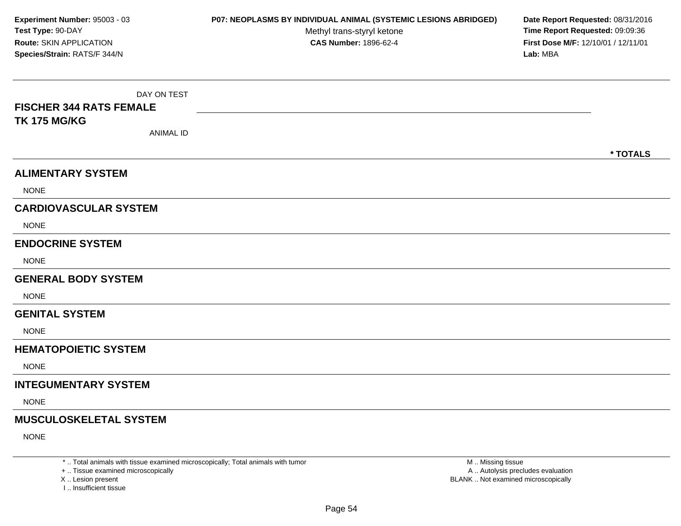DAY ON TEST**FISCHER 344 RATS FEMALETK 175 MG/KG**ANIMAL ID**\* TOTALSALIMENTARY SYSTEMNONE CARDIOVASCULAR SYSTEM**NONE**ENDOCRINE SYSTEM**NONE**GENERAL BODY SYSTEM**NONE**GENITAL SYSTEM**NONE**HEMATOPOIETIC SYSTEMNONE INTEGUMENTARY SYSTEM**NONE**MUSCULOSKELETAL SYSTEM**NONE**Experiment Number:** 95003 - 03 **P07: NEOPLASMS BY INDIVIDUAL ANIMAL (SYSTEMIC LESIONS ABRIDGED) Date Report Requested:** 08/31/2016 **Test Type:** 90-DAYMethyl trans-styryl ketone<br>CAS Number: 1896-62-4 **Time Report Requested:** 09:09:36 **Route:** SKIN APPLICATION**First Dose M/F:** 12/10/01 / 12/11/01<br>**Lab:** MBA **Species/Strain:** RATS/F 344/N**Lab:** MBA

\* .. Total animals with tissue examined microscopically; Total animals with tumor

+ .. Tissue examined microscopically

X .. Lesion present

I .. Insufficient tissue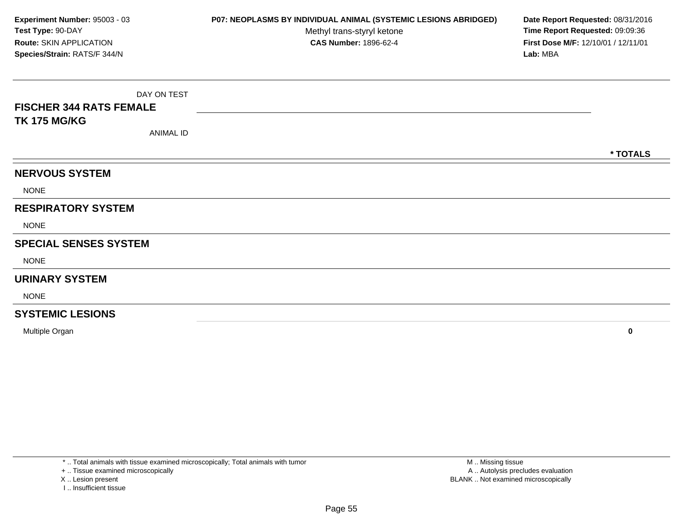DAY ON TEST**FISCHER 344 RATS FEMALETK 175 MG/KG**ANIMAL ID**\* TOTALSNERVOUS SYSTEM**NONE**RESPIRATORY SYSTEM**NONE**SPECIAL SENSES SYSTEM**NONE**URINARY SYSTEM**NONE**SYSTEMIC LESIONSExperiment Number:** 95003 - 03 **P07: NEOPLASMS BY INDIVIDUAL ANIMAL (SYSTEMIC LESIONS ABRIDGED) Date Report Requested:** 08/31/2016 **Test Type:** 90-DAYMethyl trans-styryl ketone<br>CAS Number: 1896-62-4 **Time Report Requested:** 09:09:36 **Route:** SKIN APPLICATION**First Dose M/F:** 12/10/01 / 12/11/01<br>**Lab:** MBA **Species/Strain:** RATS/F 344/N**Lab:** MBA

Multiple Organ**<sup>0</sup>**

\* .. Total animals with tissue examined microscopically; Total animals with tumor

+ .. Tissue examined microscopically

X .. Lesion present

I .. Insufficient tissue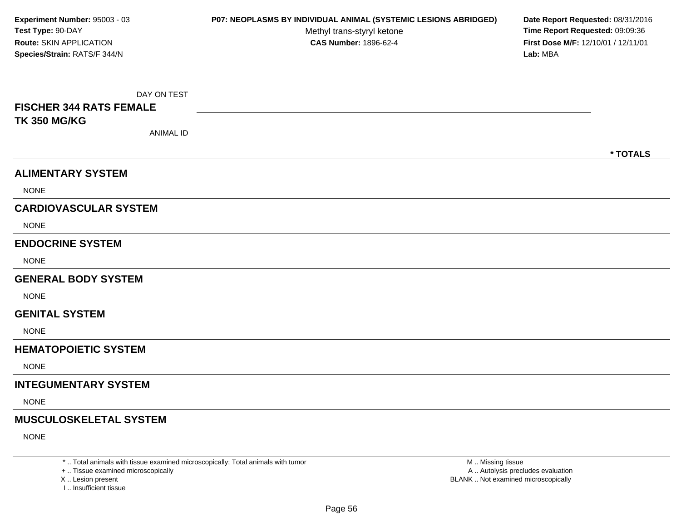DAY ON TEST**FISCHER 344 RATS FEMALETK 350 MG/KG**ANIMAL ID**\* TOTALSALIMENTARY SYSTEMNONE CARDIOVASCULAR SYSTEM**NONE**ENDOCRINE SYSTEM**NONE**GENERAL BODY SYSTEM**NONE**GENITAL SYSTEM**NONE**HEMATOPOIETIC SYSTEMNONE INTEGUMENTARY SYSTEM**NONE**MUSCULOSKELETAL SYSTEM**NONE**Experiment Number:** 95003 - 03 **P07: NEOPLASMS BY INDIVIDUAL ANIMAL (SYSTEMIC LESIONS ABRIDGED) Date Report Requested:** 08/31/2016 **Test Type:** 90-DAYMethyl trans-styryl ketone<br>CAS Number: 1896-62-4 **Time Report Requested:** 09:09:36 **Route:** SKIN APPLICATION**First Dose M/F:** 12/10/01 / 12/11/01<br>**Lab:** MBA **Species/Strain:** RATS/F 344/N**Lab:** MBA

\* .. Total animals with tissue examined microscopically; Total animals with tumor

+ .. Tissue examined microscopically

X .. Lesion present

I .. Insufficient tissue